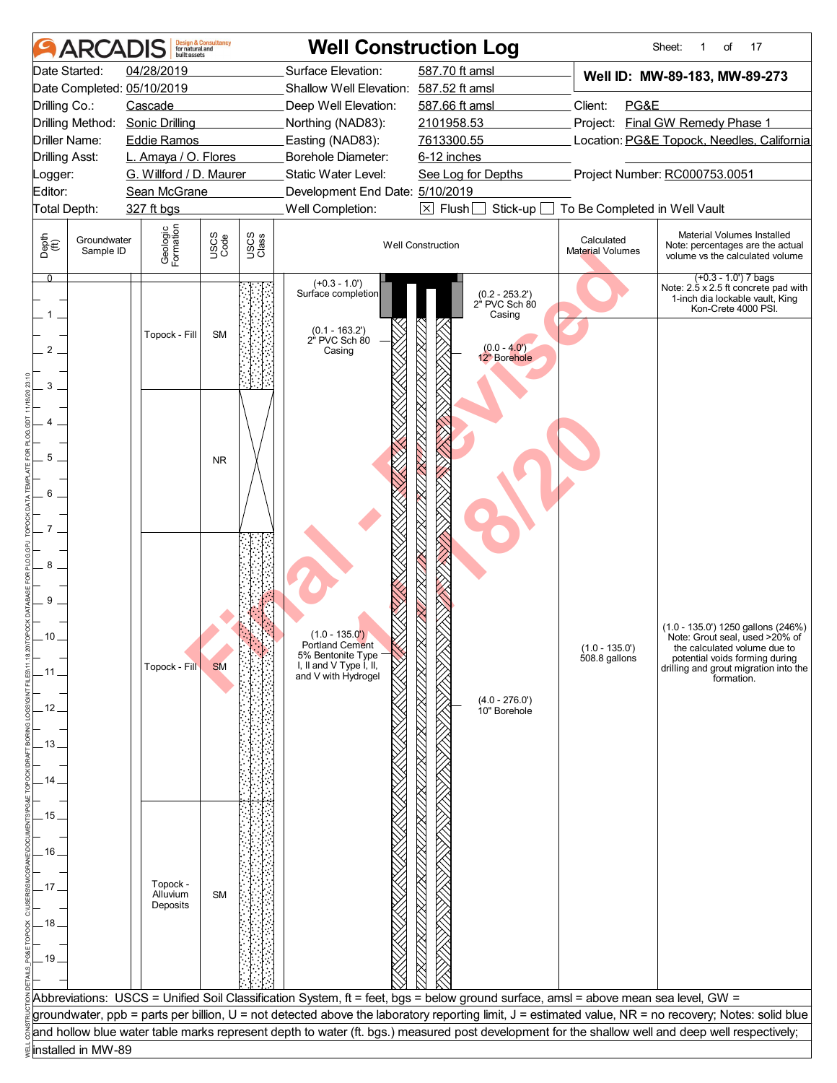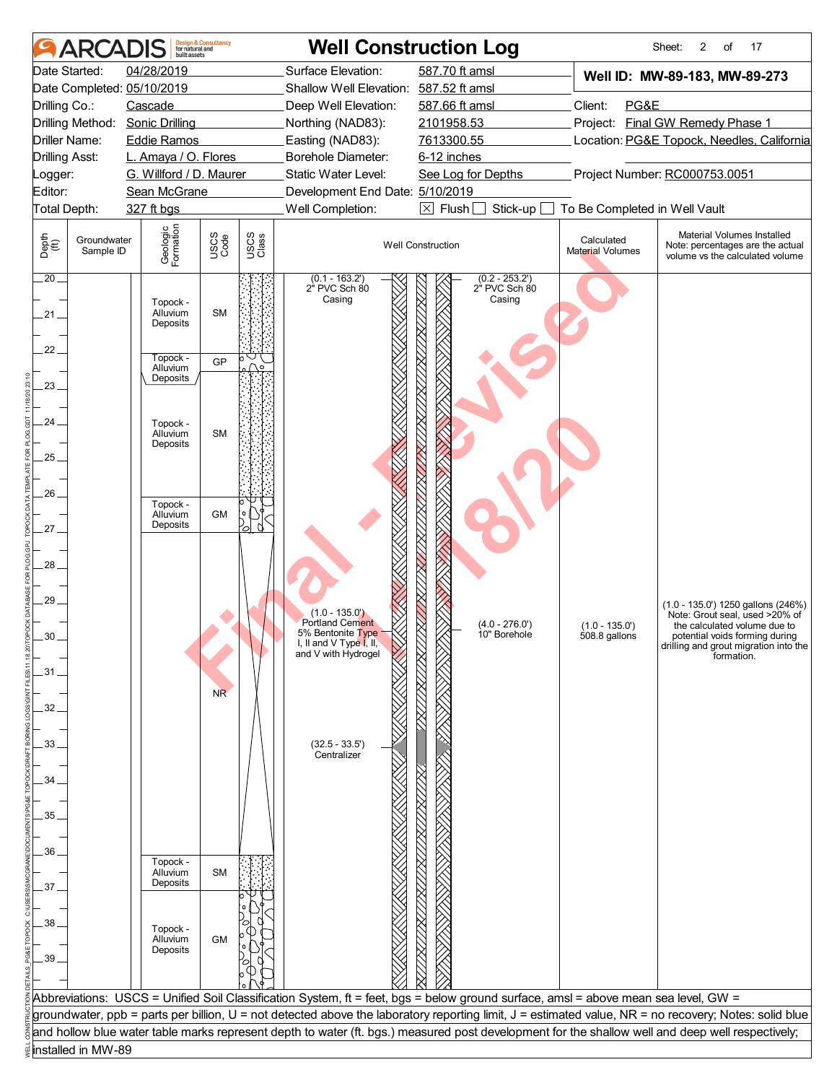| <b>ARCAI</b>                                                                                                                                                              | <b>Design &amp; Consultancy</b><br>for natural and<br>huilt assets                                                                                                    |                                                                                                                       |                                                                                                                                                                                                                                   | <b>Well Construction Log</b>                                                                                                                     |                                                                     | 2<br>17<br>Sheet:<br>of                                                                                                                                                                                                                                                                            |
|---------------------------------------------------------------------------------------------------------------------------------------------------------------------------|-----------------------------------------------------------------------------------------------------------------------------------------------------------------------|-----------------------------------------------------------------------------------------------------------------------|-----------------------------------------------------------------------------------------------------------------------------------------------------------------------------------------------------------------------------------|--------------------------------------------------------------------------------------------------------------------------------------------------|---------------------------------------------------------------------|----------------------------------------------------------------------------------------------------------------------------------------------------------------------------------------------------------------------------------------------------------------------------------------------------|
| Date Started:<br>Date Completed: 05/10/2019<br>Drilling Co.:<br>Drilling Method:<br>Driller Name:<br><b>Drilling Asst:</b><br>_ogger:<br>Editor:<br>Total Depth:          | 04/28/2019<br>Cascade<br><b>Sonic Drilling</b><br><b>Eddie Ramos</b><br>L. Amaya / O. Flores<br>G. Willford / D. Maurer<br>Sean McGrane<br>327 ft bgs                 |                                                                                                                       | Surface Elevation:<br>Shallow Well Elevation: 587.52 ft amsl<br>Deep Well Elevation:<br>Northing (NAD83):<br>Easting (NAD83):<br>Borehole Diameter:<br>Static Water Level:<br>Development End Date: 5/10/2019<br>Well Completion: | 587.70 ft amsl<br>587.66 ft amsl<br>2101958.53<br>7613300.55<br>6-12 inches<br>See Log for Depths<br>$\boxtimes$ Flush<br>Stick-up               | Client:<br>PG&E<br>To Be Completed in Well Vault                    | Well ID: MW-89-183, MW-89-273<br>Project: Final GW Remedy Phase 1<br>Location: PG&E Topock, Needles, California<br>Project Number: RC000753.0051                                                                                                                                                   |
| Depth<br>(ff)<br>Groundwater<br>Sample ID<br>$\overline{.20}$<br>.21 .<br>22.<br>$23 -$<br>24.<br>25<br>$26 -$<br>27.<br>28<br>29.<br>30<br>.31.<br>32<br>33.<br>34<br>35 | Geologic<br>Formation<br>Topock -<br>Alluvium<br>Deposits<br>Topock -<br>Alluvium<br>Deposits<br>Topock -<br>Alluvium<br>Deposits<br>Topock -<br>Alluvium<br>Deposits | USCS<br>Code<br>USCS<br>Class<br><b>SM</b><br><b>GP</b><br><b>SM</b><br><b>GM</b><br>$\gtrsim$<br>U<br>NR <sup></sup> | $(0.1 - 163.2')$<br>2" PVC Sch 80<br>Casing<br>$(1.0 - 135.0)$<br><b>Portland Cement</b><br>5% Bentonite Type<br>I, II and V I ype I, II,<br>and V with Hydrogel<br>$(32.5 - 33.5')$<br>Centralizer                               | <b>Well Construction</b><br>$(0.2 - 253.2')$<br>2" PVC Sch 80<br>Casing<br>$(4.0 - 276.0')$<br>10" Borehole                                      | Calculated<br>Material Volumes<br>$(1.0 - 135.0')$<br>508.8 gallons | Material Volumes Installed<br>Note: percentages are the actual<br>volume vs the calculated volume<br>(1.0 - 135.0') 1250 gallons (246%)<br>Note: Grout seal, used >20% of<br>the calculated volume due to<br>potential voids forming during<br>drilling and grout migration into the<br>formation. |
| 36<br>37.<br>38<br>39                                                                                                                                                     | Topock -<br>Alluvium<br>Deposits<br>Topock -<br>Alluvium<br>Deposits                                                                                                  | <b>SM</b><br><b>GM</b>                                                                                                |                                                                                                                                                                                                                                   | Abbreviations: USCS = Unified Soil Classification System, ft = feet, bgs = below ground surface, amsl = above mean sea level, GW =               |                                                                     |                                                                                                                                                                                                                                                                                                    |
|                                                                                                                                                                           |                                                                                                                                                                       |                                                                                                                       |                                                                                                                                                                                                                                   | and hollow blue water table marks represent depth to water (ft. bgs.) measured post development for the shallow well and deep well respectively; |                                                                     | groundwater, ppb = parts per billion, U = not detected above the laboratory reporting limit, J = estimated value, NR = no recovery; Notes: solid blue                                                                                                                                              |
| installed in MW-89                                                                                                                                                        |                                                                                                                                                                       |                                                                                                                       |                                                                                                                                                                                                                                   |                                                                                                                                                  |                                                                     |                                                                                                                                                                                                                                                                                                    |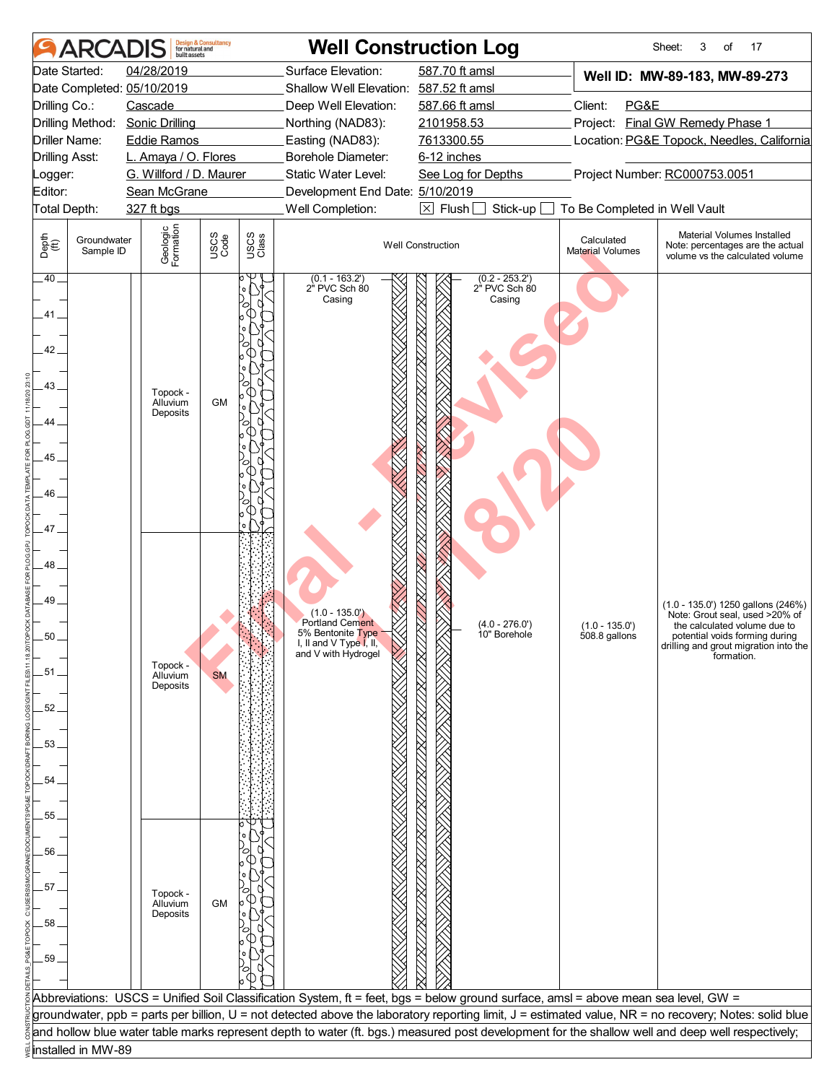|                                                                                                  | <b>ARCADIS</b>           | built assets                                                         | <b>Design &amp; Consultancy</b><br>for natural and |               |                                                                                                                                                                 | <b>Well Construction Log</b>                                                                                                       |                                   | Sheet:<br>17<br>3<br>of                                                                                                                                                                       |
|--------------------------------------------------------------------------------------------------|--------------------------|----------------------------------------------------------------------|----------------------------------------------------|---------------|-----------------------------------------------------------------------------------------------------------------------------------------------------------------|------------------------------------------------------------------------------------------------------------------------------------|-----------------------------------|-----------------------------------------------------------------------------------------------------------------------------------------------------------------------------------------------|
|                                                                                                  | Date Started:            | 04/28/2019<br>Date Completed: 05/10/2019                             |                                                    |               | Surface Elevation:<br>Shallow Well Elevation: 587.52 ft amsl                                                                                                    | 587.70 ft amsl                                                                                                                     |                                   | Well ID: MW-89-183, MW-89-273                                                                                                                                                                 |
| Drilling Co.:                                                                                    |                          | Cascade                                                              |                                                    |               | Deep Well Elevation:                                                                                                                                            | 587.66 ft amsl                                                                                                                     | Client:<br>PG&E                   |                                                                                                                                                                                               |
|                                                                                                  |                          | Drilling Method: Sonic Drilling                                      |                                                    |               | Northing (NAD83):                                                                                                                                               | 2101958.53                                                                                                                         |                                   | Project: Final GW Remedy Phase 1                                                                                                                                                              |
| Driller Name:                                                                                    |                          | <b>Eddie Ramos</b>                                                   |                                                    |               | Easting (NAD83):                                                                                                                                                | 7613300.55                                                                                                                         |                                   | Location: PG&E Topock, Needles, California                                                                                                                                                    |
| <b>Drilling Asst:</b>                                                                            |                          | L. Amaya / O. Flores                                                 |                                                    |               | Borehole Diameter:                                                                                                                                              | 6-12 inches                                                                                                                        |                                   |                                                                                                                                                                                               |
| _ogger:                                                                                          |                          | G. Willford / D. Maurer                                              |                                                    |               | Static Water Level:                                                                                                                                             | See Log for Depths                                                                                                                 |                                   | Project Number: RC000753.0051                                                                                                                                                                 |
| Editor:                                                                                          |                          | Sean McGrane                                                         |                                                    |               | Development End Date: 5/10/2019                                                                                                                                 |                                                                                                                                    |                                   |                                                                                                                                                                                               |
| Total Depth:                                                                                     |                          | 327 ft bgs                                                           |                                                    |               | Well Completion:                                                                                                                                                | $\boxed{\times}$ Flush<br>Stick-up                                                                                                 | To Be Completed in Well Vault     |                                                                                                                                                                                               |
| Depth<br>$\bigoplus_{i=1}^{n}$                                                                   | Groundwater<br>Sample ID | Geologic<br>Formation                                                | USCS<br>Code                                       | USCS<br>Class |                                                                                                                                                                 | <b>Well Construction</b>                                                                                                           | Calculated<br>Material Volumes    | Material Volumes Installed<br>Note: percentages are the actual<br>volume vs the calculated volume                                                                                             |
| .40.<br>41.<br>42.<br>43.<br>44<br>45<br>46<br>47<br>48<br>49_<br>50<br>.51.<br>52.<br>53.<br>54 |                          | Topock -<br>Alluvium<br>Deposits<br>Topock -<br>Alluvium<br>Deposits | <b>GM</b><br><b>SM</b>                             |               | $(0.1 - 163.2')$<br>2" PVC Sch 80<br>Casing<br>$(1.0 - 135.0)$<br><b>Portland Cement</b><br>5% Bentonite Type<br>I, II and V Type I, II,<br>and V with Hydrogel | $(0.2 - 253.2')$<br>2" PVC Sch 80<br>Casing<br>$(4.0 - 276.0')$<br>10" Borehole                                                    | $(1.0 - 135.0')$<br>508.8 gallons | (1.0 - 135.0') 1250 gallons (246%)<br>Note: Grout seal, used >20% of<br>the calculated volume due to<br>potential voids forming during<br>drilling and grout migration into the<br>formation. |
| 55                                                                                               |                          |                                                                      |                                                    |               |                                                                                                                                                                 |                                                                                                                                    |                                   |                                                                                                                                                                                               |
|                                                                                                  |                          |                                                                      |                                                    |               |                                                                                                                                                                 |                                                                                                                                    |                                   |                                                                                                                                                                                               |
| 56                                                                                               |                          |                                                                      |                                                    |               |                                                                                                                                                                 |                                                                                                                                    |                                   |                                                                                                                                                                                               |
|                                                                                                  |                          |                                                                      |                                                    |               |                                                                                                                                                                 |                                                                                                                                    |                                   |                                                                                                                                                                                               |
| 57.                                                                                              |                          |                                                                      |                                                    |               |                                                                                                                                                                 |                                                                                                                                    |                                   |                                                                                                                                                                                               |
|                                                                                                  |                          | Topock -<br>Alluvium                                                 | GM                                                 |               |                                                                                                                                                                 |                                                                                                                                    |                                   |                                                                                                                                                                                               |
| 58                                                                                               |                          | Deposits                                                             |                                                    |               |                                                                                                                                                                 |                                                                                                                                    |                                   |                                                                                                                                                                                               |
|                                                                                                  |                          |                                                                      |                                                    |               |                                                                                                                                                                 |                                                                                                                                    |                                   |                                                                                                                                                                                               |
|                                                                                                  |                          |                                                                      |                                                    |               |                                                                                                                                                                 |                                                                                                                                    |                                   |                                                                                                                                                                                               |
| 59                                                                                               |                          |                                                                      |                                                    |               |                                                                                                                                                                 |                                                                                                                                    |                                   |                                                                                                                                                                                               |
|                                                                                                  |                          |                                                                      |                                                    |               |                                                                                                                                                                 |                                                                                                                                    |                                   |                                                                                                                                                                                               |
|                                                                                                  |                          |                                                                      |                                                    |               |                                                                                                                                                                 | Abbreviations: USCS = Unified Soil Classification System, ft = feet, bgs = below ground surface, amsl = above mean sea level, GW = |                                   |                                                                                                                                                                                               |
|                                                                                                  |                          |                                                                      |                                                    |               |                                                                                                                                                                 |                                                                                                                                    |                                   | groundwater, ppb = parts per billion, U = not detected above the laboratory reporting limit, J = estimated value, NR = no recovery; Notes: solid blue                                         |
|                                                                                                  |                          |                                                                      |                                                    |               |                                                                                                                                                                 |                                                                                                                                    |                                   | and hollow blue water table marks represent depth to water (ft. bgs.) measured post development for the shallow well and deep well respectively;                                              |
|                                                                                                  | installed in MW-89       |                                                                      |                                                    |               |                                                                                                                                                                 |                                                                                                                                    |                                   |                                                                                                                                                                                               |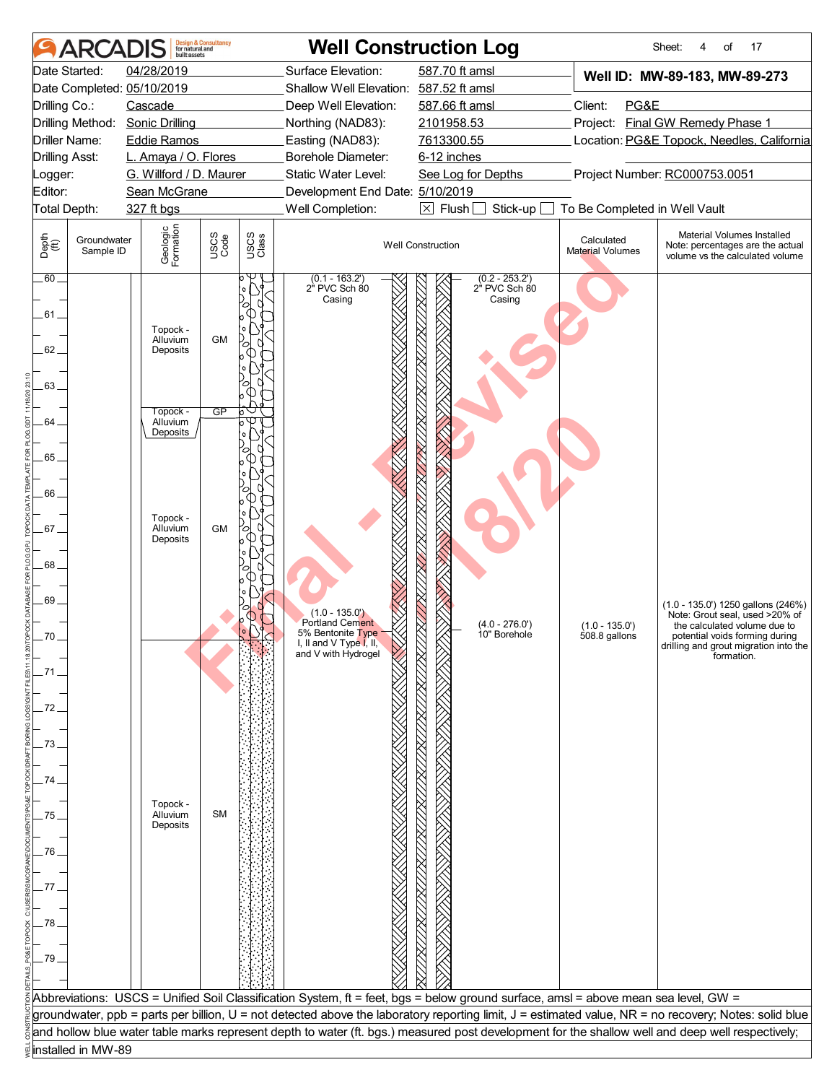|                       | <b>ARCAI</b>             | huilt assets                                | <b>Design &amp; Consultancy</b><br>for natural and |               |                                                              | <b>Well Construction Log</b>                                                                                                                     |                                | Sheet:<br>of<br>17                                                                                                                                    |
|-----------------------|--------------------------|---------------------------------------------|----------------------------------------------------|---------------|--------------------------------------------------------------|--------------------------------------------------------------------------------------------------------------------------------------------------|--------------------------------|-------------------------------------------------------------------------------------------------------------------------------------------------------|
| Date Started:         |                          | 04/28/2019<br>Date Completed: 05/10/2019    |                                                    |               | Surface Elevation:<br>Shallow Well Elevation: 587.52 ft amsl | 587.70 ft amsl                                                                                                                                   |                                | Well ID: MW-89-183, MW-89-273                                                                                                                         |
| Drilling Co.:         |                          | Cascade                                     |                                                    |               | Deep Well Elevation:                                         | 587.66 ft amsl                                                                                                                                   | Client:<br>PG&E                |                                                                                                                                                       |
| Driller Name:         | Drilling Method:         | <b>Sonic Drilling</b><br><b>Eddie Ramos</b> |                                                    |               | Northing (NAD83):<br>Easting (NAD83):                        | 2101958.53<br>7613300.55                                                                                                                         |                                | Project: Final GW Remedy Phase 1<br>Location: PG&E Topock, Needles, California                                                                        |
|                       |                          | L. Amaya / O. Flores                        |                                                    |               | Borehole Diameter:                                           | 6-12 inches                                                                                                                                      |                                |                                                                                                                                                       |
| <b>Drilling Asst:</b> |                          | G. Willford / D. Maurer                     |                                                    |               | Static Water Level:                                          | See Log for Depths                                                                                                                               |                                | Project Number: RC000753.0051                                                                                                                         |
| _ogger:<br>Editor:    |                          | Sean McGrane                                |                                                    |               | Development End Date: 5/10/2019                              |                                                                                                                                                  |                                |                                                                                                                                                       |
| Total Depth:          |                          | 327 ft bgs                                  |                                                    |               | Well Completion:                                             | $\boxtimes$ Flush<br>Stick-up                                                                                                                    | To Be Completed in Well Vault  |                                                                                                                                                       |
|                       |                          |                                             |                                                    |               |                                                              |                                                                                                                                                  |                                |                                                                                                                                                       |
| Depth<br>(ff)         | Groundwater<br>Sample ID | Geologic<br>Formation                       | USCS<br>Code                                       | USCS<br>Class |                                                              | <b>Well Construction</b>                                                                                                                         | Calculated<br>Material Volumes | Material Volumes Installed<br>Note: percentages are the actual<br>volume vs the calculated volume                                                     |
| .60.<br>.61 .<br>62.  |                          | Topock -<br>Alluvium<br>Deposits            | <b>GM</b>                                          |               | $(0.1 - 163.2')$<br>2" PVC Sch 80<br>Casing                  | $(0.2 - 253.2')$<br>2" PVC Sch 80<br>Casing                                                                                                      |                                |                                                                                                                                                       |
| 63.                   |                          |                                             |                                                    |               |                                                              |                                                                                                                                                  |                                |                                                                                                                                                       |
|                       |                          | Topock -                                    | $\overline{GP}$                                    | b             |                                                              |                                                                                                                                                  |                                |                                                                                                                                                       |
| 64.                   |                          | Alluvium<br>Deposits                        |                                                    |               |                                                              |                                                                                                                                                  |                                |                                                                                                                                                       |
| 65                    |                          |                                             |                                                    |               |                                                              |                                                                                                                                                  |                                |                                                                                                                                                       |
|                       |                          |                                             |                                                    |               |                                                              |                                                                                                                                                  |                                |                                                                                                                                                       |
| 66.                   |                          |                                             |                                                    |               |                                                              |                                                                                                                                                  |                                |                                                                                                                                                       |
|                       |                          |                                             |                                                    |               |                                                              |                                                                                                                                                  |                                |                                                                                                                                                       |
| 67.                   |                          | Topock -<br>Alluvium<br>Deposits            | <b>GM</b>                                          |               |                                                              |                                                                                                                                                  |                                |                                                                                                                                                       |
| .68.                  |                          |                                             |                                                    |               |                                                              |                                                                                                                                                  |                                |                                                                                                                                                       |
| $.69 -$               |                          |                                             |                                                    |               |                                                              |                                                                                                                                                  |                                | (1.0 - 135.0') 1250 gallons (246%)                                                                                                                    |
|                       |                          |                                             |                                                    |               | $(1.0 - 135.0)$<br><b>Portland Cement</b>                    | $(4.0 - 276.0')$                                                                                                                                 | $(1.0 - 135.0')$               | Note: Grout seal, used >20% of<br>the calculated volume due to                                                                                        |
| 70                    |                          |                                             |                                                    |               | 5% Bentonite Type                                            | 10" Borehole                                                                                                                                     | 508.8 gallons                  | potential voids forming during                                                                                                                        |
|                       |                          |                                             |                                                    |               | I, II and V I ype I, II,<br>and V with Hydrogel              |                                                                                                                                                  |                                | drilling and grout migration into the<br>formation.                                                                                                   |
| -71.                  |                          |                                             |                                                    |               |                                                              |                                                                                                                                                  |                                |                                                                                                                                                       |
|                       |                          |                                             |                                                    |               |                                                              |                                                                                                                                                  |                                |                                                                                                                                                       |
| 72                    |                          |                                             |                                                    |               |                                                              |                                                                                                                                                  |                                |                                                                                                                                                       |
|                       |                          |                                             |                                                    |               |                                                              |                                                                                                                                                  |                                |                                                                                                                                                       |
| 73                    |                          |                                             |                                                    |               |                                                              |                                                                                                                                                  |                                |                                                                                                                                                       |
|                       |                          |                                             |                                                    |               |                                                              |                                                                                                                                                  |                                |                                                                                                                                                       |
| 74                    |                          |                                             |                                                    |               |                                                              |                                                                                                                                                  |                                |                                                                                                                                                       |
|                       |                          | Topock -                                    |                                                    |               |                                                              |                                                                                                                                                  |                                |                                                                                                                                                       |
| 75                    |                          | Alluvium<br>Deposits                        | <b>SM</b>                                          |               |                                                              |                                                                                                                                                  |                                |                                                                                                                                                       |
|                       |                          |                                             |                                                    |               |                                                              |                                                                                                                                                  |                                |                                                                                                                                                       |
| 76                    |                          |                                             |                                                    |               |                                                              |                                                                                                                                                  |                                |                                                                                                                                                       |
|                       |                          |                                             |                                                    |               |                                                              |                                                                                                                                                  |                                |                                                                                                                                                       |
| 77 <sub>1</sub>       |                          |                                             |                                                    |               |                                                              |                                                                                                                                                  |                                |                                                                                                                                                       |
|                       |                          |                                             |                                                    |               |                                                              |                                                                                                                                                  |                                |                                                                                                                                                       |
| 78                    |                          |                                             |                                                    |               |                                                              |                                                                                                                                                  |                                |                                                                                                                                                       |
|                       |                          |                                             |                                                    |               |                                                              |                                                                                                                                                  |                                |                                                                                                                                                       |
| .79                   |                          |                                             |                                                    |               |                                                              |                                                                                                                                                  |                                |                                                                                                                                                       |
|                       |                          |                                             |                                                    |               |                                                              |                                                                                                                                                  |                                |                                                                                                                                                       |
|                       |                          |                                             |                                                    |               |                                                              | Abbreviations: USCS = Unified Soil Classification System, ft = feet, bgs = below ground surface, amsl = above mean sea level, GW =               |                                |                                                                                                                                                       |
|                       |                          |                                             |                                                    |               |                                                              |                                                                                                                                                  |                                | groundwater, ppb = parts per billion, U = not detected above the laboratory reporting limit, J = estimated value, NR = no recovery; Notes: solid blue |
|                       |                          |                                             |                                                    |               |                                                              | and hollow blue water table marks represent depth to water (ft. bgs.) measured post development for the shallow well and deep well respectively; |                                |                                                                                                                                                       |
|                       | installed in MW-89       |                                             |                                                    |               |                                                              |                                                                                                                                                  |                                |                                                                                                                                                       |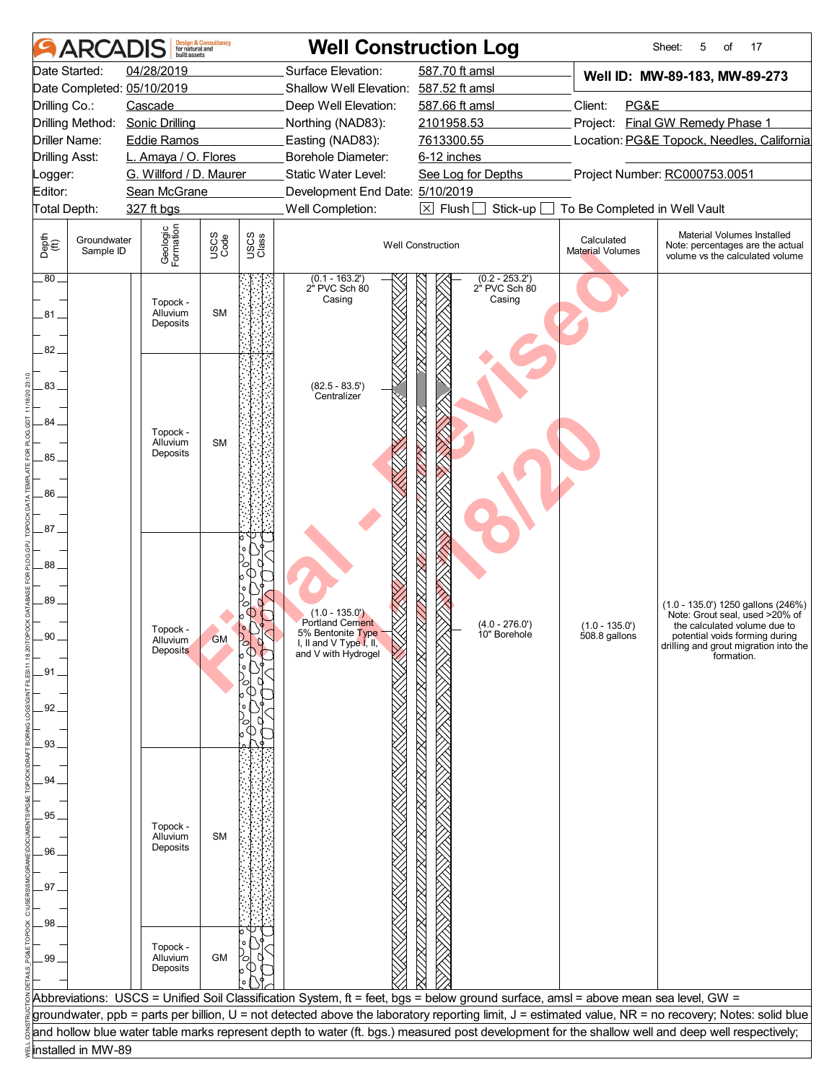|                                | <b>ARCADIS</b>           | huilt assets                    | <b>Design &amp; Consultancy</b><br>for natural and |               |                                        | <b>Well Construction Log</b>                                                                                                       |                                | Sheet:<br>17<br>5<br>of                                                                                                                               |
|--------------------------------|--------------------------|---------------------------------|----------------------------------------------------|---------------|----------------------------------------|------------------------------------------------------------------------------------------------------------------------------------|--------------------------------|-------------------------------------------------------------------------------------------------------------------------------------------------------|
|                                | Date Started:            | 04/28/2019                      |                                                    |               | Surface Elevation:                     | 587.70 ft amsl                                                                                                                     |                                | Well ID: MW-89-183, MW-89-273                                                                                                                         |
|                                |                          | Date Completed: 05/10/2019      |                                                    |               | Shallow Well Elevation: 587.52 ft amsl |                                                                                                                                    |                                |                                                                                                                                                       |
| Drilling Co.:                  |                          | Cascade                         |                                                    |               | Deep Well Elevation:                   | 587.66 ft amsl                                                                                                                     | Client:<br>PG&E                |                                                                                                                                                       |
|                                |                          | Drilling Method: Sonic Drilling |                                                    |               | Northing (NAD83):                      | 2101958.53                                                                                                                         |                                | Project: Final GW Remedy Phase 1                                                                                                                      |
| Driller Name:                  |                          | <b>Eddie Ramos</b>              |                                                    |               | Easting (NAD83):                       | 7613300.55                                                                                                                         |                                | Location: PG&E Topock, Needles, California                                                                                                            |
| <b>Drilling Asst:</b>          |                          | L. Amaya / O. Flores            |                                                    |               | Borehole Diameter:                     | 6-12 inches                                                                                                                        |                                |                                                                                                                                                       |
| _ogger:                        |                          | G. Willford / D. Maurer         |                                                    |               | Static Water Level:                    | See Log for Depths                                                                                                                 |                                | Project Number: RC000753.0051                                                                                                                         |
| Editor:                        |                          | Sean McGrane                    |                                                    |               | Development End Date: 5/10/2019        |                                                                                                                                    |                                |                                                                                                                                                       |
| Total Depth:                   |                          | 327 ft bgs                      |                                                    |               | Well Completion:                       | $\boxtimes$ Flush<br>Stick-up                                                                                                      | To Be Completed in Well Vault  |                                                                                                                                                       |
| Depth<br>$\bigoplus_{i=1}^{n}$ | Groundwater<br>Sample ID | Geologic<br>Formation           | USCS<br>Code                                       | USCS<br>Class |                                        | <b>Well Construction</b>                                                                                                           | Calculated<br>Material Volumes | Material Volumes Installed<br>Note: percentages are the actual<br>volume vs the calculated volume                                                     |
| .80.                           |                          |                                 |                                                    |               | $(0.1 - 163.2')$<br>2" PVC Sch 80      | $(0.2 - 253.2')$<br>2" PVC Sch 80                                                                                                  |                                |                                                                                                                                                       |
|                                |                          | Topock -                        |                                                    |               | Casing                                 | Casing                                                                                                                             |                                |                                                                                                                                                       |
| .81 .                          |                          | Alluvium<br>Deposits            | <b>SM</b>                                          |               |                                        |                                                                                                                                    |                                |                                                                                                                                                       |
|                                |                          |                                 |                                                    |               |                                        |                                                                                                                                    |                                |                                                                                                                                                       |
| 82.                            |                          |                                 |                                                    |               |                                        |                                                                                                                                    |                                |                                                                                                                                                       |
|                                |                          |                                 |                                                    |               |                                        |                                                                                                                                    |                                |                                                                                                                                                       |
| 83.                            |                          |                                 |                                                    |               | $(82.5 - 83.5')$<br>Centralizer        |                                                                                                                                    |                                |                                                                                                                                                       |
|                                |                          |                                 |                                                    |               |                                        |                                                                                                                                    |                                |                                                                                                                                                       |
| 84.                            |                          | Topock -                        |                                                    |               |                                        |                                                                                                                                    |                                |                                                                                                                                                       |
|                                |                          | Alluvium<br>Deposits            | <b>SM</b>                                          |               |                                        |                                                                                                                                    |                                |                                                                                                                                                       |
| 85                             |                          |                                 |                                                    |               |                                        |                                                                                                                                    |                                |                                                                                                                                                       |
|                                |                          |                                 |                                                    |               |                                        |                                                                                                                                    |                                |                                                                                                                                                       |
| 86.                            |                          |                                 |                                                    |               |                                        |                                                                                                                                    |                                |                                                                                                                                                       |
|                                |                          |                                 |                                                    |               |                                        |                                                                                                                                    |                                |                                                                                                                                                       |
| 87.                            |                          |                                 |                                                    |               |                                        |                                                                                                                                    |                                |                                                                                                                                                       |
|                                |                          |                                 |                                                    |               |                                        |                                                                                                                                    |                                |                                                                                                                                                       |
| 88                             |                          |                                 |                                                    |               |                                        |                                                                                                                                    |                                |                                                                                                                                                       |
|                                |                          |                                 |                                                    |               |                                        |                                                                                                                                    |                                |                                                                                                                                                       |
| 89_                            |                          |                                 |                                                    |               | $(1.0 - 135.0)$                        |                                                                                                                                    |                                | (1.0 - 135.0') 1250 gallons (246%)<br>Note: Grout seal. used >20% of                                                                                  |
|                                |                          | Topock -                        |                                                    |               | Portland Cement<br>5% Bentonite Type   | $(4.0 - 276.0')$                                                                                                                   | $(1.0 - 135.0')$               | the calculated volume due to                                                                                                                          |
| 90                             |                          | Alluvium<br>Deposits            | <b>GM</b>                                          |               | I, II and V Type I, II,                | 10" Borehole                                                                                                                       | 508.8 gallons                  | potential voids forming during<br>drilling and grout migration into the                                                                               |
|                                |                          |                                 |                                                    |               | and V with Hydrogel                    |                                                                                                                                    |                                | formation.                                                                                                                                            |
| .91.                           |                          |                                 |                                                    |               |                                        |                                                                                                                                    |                                |                                                                                                                                                       |
|                                |                          |                                 |                                                    |               |                                        |                                                                                                                                    |                                |                                                                                                                                                       |
| 92                             |                          |                                 |                                                    |               |                                        |                                                                                                                                    |                                |                                                                                                                                                       |
|                                |                          |                                 |                                                    |               |                                        |                                                                                                                                    |                                |                                                                                                                                                       |
| .93.                           |                          |                                 |                                                    |               |                                        |                                                                                                                                    |                                |                                                                                                                                                       |
|                                |                          |                                 |                                                    |               |                                        |                                                                                                                                    |                                |                                                                                                                                                       |
| 94                             |                          |                                 |                                                    |               |                                        |                                                                                                                                    |                                |                                                                                                                                                       |
|                                |                          |                                 |                                                    |               |                                        |                                                                                                                                    |                                |                                                                                                                                                       |
| .95                            |                          | Topock -                        |                                                    |               |                                        |                                                                                                                                    |                                |                                                                                                                                                       |
|                                |                          | Alluvium<br>Deposits            | <b>SM</b>                                          |               |                                        |                                                                                                                                    |                                |                                                                                                                                                       |
| 96                             |                          |                                 |                                                    |               |                                        |                                                                                                                                    |                                |                                                                                                                                                       |
|                                |                          |                                 |                                                    |               |                                        |                                                                                                                                    |                                |                                                                                                                                                       |
| .97.                           |                          |                                 |                                                    |               |                                        |                                                                                                                                    |                                |                                                                                                                                                       |
|                                |                          |                                 |                                                    |               |                                        |                                                                                                                                    |                                |                                                                                                                                                       |
| .98                            |                          |                                 |                                                    |               |                                        |                                                                                                                                    |                                |                                                                                                                                                       |
|                                |                          | Topock -                        |                                                    |               |                                        |                                                                                                                                    |                                |                                                                                                                                                       |
| .99                            |                          | Alluvium<br>Deposits            | GM                                                 |               |                                        |                                                                                                                                    |                                |                                                                                                                                                       |
|                                |                          |                                 |                                                    |               |                                        |                                                                                                                                    |                                |                                                                                                                                                       |
|                                |                          |                                 |                                                    |               |                                        | Abbreviations: USCS = Unified Soil Classification System, ft = feet, bgs = below ground surface, amsl = above mean sea level, GW = |                                |                                                                                                                                                       |
|                                |                          |                                 |                                                    |               |                                        |                                                                                                                                    |                                | groundwater, ppb = parts per billion, U = not detected above the laboratory reporting limit, J = estimated value, NR = no recovery; Notes: solid blue |
|                                |                          |                                 |                                                    |               |                                        |                                                                                                                                    |                                | and hollow blue water table marks represent depth to water (ft. bgs.) measured post development for the shallow well and deep well respectively;      |
|                                | installed in MW-89       |                                 |                                                    |               |                                        |                                                                                                                                    |                                |                                                                                                                                                       |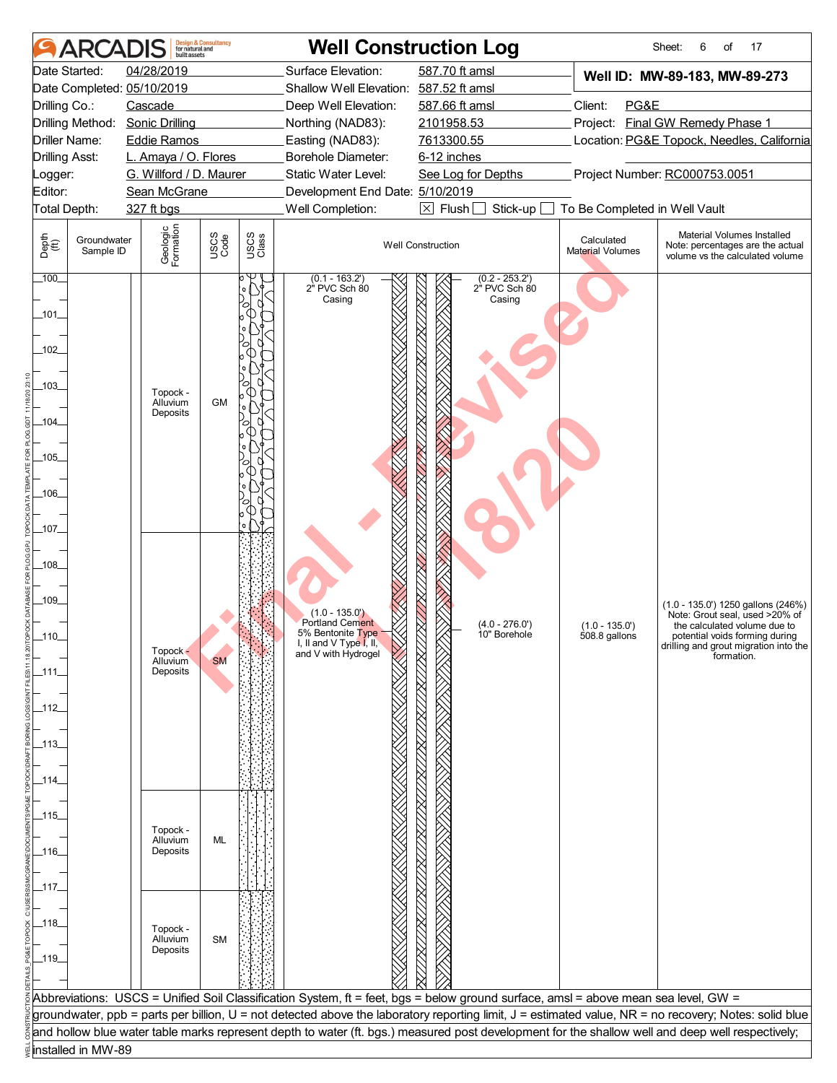|                                        | <b>ARCADIS</b>           | built assets                                | <b>Design &amp; Consultancy</b><br>for natural and |               |                                             | <b>Well Construction Log</b>                                                                                                       |                                | Sheet:<br>17<br>6<br>of                                                                                                                               |
|----------------------------------------|--------------------------|---------------------------------------------|----------------------------------------------------|---------------|---------------------------------------------|------------------------------------------------------------------------------------------------------------------------------------|--------------------------------|-------------------------------------------------------------------------------------------------------------------------------------------------------|
|                                        | Date Started:            | 04/28/2019                                  |                                                    |               | Surface Elevation:                          | 587.70 ft amsl                                                                                                                     |                                | Well ID: MW-89-183, MW-89-273                                                                                                                         |
|                                        |                          | Date Completed: 05/10/2019                  |                                                    |               | Shallow Well Elevation: 587.52 ft amsl      |                                                                                                                                    |                                |                                                                                                                                                       |
| Drilling Co.:                          |                          | Cascade                                     |                                                    |               | Deep Well Elevation:                        | 587.66 ft amsl                                                                                                                     | Client:<br>PG&E                |                                                                                                                                                       |
|                                        | Drilling Method:         | <b>Sonic Drilling</b><br><b>Eddie Ramos</b> |                                                    |               | Northing (NAD83):                           | 2101958.53                                                                                                                         |                                | Project: Final GW Remedy Phase 1                                                                                                                      |
| Driller Name:<br><b>Drilling Asst:</b> |                          | L. Amaya / O. Flores                        |                                                    |               | Easting (NAD83):<br>Borehole Diameter:      | 7613300.55<br>6-12 inches                                                                                                          |                                | Location: PG&E Topock, Needles, California                                                                                                            |
| _ogger:                                |                          | G. Willford / D. Maurer                     |                                                    |               | Static Water Level:                         | See Log for Depths                                                                                                                 |                                | Project Number: RC000753.0051                                                                                                                         |
| Editor:                                |                          | Sean McGrane                                |                                                    |               | Development End Date: 5/10/2019             |                                                                                                                                    |                                |                                                                                                                                                       |
| Total Depth:                           |                          | 327 ft bgs                                  |                                                    |               | Well Completion:                            | $\boxed{\times}$ Flush<br>Stick-up                                                                                                 | To Be Completed in Well Vault  |                                                                                                                                                       |
| Depth<br>$\bigoplus_{i=1}^{n}$         | Groundwater<br>Sample ID | Geologic<br>Formation                       | USCS<br>Code                                       | USCS<br>Class |                                             | <b>Well Construction</b>                                                                                                           | Calculated<br>Material Volumes | Material Volumes Installed<br>Note: percentages are the actual<br>volume vs the calculated volume                                                     |
| $-100$<br>_101_<br>$-102$              |                          |                                             |                                                    |               | $(0.1 - 163.2')$<br>2" PVC Sch 80<br>Casing | $(0.2 - 253.2')$<br>2" PVC Sch 80<br>Casing                                                                                        |                                |                                                                                                                                                       |
| $-103$                                 |                          | Topock -<br>Alluvium<br>Deposits            | <b>GM</b>                                          |               |                                             |                                                                                                                                    |                                |                                                                                                                                                       |
| _104_                                  |                          |                                             |                                                    |               |                                             |                                                                                                                                    |                                |                                                                                                                                                       |
| $-105$                                 |                          |                                             |                                                    |               |                                             |                                                                                                                                    |                                |                                                                                                                                                       |
| _106_                                  |                          |                                             |                                                    |               |                                             |                                                                                                                                    |                                |                                                                                                                                                       |
|                                        |                          |                                             |                                                    |               |                                             |                                                                                                                                    |                                |                                                                                                                                                       |
| _107_                                  |                          |                                             |                                                    |               |                                             |                                                                                                                                    |                                |                                                                                                                                                       |
| $-108$                                 |                          |                                             |                                                    |               |                                             |                                                                                                                                    |                                |                                                                                                                                                       |
| $-109$                                 |                          |                                             |                                                    |               | $(1.0 - 135.0)$                             |                                                                                                                                    |                                | (1.0 - 135.0') 1250 gallons (246%)                                                                                                                    |
|                                        |                          |                                             |                                                    |               | Portland Cement<br>5% Bentonite Type        | $(4.0 - 276.0')$                                                                                                                   | $(1.0 - 135.0')$               | Note: Grout seal. used >20% of<br>the calculated volume due to                                                                                        |
| $-110$                                 |                          | Topock -                                    |                                                    |               | I, II and $V$ Type I, II,                   | 10" Borehole                                                                                                                       | 508.8 gallons                  | potential voids forming during<br>drilling and grout migration into the                                                                               |
| _111_                                  |                          | Alluvium<br>Deposits                        | <b>SM</b>                                          |               | and V with Hydrogel                         |                                                                                                                                    |                                | formation.                                                                                                                                            |
| _112_                                  |                          |                                             |                                                    |               |                                             |                                                                                                                                    |                                |                                                                                                                                                       |
|                                        |                          |                                             |                                                    |               |                                             |                                                                                                                                    |                                |                                                                                                                                                       |
| _113_                                  |                          |                                             |                                                    |               |                                             |                                                                                                                                    |                                |                                                                                                                                                       |
|                                        |                          |                                             |                                                    |               |                                             |                                                                                                                                    |                                |                                                                                                                                                       |
| _114_                                  |                          |                                             |                                                    |               |                                             |                                                                                                                                    |                                |                                                                                                                                                       |
|                                        |                          |                                             |                                                    |               |                                             |                                                                                                                                    |                                |                                                                                                                                                       |
| _115_                                  |                          | Topock -                                    |                                                    |               |                                             |                                                                                                                                    |                                |                                                                                                                                                       |
| _116_                                  |                          | Alluvium<br>Deposits                        | ML                                                 |               |                                             |                                                                                                                                    |                                |                                                                                                                                                       |
|                                        |                          |                                             |                                                    |               |                                             |                                                                                                                                    |                                |                                                                                                                                                       |
| _117_                                  |                          |                                             |                                                    |               |                                             |                                                                                                                                    |                                |                                                                                                                                                       |
|                                        |                          |                                             |                                                    |               |                                             |                                                                                                                                    |                                |                                                                                                                                                       |
| _118_                                  |                          |                                             |                                                    |               |                                             |                                                                                                                                    |                                |                                                                                                                                                       |
|                                        |                          | Topock -<br>Alluvium                        | <b>SM</b>                                          |               |                                             |                                                                                                                                    |                                |                                                                                                                                                       |
| $-119$                                 |                          | Deposits                                    |                                                    |               |                                             |                                                                                                                                    |                                |                                                                                                                                                       |
|                                        |                          |                                             |                                                    |               |                                             |                                                                                                                                    |                                |                                                                                                                                                       |
|                                        |                          |                                             |                                                    |               |                                             | Abbreviations: USCS = Unified Soil Classification System, ft = feet, bgs = below ground surface, amsl = above mean sea level, GW = |                                |                                                                                                                                                       |
|                                        |                          |                                             |                                                    |               |                                             |                                                                                                                                    |                                | groundwater, ppb = parts per billion, U = not detected above the laboratory reporting limit, J = estimated value, NR = no recovery; Notes: solid blue |
|                                        |                          |                                             |                                                    |               |                                             |                                                                                                                                    |                                | and hollow blue water table marks represent depth to water (ft. bgs.) measured post development for the shallow well and deep well respectively;      |
|                                        | installed in MW-89       |                                             |                                                    |               |                                             |                                                                                                                                    |                                |                                                                                                                                                       |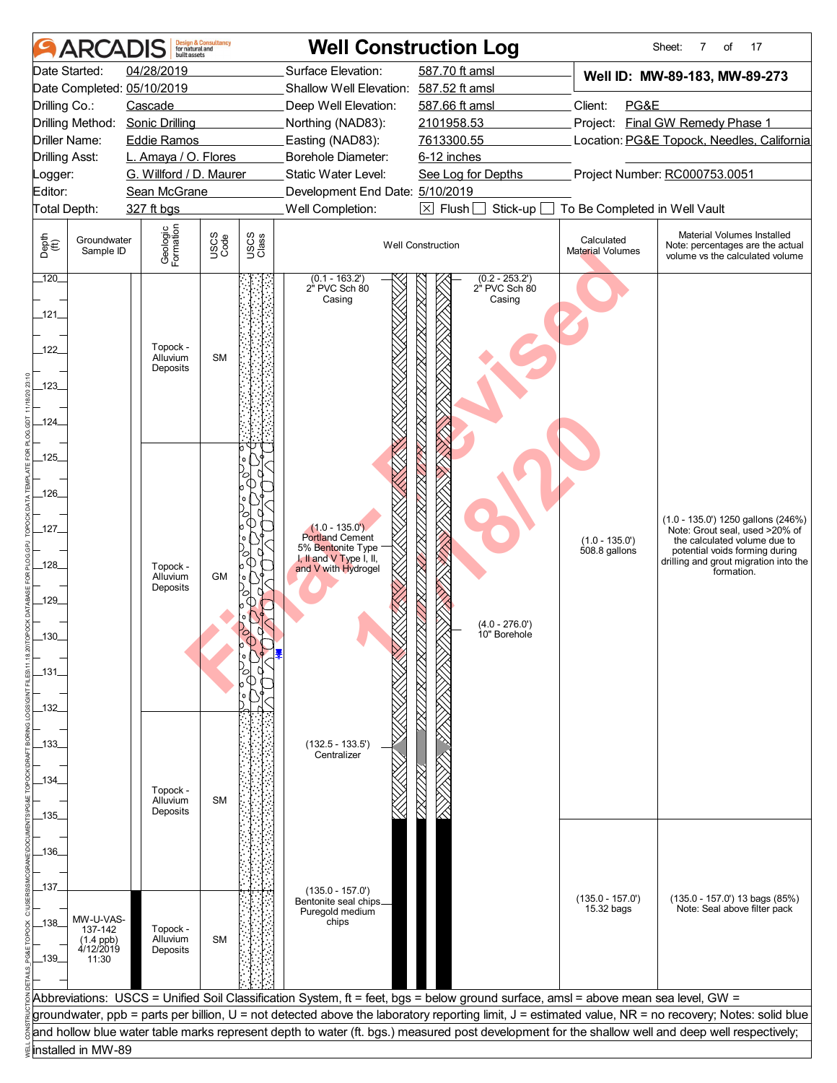|               | ARCAI                      | built assets                                    | <b>Design &amp; Consultancy</b><br>for natural and |               |                                              | <b>Well Construction Log</b>                                                                                                       |                                       | Sheet:<br>7<br>of<br>17                                                                                                                               |
|---------------|----------------------------|-------------------------------------------------|----------------------------------------------------|---------------|----------------------------------------------|------------------------------------------------------------------------------------------------------------------------------------|---------------------------------------|-------------------------------------------------------------------------------------------------------------------------------------------------------|
|               | Date Started:              | 04/28/2019                                      |                                                    |               | Surface Elevation:                           | 587.70 ft amsl                                                                                                                     |                                       | Well ID: MW-89-183, MW-89-273                                                                                                                         |
|               |                            | Date Completed: 05/10/2019                      |                                                    |               | Shallow Well Elevation: 587.52 ft amsl       |                                                                                                                                    |                                       |                                                                                                                                                       |
| Drilling Co.: |                            | Cascade                                         |                                                    |               | Deep Well Elevation:                         | 587.66 ft amsl                                                                                                                     | Client:<br>PG&E                       |                                                                                                                                                       |
|               |                            | Drilling Method: Sonic Drilling                 |                                                    |               | Northing (NAD83):                            | 2101958.53                                                                                                                         |                                       | Project: Final GW Remedy Phase 1                                                                                                                      |
|               | Driller Name:              | <b>Eddie Ramos</b>                              |                                                    |               | Easting (NAD83):<br>Borehole Diameter:       | 7613300.55<br>6-12 inches                                                                                                          |                                       | Location: PG&E Topock, Needles, California                                                                                                            |
| Logger:       | <b>Drilling Asst:</b>      | L. Amaya / O. Flores<br>G. Willford / D. Maurer |                                                    |               | Static Water Level:                          | See Log for Depths                                                                                                                 |                                       | Project Number: RC000753.0051                                                                                                                         |
| Editor:       |                            | Sean McGrane                                    |                                                    |               | Development End Date: 5/10/2019              |                                                                                                                                    |                                       |                                                                                                                                                       |
|               | Total Depth:               | 327 ft bgs                                      |                                                    |               | Well Completion:                             | $\boxtimes$ Flush $\Box$<br>Stick-up                                                                                               | To Be Completed in Well Vault         |                                                                                                                                                       |
| Depth<br>(ff) | Groundwater<br>Sample ID   | Geologic<br>Formation                           | USCS<br>Code                                       | USCS<br>Class |                                              | <b>Well Construction</b>                                                                                                           | Calculated<br><b>Material Volumes</b> | Material Volumes Installed<br>Note: percentages are the actual<br>volume vs the calculated volume                                                     |
| 120           |                            |                                                 |                                                    |               | $(0.1 - 163.2')$<br>2" PVC Sch 80<br>Casing  | $(0.2 - 253.2)$<br>$2^{\degree}$ PVC Sch $80$<br>Casing                                                                            |                                       |                                                                                                                                                       |
| $-121$        |                            |                                                 |                                                    |               |                                              |                                                                                                                                    |                                       |                                                                                                                                                       |
| 122<br>$-123$ |                            | Topock -<br>Alluvium<br>Deposits                | <b>SM</b>                                          |               |                                              |                                                                                                                                    |                                       |                                                                                                                                                       |
| $-124$        |                            |                                                 |                                                    |               |                                              |                                                                                                                                    |                                       |                                                                                                                                                       |
|               |                            |                                                 |                                                    |               |                                              |                                                                                                                                    |                                       |                                                                                                                                                       |
| $-125$        |                            |                                                 |                                                    |               |                                              |                                                                                                                                    |                                       |                                                                                                                                                       |
|               |                            |                                                 |                                                    |               |                                              |                                                                                                                                    |                                       |                                                                                                                                                       |
| $-126$        |                            |                                                 |                                                    |               |                                              |                                                                                                                                    |                                       |                                                                                                                                                       |
|               |                            |                                                 |                                                    |               |                                              |                                                                                                                                    |                                       | $(1.0 - 135.0')$ 1250 gallons $(246%)$                                                                                                                |
| $-127$        |                            |                                                 |                                                    |               | $(1.0 - 135.0')$<br>Portland Cement          |                                                                                                                                    | $(1.0 - 135.0')$                      | Note: Grout seal, used >20% of<br>the calculated volume due to                                                                                        |
|               |                            |                                                 |                                                    |               | 5% Bentonite Type<br>I, II and V Type I, II, |                                                                                                                                    | $508.8$ gallons                       | potential voids forming during<br>drilling and grout migration into the                                                                               |
| $-128$        |                            | Topock -<br>Alluvium                            | <b>GM</b>                                          |               | and V with Hydrogel                          |                                                                                                                                    |                                       | formation.                                                                                                                                            |
| $-129$        |                            | Deposits                                        |                                                    |               |                                              |                                                                                                                                    |                                       |                                                                                                                                                       |
|               |                            |                                                 |                                                    |               |                                              |                                                                                                                                    |                                       |                                                                                                                                                       |
| 130           |                            |                                                 |                                                    |               |                                              | $(4.0 - 276.0')$<br>10" Borehole                                                                                                   |                                       |                                                                                                                                                       |
|               |                            |                                                 |                                                    |               |                                              |                                                                                                                                    |                                       |                                                                                                                                                       |
| _131_         |                            |                                                 |                                                    |               |                                              |                                                                                                                                    |                                       |                                                                                                                                                       |
|               |                            |                                                 |                                                    |               |                                              |                                                                                                                                    |                                       |                                                                                                                                                       |
| _132_         |                            |                                                 |                                                    |               |                                              |                                                                                                                                    |                                       |                                                                                                                                                       |
|               |                            |                                                 |                                                    |               |                                              |                                                                                                                                    |                                       |                                                                                                                                                       |
| _133_         |                            |                                                 |                                                    |               | $(132.5 - 133.5')$<br>Centralizer            |                                                                                                                                    |                                       |                                                                                                                                                       |
|               |                            |                                                 |                                                    |               |                                              |                                                                                                                                    |                                       |                                                                                                                                                       |
| _134_         |                            | Topock -                                        |                                                    |               |                                              |                                                                                                                                    |                                       |                                                                                                                                                       |
|               |                            | Alluvium<br>Deposits                            | <b>SM</b>                                          |               |                                              |                                                                                                                                    |                                       |                                                                                                                                                       |
| _135_         |                            |                                                 |                                                    |               |                                              |                                                                                                                                    |                                       |                                                                                                                                                       |
| _136_         |                            |                                                 |                                                    |               |                                              |                                                                                                                                    |                                       |                                                                                                                                                       |
|               |                            |                                                 |                                                    |               |                                              |                                                                                                                                    |                                       |                                                                                                                                                       |
| _137_         |                            |                                                 |                                                    |               | $(135.0 - 157.0')$                           |                                                                                                                                    |                                       |                                                                                                                                                       |
|               |                            |                                                 |                                                    |               | Bentonite seal chips_                        |                                                                                                                                    | $(135.0 - 157.0')$<br>15.32 bags      | (135.0 - 157.0') 13 bags (85%)<br>Note: Seal above filter pack                                                                                        |
| $-138$        | MW-U-VAS-<br>137-142       | Topock -                                        |                                                    |               | Puregold medium<br>chips                     |                                                                                                                                    |                                       |                                                                                                                                                       |
|               | $(1.4$ ppb)<br>$4/12/2019$ | Alluvium                                        | <b>SM</b>                                          |               |                                              |                                                                                                                                    |                                       |                                                                                                                                                       |
| $-139$        | 11:30                      | Deposits                                        |                                                    |               |                                              |                                                                                                                                    |                                       |                                                                                                                                                       |
|               |                            |                                                 |                                                    |               |                                              |                                                                                                                                    |                                       |                                                                                                                                                       |
|               |                            |                                                 |                                                    |               |                                              | Abbreviations: USCS = Unified Soil Classification System, ft = feet, bgs = below ground surface, amsl = above mean sea level, GW = |                                       |                                                                                                                                                       |
|               |                            |                                                 |                                                    |               |                                              |                                                                                                                                    |                                       | groundwater, ppb = parts per billion, U = not detected above the laboratory reporting limit, J = estimated value, NR = no recovery; Notes: solid blue |
|               |                            |                                                 |                                                    |               |                                              |                                                                                                                                    |                                       | and hollow blue water table marks represent depth to water (ft. bgs.) measured post development for the shallow well and deep well respectively;      |
|               | installed in MW-89         |                                                 |                                                    |               |                                              |                                                                                                                                    |                                       |                                                                                                                                                       |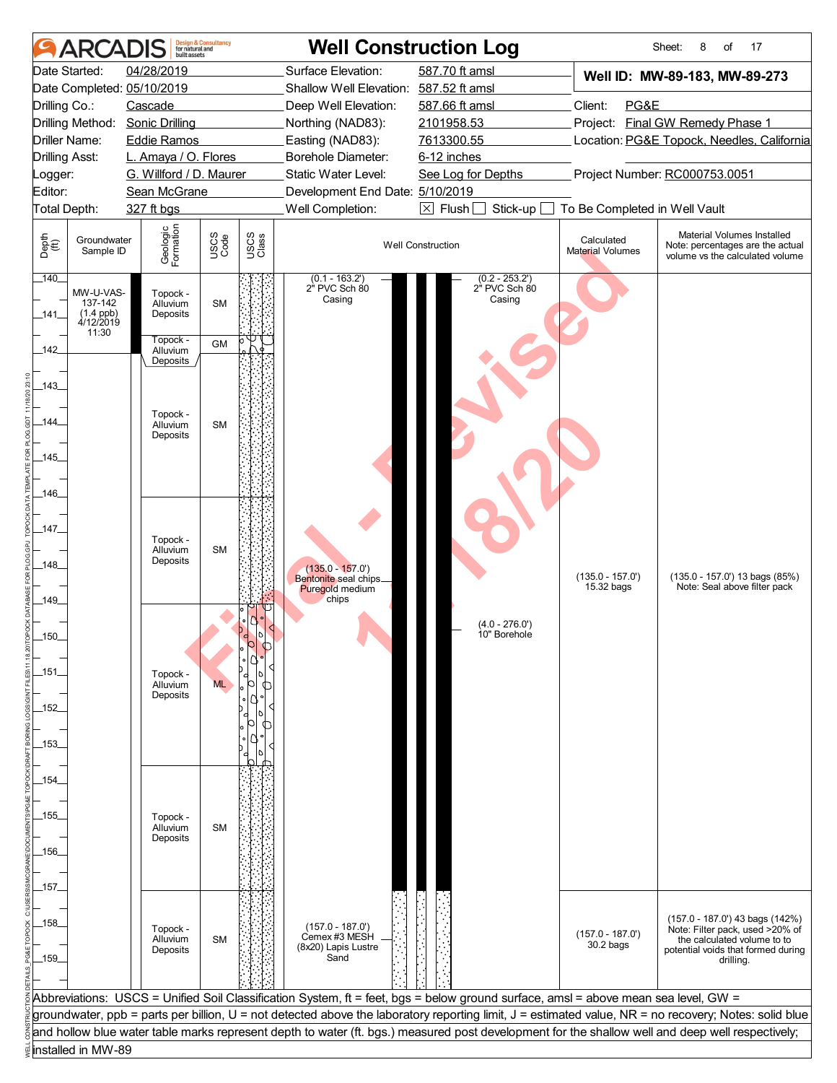|                       | <b>ARCADIS</b>                                     | huilt assets                     | <b>Design &amp; Consultancy</b><br>for natural and |               | <b>Well Construction Log</b>                                  |                                                                                                                                    |                                   | Sheet:<br>8<br>17<br>of                                                                                                                               |
|-----------------------|----------------------------------------------------|----------------------------------|----------------------------------------------------|---------------|---------------------------------------------------------------|------------------------------------------------------------------------------------------------------------------------------------|-----------------------------------|-------------------------------------------------------------------------------------------------------------------------------------------------------|
|                       | Date Started:                                      | 04/28/2019                       |                                                    |               | Surface Elevation:                                            | 587.70 ft amsl                                                                                                                     |                                   | Well ID: MW-89-183, MW-89-273                                                                                                                         |
|                       |                                                    | Date Completed: 05/10/2019       |                                                    |               | Shallow Well Elevation: 587.52 ft amsl                        |                                                                                                                                    |                                   |                                                                                                                                                       |
| Drilling Co.:         |                                                    | Cascade                          |                                                    |               | Deep Well Elevation:                                          | 587.66 ft amsl                                                                                                                     | Client:<br>PG&E                   |                                                                                                                                                       |
|                       |                                                    | Drilling Method: Sonic Drilling  |                                                    |               | Northing (NAD83):                                             | 2101958.53                                                                                                                         |                                   | Project: Final GW Remedy Phase 1                                                                                                                      |
|                       | Driller Name:                                      | <b>Eddie Ramos</b>               |                                                    |               | Easting (NAD83):                                              | 7613300.55                                                                                                                         |                                   | Location: PG&E Topock, Needles, California                                                                                                            |
| <b>Drilling Asst:</b> |                                                    | L. Amaya / O. Flores             |                                                    |               | Borehole Diameter:                                            | 6-12 inches                                                                                                                        |                                   |                                                                                                                                                       |
| _ogger:               |                                                    | G. Willford / D. Maurer          |                                                    |               | Static Water Level:                                           | See Log for Depths                                                                                                                 |                                   | Project Number: RC000753.0051                                                                                                                         |
| Editor:               |                                                    | Sean McGrane                     |                                                    |               | Development End Date: 5/10/2019                               |                                                                                                                                    |                                   |                                                                                                                                                       |
| Total Depth:          |                                                    | 327 ft bgs                       |                                                    |               | Well Completion:                                              | $\boxtimes$ Flush [<br>Stick-up                                                                                                    | To Be Completed in Well Vault     |                                                                                                                                                       |
| Depth<br>(ff)         | Groundwater<br>Sample ID                           | Geologic<br>Formation            | USCS<br>Code                                       | USCS<br>Class |                                                               | <b>Well Construction</b>                                                                                                           | Calculated<br>Material Volumes    | Material Volumes Installed<br>Note: percentages are the actual<br>volume vs the calculated volume                                                     |
| $-140$<br>$-141$      | MW-U-VAS-<br>137-142<br>$(1.4$ ppb)<br>$4/12/2019$ | Topock -<br>Alluvium<br>Deposits | <b>SM</b>                                          |               | $(0.1 - 163.2)$<br>2" PVC Sch 80<br>Casing                    | $(0.2 - 253.2')$<br>2" PVC Sch 80<br>Casing                                                                                        |                                   |                                                                                                                                                       |
| $-142$                | 11:30                                              | Topock -<br>Alluvium             | <b>GM</b>                                          |               |                                                               |                                                                                                                                    |                                   |                                                                                                                                                       |
| $-143$                |                                                    | Deposits                         |                                                    |               |                                                               |                                                                                                                                    |                                   |                                                                                                                                                       |
|                       |                                                    | Topock -                         |                                                    |               |                                                               |                                                                                                                                    |                                   |                                                                                                                                                       |
| _144_                 |                                                    | Alluvium<br>Deposits             | <b>SM</b>                                          |               |                                                               |                                                                                                                                    |                                   |                                                                                                                                                       |
| $-145$                |                                                    |                                  |                                                    |               |                                                               |                                                                                                                                    |                                   |                                                                                                                                                       |
| _146_                 |                                                    |                                  |                                                    |               |                                                               |                                                                                                                                    |                                   |                                                                                                                                                       |
| $-147$                |                                                    |                                  |                                                    |               |                                                               |                                                                                                                                    |                                   |                                                                                                                                                       |
| $-148$                |                                                    | Topock -<br>Alluvium<br>Deposits | <b>SM</b>                                          |               |                                                               |                                                                                                                                    |                                   |                                                                                                                                                       |
|                       |                                                    |                                  |                                                    |               | $(135.0 - 157.0)$<br>Bentonite seal chips_<br>Puregold medium |                                                                                                                                    | $(135.0 - 157.0')$<br>15.32 bags  | (135.0 - 157.0') 13 bags (85%)<br>Note: Seal above filter pack                                                                                        |
| $-149$                |                                                    |                                  |                                                    |               | chips                                                         | $(4.0 - 276.0)$                                                                                                                    |                                   |                                                                                                                                                       |
| $.150 -$              |                                                    |                                  |                                                    |               |                                                               | 10" Borehole                                                                                                                       |                                   |                                                                                                                                                       |
| _151_                 |                                                    | Topock -<br>Alluvium             | <b>ML</b>                                          |               |                                                               |                                                                                                                                    |                                   |                                                                                                                                                       |
| _152_                 |                                                    | Deposits                         |                                                    |               |                                                               |                                                                                                                                    |                                   |                                                                                                                                                       |
| _153_                 |                                                    |                                  |                                                    |               |                                                               |                                                                                                                                    |                                   |                                                                                                                                                       |
|                       |                                                    |                                  |                                                    |               |                                                               |                                                                                                                                    |                                   |                                                                                                                                                       |
| _154_                 |                                                    |                                  |                                                    |               |                                                               |                                                                                                                                    |                                   |                                                                                                                                                       |
| _155_                 |                                                    | Topock -<br>Alluvium             | <b>SM</b>                                          |               |                                                               |                                                                                                                                    |                                   |                                                                                                                                                       |
| _156_                 |                                                    | Deposits                         |                                                    |               |                                                               |                                                                                                                                    |                                   |                                                                                                                                                       |
| _157_                 |                                                    |                                  |                                                    |               |                                                               |                                                                                                                                    |                                   |                                                                                                                                                       |
|                       |                                                    |                                  |                                                    |               |                                                               |                                                                                                                                    |                                   | (157.0 - 187.0') 43 bags (142%)                                                                                                                       |
| _158_                 |                                                    | Topock -<br>Alluvium<br>Deposits | <b>SM</b>                                          |               | $(157.0 - 187.0')$<br>Cemex #3 MESH<br>(8x20) Lapis Lustre    |                                                                                                                                    | $(157.0 - 187.0')$<br>$30.2$ bags | Note: Filter pack, used >20% of<br>the calculated volume to to<br>potential voids that formed during                                                  |
| _159_                 |                                                    |                                  |                                                    |               | Sand                                                          |                                                                                                                                    |                                   | drilling.                                                                                                                                             |
|                       |                                                    |                                  |                                                    |               |                                                               | Abbreviations: USCS = Unified Soil Classification System, ft = feet, bgs = below ground surface, amsl = above mean sea level, GW = |                                   |                                                                                                                                                       |
|                       |                                                    |                                  |                                                    |               |                                                               |                                                                                                                                    |                                   | groundwater, ppb = parts per billion, U = not detected above the laboratory reporting limit, J = estimated value, NR = no recovery; Notes: solid blue |
|                       |                                                    |                                  |                                                    |               |                                                               |                                                                                                                                    |                                   | and hollow blue water table marks represent depth to water (ft. bgs.) measured post development for the shallow well and deep well respectively;      |
|                       | installed in MW-89                                 |                                  |                                                    |               |                                                               |                                                                                                                                    |                                   |                                                                                                                                                       |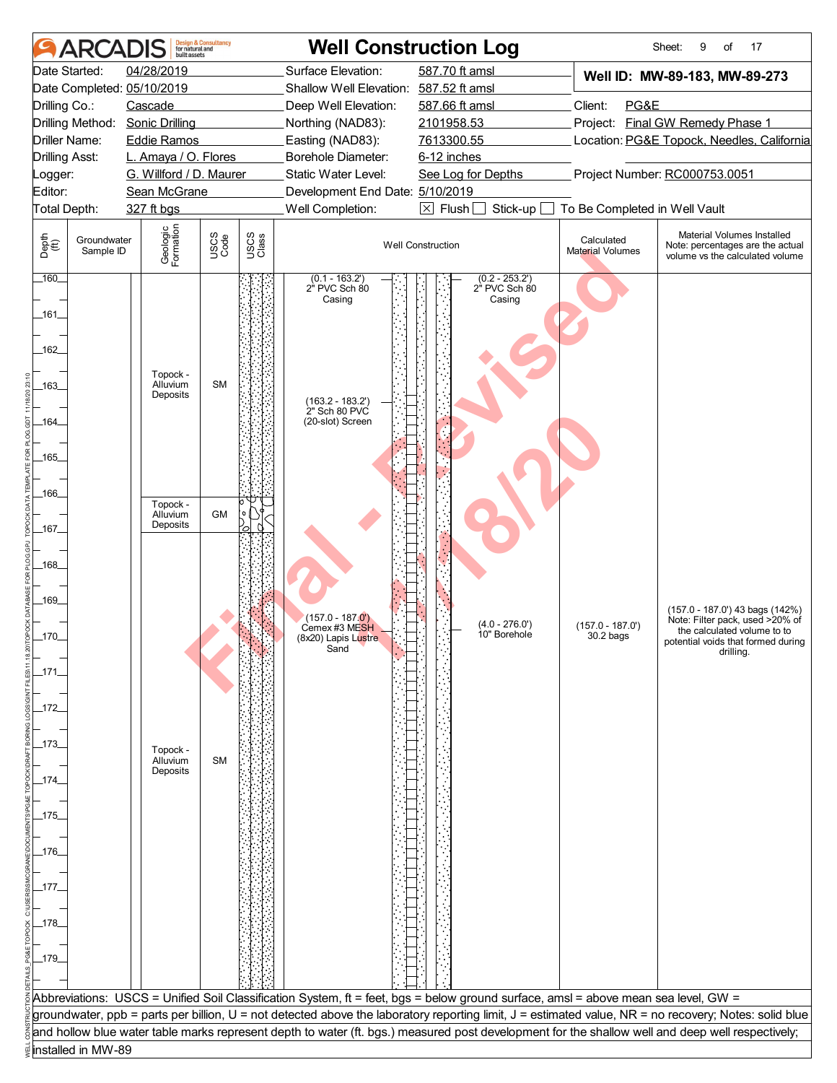| <b>ARCADIS</b>                                             | built assets                                | <b>Design &amp; Consultancy</b><br>for natural and |               |                                                       | <b>Well Construction Log</b>                                                                                                       |                                       | Sheet:<br>17<br>9<br>of                                                                                                                               |
|------------------------------------------------------------|---------------------------------------------|----------------------------------------------------|---------------|-------------------------------------------------------|------------------------------------------------------------------------------------------------------------------------------------|---------------------------------------|-------------------------------------------------------------------------------------------------------------------------------------------------------|
| Date Started:                                              | 04/28/2019                                  |                                                    |               | Surface Elevation:                                    | 587.70 ft amsl                                                                                                                     |                                       | Well ID: MW-89-183, MW-89-273                                                                                                                         |
| Date Completed: 05/10/2019                                 |                                             |                                                    |               | Shallow Well Elevation: 587.52 ft amsl                |                                                                                                                                    |                                       |                                                                                                                                                       |
| Drilling Co.:                                              | Cascade                                     |                                                    |               | Deep Well Elevation:                                  | 587.66 ft amsl                                                                                                                     | Client:<br>PG&E                       | Project: Final GW Remedy Phase 1                                                                                                                      |
| Drilling Method:<br>Driller Name:                          | <b>Sonic Drilling</b><br><b>Eddie Ramos</b> |                                                    |               | Northing (NAD83):<br>Easting (NAD83):                 | 2101958.53<br>7613300.55                                                                                                           |                                       | Location: PG&E Topock, Needles, California                                                                                                            |
| <b>Drilling Asst:</b>                                      | L. Amaya / O. Flores                        |                                                    |               | <b>Borehole Diameter:</b>                             | 6-12 inches                                                                                                                        |                                       |                                                                                                                                                       |
| Logger:                                                    | G. Willford / D. Maurer                     |                                                    |               | Static Water Level:                                   | See Log for Depths                                                                                                                 |                                       | Project Number: RC000753.0051                                                                                                                         |
| Editor:                                                    | Sean McGrane                                |                                                    |               | Development End Date: 5/10/2019                       |                                                                                                                                    |                                       |                                                                                                                                                       |
| Total Depth:                                               | 327 ft bgs                                  |                                                    |               | Well Completion:                                      | $\boxed{\times}$ Flush<br>Stick-up                                                                                                 | To Be Completed in Well Vault         |                                                                                                                                                       |
| Depth<br>$\bigoplus_{i=1}^{n}$<br>Groundwater<br>Sample ID | Geologic<br>Formation                       | USCS<br>Code                                       | USCS<br>Class |                                                       | <b>Well Construction</b>                                                                                                           | Calculated<br><b>Material Volumes</b> | Material Volumes Installed<br>Note: percentages are the actual<br>volume vs the calculated volume                                                     |
| $160-$<br>_161_                                            |                                             |                                                    |               | $(0.1 - 163.2')$<br>2" PVC Sch 80<br>Casing           | $(0.2 - 253.2)$<br>2" PVC Sch 80<br>Casing                                                                                         |                                       |                                                                                                                                                       |
| $-162$                                                     | Topock -                                    |                                                    |               |                                                       |                                                                                                                                    |                                       |                                                                                                                                                       |
| _163_<br>164.                                              | Alluvium<br>Deposits                        | <b>SM</b>                                          |               | (163.2 - 183.2')<br>2" Sch 80 PVC<br>(20-slot) Screen |                                                                                                                                    |                                       |                                                                                                                                                       |
|                                                            |                                             |                                                    |               |                                                       |                                                                                                                                    |                                       |                                                                                                                                                       |
| $-165$                                                     |                                             |                                                    |               |                                                       |                                                                                                                                    |                                       |                                                                                                                                                       |
|                                                            |                                             |                                                    |               |                                                       |                                                                                                                                    |                                       |                                                                                                                                                       |
| _166_                                                      | Topock -                                    |                                                    |               |                                                       |                                                                                                                                    |                                       |                                                                                                                                                       |
|                                                            | Alluvium<br>Deposits                        | <b>GM</b>                                          |               |                                                       |                                                                                                                                    |                                       |                                                                                                                                                       |
| _167_                                                      |                                             |                                                    |               |                                                       |                                                                                                                                    |                                       |                                                                                                                                                       |
| $-168$                                                     |                                             |                                                    |               |                                                       |                                                                                                                                    |                                       |                                                                                                                                                       |
|                                                            |                                             |                                                    |               |                                                       |                                                                                                                                    |                                       |                                                                                                                                                       |
| $-169$                                                     |                                             |                                                    |               |                                                       |                                                                                                                                    |                                       |                                                                                                                                                       |
|                                                            |                                             |                                                    |               | $(157.0 - 187.0')$<br>Cemex #3 MESH                   | $(4.0 - 276.0')$                                                                                                                   | $(157.0 - 187.0')$                    | (157.0 - 187.0') 43 bags (142%)<br>Note: Filter pack, used >20% of                                                                                    |
| 170                                                        |                                             |                                                    |               | (8x20) Lapis L <mark>us</mark> tre<br>Sand            | 10" Borehole                                                                                                                       | $30.2$ bags                           | the calculated volume to to<br>potential voids that formed during                                                                                     |
|                                                            |                                             |                                                    |               |                                                       |                                                                                                                                    |                                       | drilling.                                                                                                                                             |
| _171_                                                      |                                             |                                                    |               |                                                       |                                                                                                                                    |                                       |                                                                                                                                                       |
| $-172$                                                     |                                             |                                                    |               |                                                       |                                                                                                                                    |                                       |                                                                                                                                                       |
|                                                            |                                             |                                                    |               |                                                       |                                                                                                                                    |                                       |                                                                                                                                                       |
| _173_                                                      | Topock -                                    |                                                    |               |                                                       |                                                                                                                                    |                                       |                                                                                                                                                       |
|                                                            | Alluvium<br>Deposits                        | <b>SM</b>                                          |               |                                                       |                                                                                                                                    |                                       |                                                                                                                                                       |
| $-174$                                                     |                                             |                                                    |               |                                                       |                                                                                                                                    |                                       |                                                                                                                                                       |
|                                                            |                                             |                                                    |               |                                                       |                                                                                                                                    |                                       |                                                                                                                                                       |
| $-175$                                                     |                                             |                                                    |               |                                                       |                                                                                                                                    |                                       |                                                                                                                                                       |
| _176_                                                      |                                             |                                                    |               |                                                       |                                                                                                                                    |                                       |                                                                                                                                                       |
|                                                            |                                             |                                                    |               |                                                       |                                                                                                                                    |                                       |                                                                                                                                                       |
| _177_                                                      |                                             |                                                    |               |                                                       |                                                                                                                                    |                                       |                                                                                                                                                       |
|                                                            |                                             |                                                    |               |                                                       |                                                                                                                                    |                                       |                                                                                                                                                       |
| _178_                                                      |                                             |                                                    |               |                                                       |                                                                                                                                    |                                       |                                                                                                                                                       |
|                                                            |                                             |                                                    |               |                                                       |                                                                                                                                    |                                       |                                                                                                                                                       |
| $-179$                                                     |                                             |                                                    |               |                                                       |                                                                                                                                    |                                       |                                                                                                                                                       |
|                                                            |                                             |                                                    |               |                                                       |                                                                                                                                    |                                       |                                                                                                                                                       |
|                                                            |                                             |                                                    |               |                                                       | Abbreviations: USCS = Unified Soil Classification System, ft = feet, bgs = below ground surface, amsl = above mean sea level, GW = |                                       | groundwater, ppb = parts per billion, U = not detected above the laboratory reporting limit, J = estimated value, NR = no recovery; Notes: solid blue |
|                                                            |                                             |                                                    |               |                                                       |                                                                                                                                    |                                       | and hollow blue water table marks represent depth to water (ft. bgs.) measured post development for the shallow well and deep well respectively;      |
| installed in MW-89                                         |                                             |                                                    |               |                                                       |                                                                                                                                    |                                       |                                                                                                                                                       |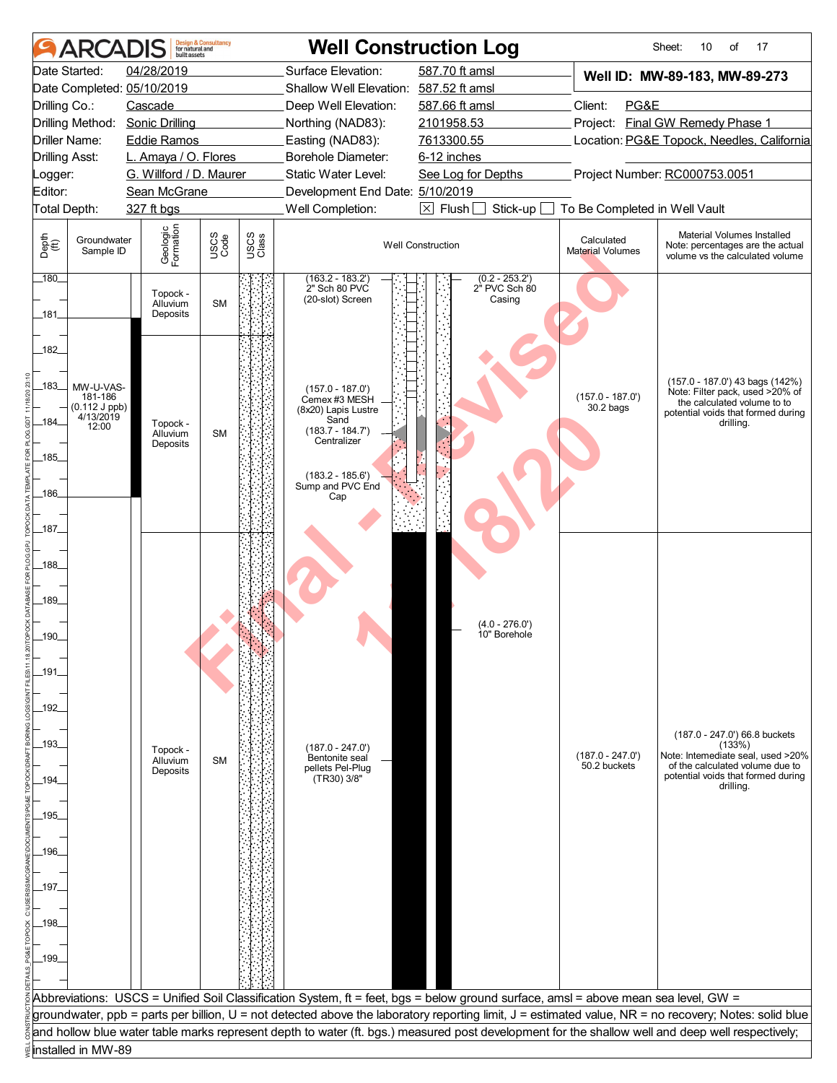|                       | <b>ARCAI</b>                                         | huilt assets                            | <b>Design &amp; Consultancy</b><br>for natural and |               |                                                                                                                                    | <b>Well Construction Log</b>                            |                                       | 17<br>Sheet:<br>10<br>of                                                                                                                              |
|-----------------------|------------------------------------------------------|-----------------------------------------|----------------------------------------------------|---------------|------------------------------------------------------------------------------------------------------------------------------------|---------------------------------------------------------|---------------------------------------|-------------------------------------------------------------------------------------------------------------------------------------------------------|
|                       | Date Started:                                        | 04/28/2019                              |                                                    |               | Surface Elevation:                                                                                                                 | 587.70 ft amsl                                          |                                       | Well ID: MW-89-183, MW-89-273                                                                                                                         |
|                       |                                                      | Date Completed: 05/10/2019              |                                                    |               | Shallow Well Elevation: 587.52 ft amsl                                                                                             |                                                         |                                       |                                                                                                                                                       |
| Drilling Co.:         |                                                      | Cascade                                 |                                                    |               | Deep Well Elevation:                                                                                                               | 587.66 ft amsl                                          | PG&E<br>Client:                       |                                                                                                                                                       |
|                       |                                                      | Drilling Method: Sonic Drilling         |                                                    |               | Northing (NAD83):                                                                                                                  | 2101958.53                                              |                                       | Project: Final GW Remedy Phase 1                                                                                                                      |
| <b>Driller Name:</b>  |                                                      | <b>Eddie Ramos</b>                      |                                                    |               | Easting (NAD83):                                                                                                                   | 7613300.55                                              |                                       | Location: PG&E Topock, Needles, California                                                                                                            |
| <b>Drilling Asst:</b> |                                                      | L. Amaya / O. Flores                    |                                                    |               | Borehole Diameter:                                                                                                                 | 6-12 inches                                             |                                       |                                                                                                                                                       |
| Logger:<br>Editor:    |                                                      | G. Willford / D. Maurer<br>Sean McGrane |                                                    |               | Static Water Level:                                                                                                                | See Log for Depths                                      |                                       | Project Number: RC000753.0051                                                                                                                         |
| Total Depth:          |                                                      | 327 ft bgs                              |                                                    |               | Development End Date: 5/10/2019<br>Well Completion:                                                                                | $\boxed{\times}$ Flush<br>Stick-up                      | To Be Completed in Well Vault         |                                                                                                                                                       |
|                       |                                                      |                                         |                                                    |               |                                                                                                                                    |                                                         |                                       |                                                                                                                                                       |
| Depth<br>(ff)         | Groundwater<br>Sample ID                             | Geologic<br>Formation                   | USCS<br>Code                                       | USCS<br>Class |                                                                                                                                    | <b>Well Construction</b>                                | Calculated<br><b>Material Volumes</b> | Material Volumes Installed<br>Note: percentages are the actual<br>volume vs the calculated volume                                                     |
| 180                   |                                                      | Topock -<br>Alluvium                    | <b>SM</b>                                          |               | $(163.2 - 183.2)$<br>2" Sch 80 PVC<br>(20-slot) Screen                                                                             | $(0.2 - 253.2')$<br>2 <sup>"</sup> PVC Sch 80<br>Casing |                                       |                                                                                                                                                       |
| 181<br>182            |                                                      | Deposits                                |                                                    |               |                                                                                                                                    |                                                         |                                       |                                                                                                                                                       |
| _183_                 | MW-U-VAS-<br>181-186<br>$(0.112$ J ppb)<br>4/13/2019 |                                         |                                                    |               | $(157.0 - 187.0')$<br>Cemex #3 MESH<br>(8x20) Lapis Lustre<br>Sand                                                                 |                                                         | $(157.0 - 187.0')$<br>$30.2$ bags     | (157.0 - 187.0') 43 bags (142%)<br>Note: Filter pack, used >20% of<br>the calculated volume to to<br>potential voids that formed during               |
| _184_                 | 12:00                                                | Topock -<br>Alluvium<br>Deposits        | <b>SM</b>                                          |               | $(183.7 - 184.7')$<br>Centralizer                                                                                                  |                                                         |                                       | drilling.                                                                                                                                             |
| .185.                 |                                                      |                                         |                                                    |               |                                                                                                                                    |                                                         |                                       |                                                                                                                                                       |
| 186                   |                                                      |                                         |                                                    |               | $(183.2 - 185.6')$<br>Sump and PVC End                                                                                             |                                                         |                                       |                                                                                                                                                       |
|                       |                                                      |                                         |                                                    |               | Cap                                                                                                                                |                                                         |                                       |                                                                                                                                                       |
| _187_                 |                                                      |                                         |                                                    |               |                                                                                                                                    |                                                         |                                       |                                                                                                                                                       |
| 188                   |                                                      |                                         |                                                    |               |                                                                                                                                    |                                                         |                                       |                                                                                                                                                       |
| 189                   |                                                      |                                         |                                                    |               |                                                                                                                                    |                                                         |                                       |                                                                                                                                                       |
| 190                   |                                                      |                                         |                                                    |               |                                                                                                                                    | $(4.0 - 276.0')$<br>10" Borehole                        |                                       |                                                                                                                                                       |
|                       |                                                      |                                         |                                                    |               |                                                                                                                                    |                                                         |                                       |                                                                                                                                                       |
| _191                  |                                                      |                                         |                                                    |               |                                                                                                                                    |                                                         |                                       |                                                                                                                                                       |
|                       |                                                      |                                         |                                                    |               |                                                                                                                                    |                                                         |                                       |                                                                                                                                                       |
| 192                   |                                                      |                                         |                                                    |               |                                                                                                                                    |                                                         |                                       | (187.0 - 247.0') 66.8 buckets                                                                                                                         |
| _193_                 |                                                      | Topock -                                |                                                    |               | $(187.0 - 247.0')$                                                                                                                 |                                                         |                                       | (133%)<br>Note: Intemediate seal, used >20%                                                                                                           |
|                       |                                                      | Alluvium<br>Deposits                    | <b>SM</b>                                          |               | Bentonite seal<br>pellets Pel-Plug                                                                                                 |                                                         | $(187.0 - 247.0')$<br>50.2 buckets    | of the calculated volume due to                                                                                                                       |
| .194.                 |                                                      |                                         |                                                    |               | (TR30) 3/8"                                                                                                                        |                                                         |                                       | potential voids that formed during<br>drilling.                                                                                                       |
|                       |                                                      |                                         |                                                    |               |                                                                                                                                    |                                                         |                                       |                                                                                                                                                       |
| _195_                 |                                                      |                                         |                                                    |               |                                                                                                                                    |                                                         |                                       |                                                                                                                                                       |
|                       |                                                      |                                         |                                                    |               |                                                                                                                                    |                                                         |                                       |                                                                                                                                                       |
| 196                   |                                                      |                                         |                                                    |               |                                                                                                                                    |                                                         |                                       |                                                                                                                                                       |
|                       |                                                      |                                         |                                                    |               |                                                                                                                                    |                                                         |                                       |                                                                                                                                                       |
| 197_                  |                                                      |                                         |                                                    |               |                                                                                                                                    |                                                         |                                       |                                                                                                                                                       |
|                       |                                                      |                                         |                                                    |               |                                                                                                                                    |                                                         |                                       |                                                                                                                                                       |
| .198.                 |                                                      |                                         |                                                    |               |                                                                                                                                    |                                                         |                                       |                                                                                                                                                       |
|                       |                                                      |                                         |                                                    |               |                                                                                                                                    |                                                         |                                       |                                                                                                                                                       |
| $-199-$               |                                                      |                                         |                                                    |               |                                                                                                                                    |                                                         |                                       |                                                                                                                                                       |
|                       |                                                      |                                         |                                                    |               |                                                                                                                                    |                                                         |                                       |                                                                                                                                                       |
|                       |                                                      |                                         |                                                    |               | Abbreviations: USCS = Unified Soil Classification System, ft = feet, bgs = below ground surface, amsl = above mean sea level, GW = |                                                         |                                       |                                                                                                                                                       |
|                       |                                                      |                                         |                                                    |               |                                                                                                                                    |                                                         |                                       | groundwater, ppb = parts per billion, U = not detected above the laboratory reporting limit, J = estimated value, NR = no recovery; Notes: solid blue |
|                       |                                                      |                                         |                                                    |               |                                                                                                                                    |                                                         |                                       | and hollow blue water table marks represent depth to water (ft. bgs.) measured post development for the shallow well and deep well respectively;      |
|                       | installed in MW-89                                   |                                         |                                                    |               |                                                                                                                                    |                                                         |                                       |                                                                                                                                                       |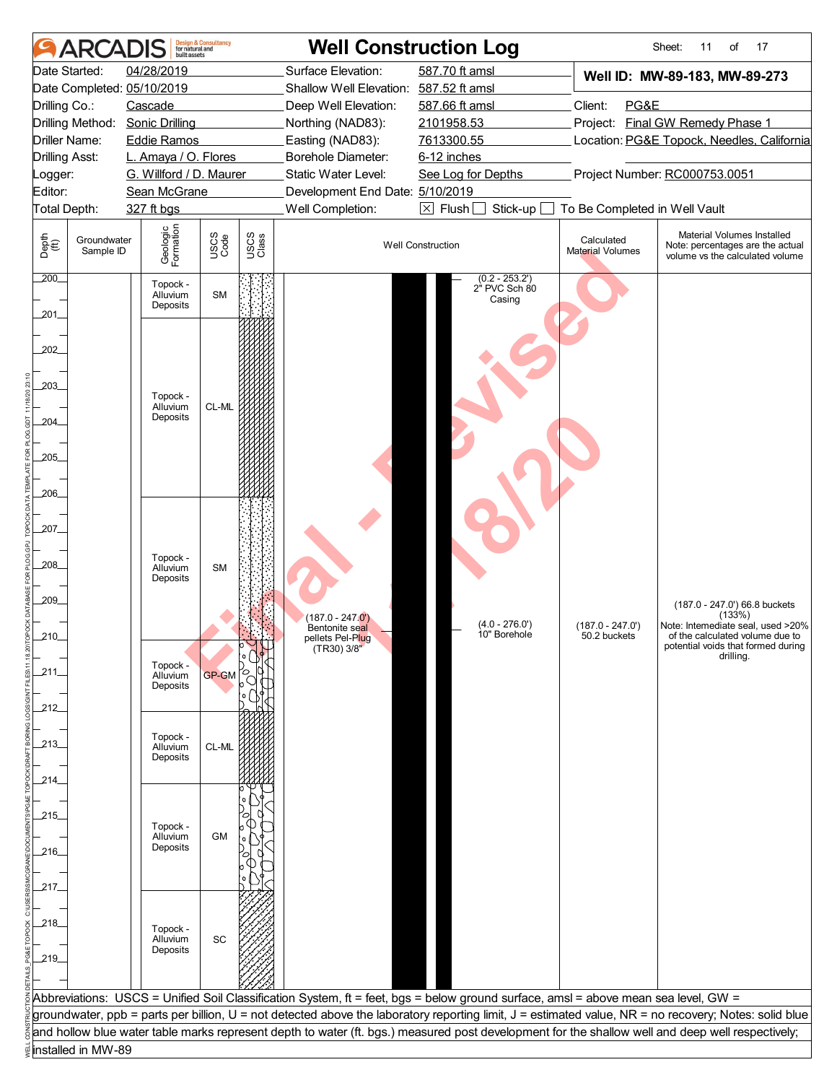|                                                                                                                                                                                        | ARCADIS                  | huilt assets                                                                                                                 | <b>Design &amp; Consultancy</b><br>for natural and |               | <b>Well Construction Log</b>                                                                                                                                                                                                      |                                                                                                                                    |                                                  | 17<br>Sheet:<br>11<br>of                                                                                                                              |
|----------------------------------------------------------------------------------------------------------------------------------------------------------------------------------------|--------------------------|------------------------------------------------------------------------------------------------------------------------------|----------------------------------------------------|---------------|-----------------------------------------------------------------------------------------------------------------------------------------------------------------------------------------------------------------------------------|------------------------------------------------------------------------------------------------------------------------------------|--------------------------------------------------|-------------------------------------------------------------------------------------------------------------------------------------------------------|
| Date Started:<br>Date Completed: 05/10/2019<br>Drilling Co.:<br>Drilling Method: Sonic Drilling<br><b>Driller Name:</b><br><b>Drilling Asst:</b><br>Logger:<br>Editor:<br>Total Depth: |                          | 04/28/2019<br>Cascade<br><b>Eddie Ramos</b><br>L. Amaya / O. Flores<br>G. Willford / D. Maurer<br>Sean McGrane<br>327 ft bgs |                                                    |               | Surface Elevation:<br>Shallow Well Elevation: 587.52 ft amsl<br>Deep Well Elevation:<br>Northing (NAD83):<br>Easting (NAD83):<br>Borehole Diameter:<br>Static Water Level:<br>Development End Date: 5/10/2019<br>Well Completion: | 587.70 ft amsl<br>587.66 ft amsl<br>2101958.53<br>7613300.55<br>6-12 inches<br>See Log for Depths<br>$\boxtimes$ Flush<br>Stick-up | Client:<br>PG&E<br>To Be Completed in Well Vault | Well ID: MW-89-183, MW-89-273<br>Project: Final GW Remedy Phase 1<br>Location: PG&E Topock, Needles, California<br>Project Number: RC000753.0051      |
| Depth<br>(ff)                                                                                                                                                                          | Groundwater<br>Sample ID | Geologic<br>Formation                                                                                                        | USCS<br>Code                                       | USCS<br>Class |                                                                                                                                                                                                                                   | <b>Well Construction</b>                                                                                                           | Calculated<br><b>Material Volumes</b>            | Material Volumes Installed<br>Note: percentages are the actual<br>volume vs the calculated volume                                                     |
| 200.<br>201.                                                                                                                                                                           |                          | Topock -<br>Alluvium<br>Deposits                                                                                             | <b>SM</b>                                          |               |                                                                                                                                                                                                                                   | $(0.2 - 253.2')$<br>2" PVC Sch 80<br>Casing                                                                                        |                                                  |                                                                                                                                                       |
| 202<br>203_<br>204<br>205<br>206                                                                                                                                                       |                          | Topock -<br>Alluvium<br>Deposits                                                                                             | CL-ML                                              |               |                                                                                                                                                                                                                                   |                                                                                                                                    |                                                  |                                                                                                                                                       |
| _207_<br>,208<br>209_<br>210                                                                                                                                                           |                          | Topock -<br>Alluvium<br>Deposits                                                                                             | <b>SM</b>                                          |               | (187.0 - 247.0')<br>Bentonite seal                                                                                                                                                                                                | $(4.0 - 276.0')$<br>10" Borehole                                                                                                   | $(187.0 - 247.0')$<br>50.2 buckets               | (187.0 - 247.0') 66.8 buckets<br>(133%)<br>Note: Intemediate seal, used >20%<br>of the calculated volume due to                                       |
| 211                                                                                                                                                                                    |                          | Topock -<br>Alluvium<br>Deposits                                                                                             | <b>GP-GM</b>                                       |               | pellets Pel-Plug<br>(TR30) 3/8"                                                                                                                                                                                                   |                                                                                                                                    |                                                  | potential voids that formed during<br>drilling.                                                                                                       |
| _212_<br>$-213$<br>_214_                                                                                                                                                               |                          | Topock -<br>Alluvium<br>Deposits                                                                                             | CL-ML                                              |               |                                                                                                                                                                                                                                   |                                                                                                                                    |                                                  |                                                                                                                                                       |
| _215_<br>_216_                                                                                                                                                                         |                          | Topock -<br>Alluvium<br>Deposits                                                                                             | <b>GM</b>                                          |               |                                                                                                                                                                                                                                   |                                                                                                                                    |                                                  |                                                                                                                                                       |
| 217_<br>_218_<br>219                                                                                                                                                                   |                          | Topock -<br>Alluvium<br>Deposits                                                                                             | $\operatorname{\textsf{SC}}$                       |               |                                                                                                                                                                                                                                   |                                                                                                                                    |                                                  |                                                                                                                                                       |
|                                                                                                                                                                                        |                          |                                                                                                                              |                                                    |               | Abbreviations: USCS = Unified Soil Classification System, ft = feet, bgs = below ground surface, amsl = above mean sea level, GW =                                                                                                |                                                                                                                                    |                                                  | groundwater, ppb = parts per billion, U = not detected above the laboratory reporting limit, J = estimated value, NR = no recovery; Notes: solid blue |
| installed in MW-89                                                                                                                                                                     |                          |                                                                                                                              |                                                    |               |                                                                                                                                                                                                                                   |                                                                                                                                    |                                                  | and hollow blue water table marks represent depth to water (ft. bgs.) measured post development for the shallow well and deep well respectively;      |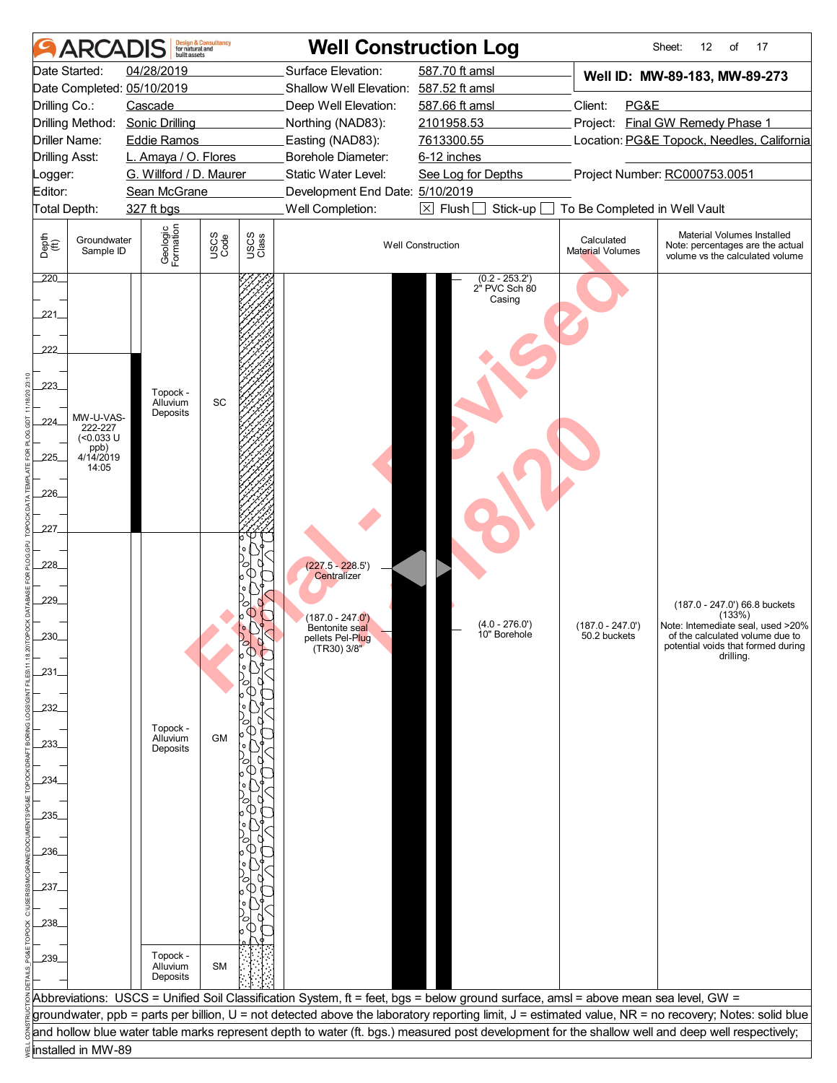| <b>ARCADIS</b>                                                                                                                                          | built assets                                                                                                                            | <b>Design &amp; Consultancy</b><br>for natural and |               | <b>Well Construction Log</b>                                                                                                                                                                                  |                                                                                                   |                                             |                                       | 12<br>17<br>Sheet:<br>of                                                                                                                                           |
|---------------------------------------------------------------------------------------------------------------------------------------------------------|-----------------------------------------------------------------------------------------------------------------------------------------|----------------------------------------------------|---------------|---------------------------------------------------------------------------------------------------------------------------------------------------------------------------------------------------------------|---------------------------------------------------------------------------------------------------|---------------------------------------------|---------------------------------------|--------------------------------------------------------------------------------------------------------------------------------------------------------------------|
| Date Started:<br>Date Completed: 05/10/2019<br>Drilling Co.:<br>Drilling Method:<br><b>Driller Name:</b><br><b>Drilling Asst:</b><br>_ogger:<br>Editor: | 04/28/2019<br>Cascade<br><b>Sonic Drilling</b><br><b>Eddie Ramos</b><br>L. Amaya / O. Flores<br>G. Willford / D. Maurer<br>Sean McGrane |                                                    |               | Surface Elevation:<br>Shallow Well Elevation: 587.52 ft amsl<br>Deep Well Elevation:<br>Northing (NAD83):<br>Easting (NAD83):<br>Borehole Diameter:<br>Static Water Level:<br>Development End Date: 5/10/2019 | 587.70 ft amsl<br>587.66 ft amsl<br>2101958.53<br>7613300.55<br>6-12 inches<br>See Log for Depths |                                             | PG&E<br>Client:                       | Well ID: MW-89-183, MW-89-273<br>Project: Final GW Remedy Phase 1<br>Location: PG&E Topock, Needles, California<br>Project Number: RC000753.0051                   |
| Total Depth:                                                                                                                                            | 327 ft bgs                                                                                                                              |                                                    |               | Well Completion:<br>$\boxed{\times}$ Flush<br>Stick-up                                                                                                                                                        |                                                                                                   |                                             | To Be Completed in Well Vault         | Material Volumes Installed                                                                                                                                         |
| Depth<br>(ff)<br>Groundwater<br>Sample ID                                                                                                               | Geologic<br>Formation                                                                                                                   | USCS<br>Code                                       | USCS<br>Class |                                                                                                                                                                                                               | <b>Well Construction</b>                                                                          |                                             | Calculated<br><b>Material Volumes</b> | Note: percentages are the actual<br>volume vs the calculated volume                                                                                                |
| 220<br>221.<br>222<br>223<br>MW-U-VAS-<br>224.<br>222-227<br>$(<0.033$ U<br>ppb)<br>4/14/2019<br>225<br>14:05<br>226_<br>227                            | Topock -<br>Alluvium<br>Deposits                                                                                                        | SC                                                 |               |                                                                                                                                                                                                               |                                                                                                   | $(0.2 - 253.2')$<br>2" PVC Sch 80<br>Casing |                                       |                                                                                                                                                                    |
| 228<br>229_<br>230<br>231<br>232<br>233.                                                                                                                | Topock -<br>Alluvium<br>Deposits                                                                                                        | <b>GM</b>                                          |               | $(227.5 - 228.5')$<br>Centralizer<br>(187.0 - 247.0 <sup>'</sup> )<br>Bentonite seal<br>pellets Pel-Plug<br>(TR30) 3/8"                                                                                       |                                                                                                   | $(4.0 - 276.0')$<br>10" Borehole            | $(187.0 - 247.0')$<br>50.2 buckets    | (187.0 - 247.0') 66.8 buckets<br>(133%)<br>Note: Intemediate seal, used >20%<br>of the calculated volume due to<br>potential voids that formed during<br>drilling. |
| 234.<br>.235_<br>236<br>237_                                                                                                                            |                                                                                                                                         |                                                    |               |                                                                                                                                                                                                               |                                                                                                   |                                             |                                       |                                                                                                                                                                    |
| 238<br>239                                                                                                                                              | Topock -<br>Alluvium<br>Deposits                                                                                                        | <b>SM</b>                                          |               | Abbreviations: USCS = Unified Soil Classification System, ft = feet, bgs = below ground surface, amsl = above mean sea level, GW =                                                                            |                                                                                                   |                                             |                                       |                                                                                                                                                                    |
|                                                                                                                                                         |                                                                                                                                         |                                                    |               |                                                                                                                                                                                                               |                                                                                                   |                                             |                                       | groundwater, ppb = parts per billion, U = not detected above the laboratory reporting limit, J = estimated value, NR = no recovery; Notes: solid blue              |
| installed in MW-89                                                                                                                                      |                                                                                                                                         |                                                    |               |                                                                                                                                                                                                               |                                                                                                   |                                             |                                       | and hollow blue water table marks represent depth to water (ft. bgs.) measured post development for the shallow well and deep well respectively;                   |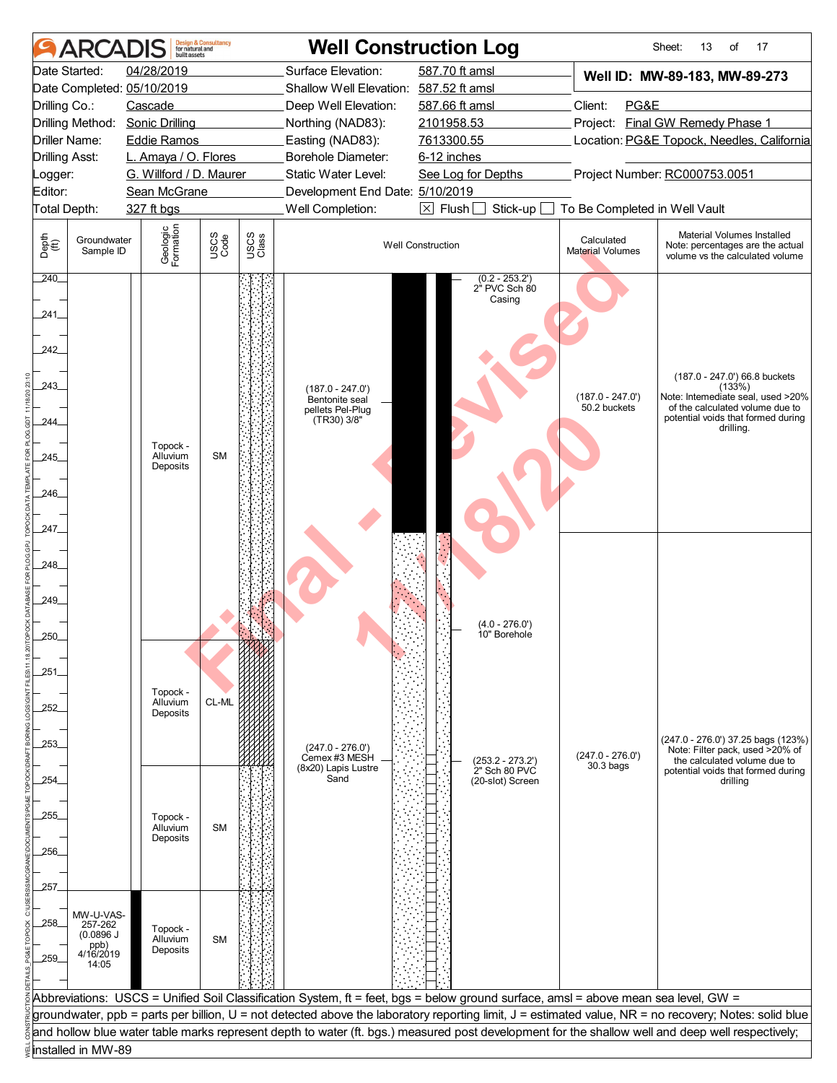|                       | <b>ARCAD</b>             | huilt assets                    | <b>Design &amp; Consultancy</b><br>for natural and |               |                                                                                                                                    | <b>Well Construction Log</b>                |                                            | 13<br>17<br>Sheet:<br>of                                                                                                                              |
|-----------------------|--------------------------|---------------------------------|----------------------------------------------------|---------------|------------------------------------------------------------------------------------------------------------------------------------|---------------------------------------------|--------------------------------------------|-------------------------------------------------------------------------------------------------------------------------------------------------------|
|                       | Date Started:            | 04/28/2019                      |                                                    |               | Surface Elevation:                                                                                                                 | 587.70 ft amsl                              |                                            | Well ID: MW-89-183, MW-89-273                                                                                                                         |
|                       |                          | Date Completed: 05/10/2019      |                                                    |               | Shallow Well Elevation: 587.52 ft amsl                                                                                             |                                             |                                            |                                                                                                                                                       |
| Drilling Co.:         |                          | Cascade                         |                                                    |               | Deep Well Elevation:                                                                                                               | 587.66 ft amsl                              | Client:<br>PG&E                            |                                                                                                                                                       |
|                       |                          | Drilling Method: Sonic Drilling |                                                    |               | Northing (NAD83):                                                                                                                  | 2101958.53                                  |                                            | Project: Final GW Remedy Phase 1                                                                                                                      |
|                       | <b>Driller Name:</b>     | <b>Eddie Ramos</b>              |                                                    |               | Easting (NAD83):                                                                                                                   | 7613300.55                                  | Location: PG&E Topock, Needles, California |                                                                                                                                                       |
| <b>Drilling Asst:</b> |                          | L. Amaya / O. Flores            |                                                    |               | Borehole Diameter:                                                                                                                 | 6-12 inches                                 |                                            |                                                                                                                                                       |
| Logger:               |                          | G. Willford / D. Maurer         |                                                    |               | Static Water Level:                                                                                                                | See Log for Depths                          |                                            | Project Number: RC000753.0051                                                                                                                         |
| Editor:               |                          | Sean McGrane                    |                                                    |               | Development End Date: 5/10/2019                                                                                                    |                                             |                                            |                                                                                                                                                       |
| Total Depth:          |                          | 327 ft bgs                      |                                                    |               | Well Completion:                                                                                                                   | $\boxtimes$ Flush [<br>Stick-up             | To Be Completed in Well Vault              |                                                                                                                                                       |
| Depth<br>(ff)         | Groundwater<br>Sample ID | Geologic<br>Formation           | USCS<br>Code                                       | USCS<br>Class |                                                                                                                                    | <b>Well Construction</b>                    | Calculated<br><b>Material Volumes</b>      | Material Volumes Installed<br>Note: percentages are the actual<br>volume vs the calculated volume                                                     |
| 240                   |                          |                                 |                                                    |               |                                                                                                                                    | $(0.2 - 253.2')$<br>2" PVC Sch 80<br>Casing |                                            |                                                                                                                                                       |
| 241                   |                          |                                 |                                                    |               |                                                                                                                                    |                                             |                                            |                                                                                                                                                       |
| 242                   |                          |                                 |                                                    |               |                                                                                                                                    |                                             |                                            |                                                                                                                                                       |
| 243                   |                          |                                 |                                                    |               | (187.0 - 247.0')                                                                                                                   |                                             |                                            | (187.0 - 247.0') 66.8 buckets<br>(133%)                                                                                                               |
|                       |                          |                                 |                                                    |               | Bentonite seal<br>pellets Pel-Plug<br>(TR30) 3/8"                                                                                  |                                             | $(187.0 - 247.0')$<br>50.2 buckets         | Note: Intemediate seal, used >20%<br>of the calculated volume due to<br>potential voids that formed during                                            |
| .244                  |                          | Topock -                        |                                                    |               |                                                                                                                                    |                                             |                                            | drilling.                                                                                                                                             |
| 245                   |                          | Alluvium<br>Deposits            | <b>SM</b>                                          |               |                                                                                                                                    |                                             |                                            |                                                                                                                                                       |
| 246                   |                          |                                 |                                                    |               |                                                                                                                                    |                                             |                                            |                                                                                                                                                       |
| 247                   |                          |                                 |                                                    |               |                                                                                                                                    |                                             |                                            |                                                                                                                                                       |
| 248_                  |                          |                                 |                                                    |               |                                                                                                                                    |                                             |                                            |                                                                                                                                                       |
|                       |                          |                                 |                                                    |               |                                                                                                                                    |                                             |                                            |                                                                                                                                                       |
| 249                   |                          |                                 |                                                    |               |                                                                                                                                    |                                             |                                            |                                                                                                                                                       |
| 250                   |                          |                                 |                                                    |               |                                                                                                                                    | $(4.0 - 276.0')$<br>10" Borehole            |                                            |                                                                                                                                                       |
|                       |                          |                                 |                                                    |               |                                                                                                                                    |                                             |                                            |                                                                                                                                                       |
| 251                   |                          |                                 |                                                    |               |                                                                                                                                    |                                             |                                            |                                                                                                                                                       |
|                       |                          | Topock -<br>Alluvium            | CL-ML                                              |               |                                                                                                                                    |                                             |                                            |                                                                                                                                                       |
| 252                   |                          | Deposits                        |                                                    |               |                                                                                                                                    |                                             |                                            |                                                                                                                                                       |
|                       |                          |                                 |                                                    |               |                                                                                                                                    |                                             |                                            | (247.0 - 276.0') 37.25 bags (123%)                                                                                                                    |
| 253.                  |                          |                                 |                                                    |               | $(247.0 - 276.0')$<br>Cemex #3 MESH                                                                                                | $(253.2 - 273.2')$                          | $(247.0 - 276.0')$                         | Note: Filter pack, used >20% of                                                                                                                       |
| 254.                  |                          |                                 |                                                    |               | (8x20) Lapis Lustre<br>Sand                                                                                                        | 2" Sch 80 PVC<br>(20-slot) Screen           | $30.3$ bags                                | the calculated volume due to<br>potential voids that formed during<br>drilling                                                                        |
|                       |                          |                                 |                                                    |               |                                                                                                                                    |                                             |                                            |                                                                                                                                                       |
| _255_                 |                          | Topock -                        |                                                    |               |                                                                                                                                    |                                             |                                            |                                                                                                                                                       |
|                       |                          | Alluvium<br>Deposits            | <b>SM</b>                                          |               |                                                                                                                                    |                                             |                                            |                                                                                                                                                       |
| 256.                  |                          |                                 |                                                    |               |                                                                                                                                    |                                             |                                            |                                                                                                                                                       |
|                       |                          |                                 |                                                    |               |                                                                                                                                    |                                             |                                            |                                                                                                                                                       |
| 257.                  |                          |                                 |                                                    |               |                                                                                                                                    |                                             |                                            |                                                                                                                                                       |
|                       | MW-U-VAS-                |                                 |                                                    |               |                                                                                                                                    |                                             |                                            |                                                                                                                                                       |
| .258.                 | 257-262<br>(0.0896 J)    | Topock -<br>Alluvium            | <b>SM</b>                                          |               |                                                                                                                                    |                                             |                                            |                                                                                                                                                       |
| 259                   | ppb)<br>4/16/2019        | Deposits                        |                                                    |               |                                                                                                                                    |                                             |                                            |                                                                                                                                                       |
|                       | 14:05                    |                                 |                                                    |               |                                                                                                                                    |                                             |                                            |                                                                                                                                                       |
|                       |                          |                                 |                                                    |               |                                                                                                                                    |                                             |                                            |                                                                                                                                                       |
|                       |                          |                                 |                                                    |               | Abbreviations: USCS = Unified Soil Classification System, ft = feet, bgs = below ground surface, amsl = above mean sea level, GW = |                                             |                                            | groundwater, ppb = parts per billion, U = not detected above the laboratory reporting limit, J = estimated value, NR = no recovery; Notes: solid blue |
|                       |                          |                                 |                                                    |               |                                                                                                                                    |                                             |                                            | and hollow blue water table marks represent depth to water (ft. bgs.) measured post development for the shallow well and deep well respectively;      |
|                       | installed in MW-89       |                                 |                                                    |               |                                                                                                                                    |                                             |                                            |                                                                                                                                                       |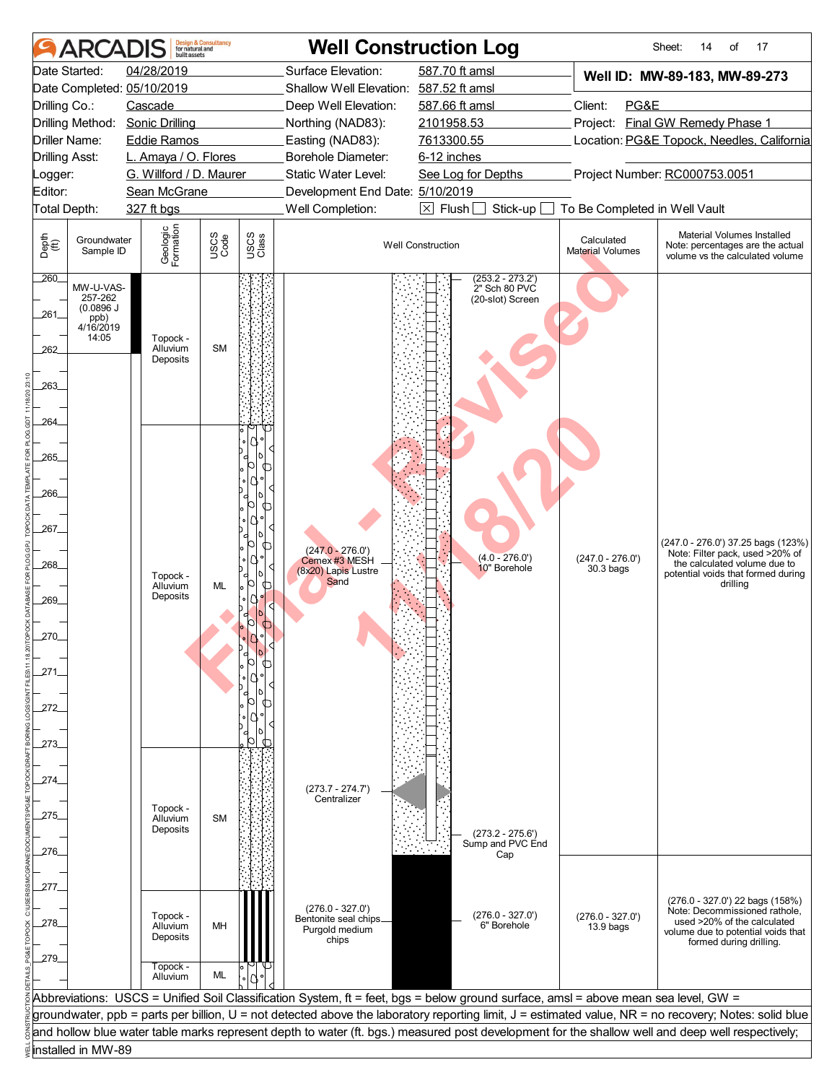|                       | <b>ARCAI</b>                  | huilt assets                               | <b>Design &amp; Consultancy</b><br>for natural and |               |                                              | <b>Well Construction Log</b>                                                                                                                     |                                           | 17<br>Sheet:<br>14<br>of                                                                                                                              |
|-----------------------|-------------------------------|--------------------------------------------|----------------------------------------------------|---------------|----------------------------------------------|--------------------------------------------------------------------------------------------------------------------------------------------------|-------------------------------------------|-------------------------------------------------------------------------------------------------------------------------------------------------------|
|                       | Date Started:                 | 04/28/2019                                 |                                                    |               | Surface Elevation:                           | 587.70 ft amsl                                                                                                                                   |                                           | Well ID: MW-89-183, MW-89-273                                                                                                                         |
|                       |                               | Date Completed: 05/10/2019                 |                                                    |               | Shallow Well Elevation: 587.52 ft amsl       |                                                                                                                                                  |                                           |                                                                                                                                                       |
| Drilling Co.:         |                               | Cascade                                    |                                                    |               | Deep Well Elevation:                         | 587.66 ft amsl                                                                                                                                   | Client:<br>PG&E                           |                                                                                                                                                       |
|                       | Drilling Method:              | <b>Sonic Drilling</b>                      |                                                    |               | Northing (NAD83):                            | 2101958.53                                                                                                                                       |                                           | Project: Final GW Remedy Phase 1                                                                                                                      |
| <b>Drilling Asst:</b> | Driller Name:                 | <b>Eddie Ramos</b><br>L. Amaya / O. Flores |                                                    |               | Easting (NAD83):<br>Borehole Diameter:       | 7613300.55<br>6-12 inches                                                                                                                        |                                           | Location: PG&E Topock, Needles, California                                                                                                            |
| _ogger:               |                               | G. Willford / D. Maurer                    |                                                    |               | Static Water Level:                          | See Log for Depths                                                                                                                               |                                           | Project Number: RC000753.0051                                                                                                                         |
| Editor:               |                               | Sean McGrane                               |                                                    |               | Development End Date: 5/10/2019              |                                                                                                                                                  |                                           |                                                                                                                                                       |
| Total Depth:          |                               | 327 ft bgs                                 |                                                    |               | Well Completion:                             | $\boxtimes$ Flush<br>Stick-up                                                                                                                    | To Be Completed in Well Vault             |                                                                                                                                                       |
| Depth<br>(ff)         | Groundwater<br>Sample ID      | Geologic<br>Formation                      | USCS<br>Code                                       | USCS<br>Class |                                              | <b>Well Construction</b>                                                                                                                         | Calculated<br>Material Volumes            | Material Volumes Installed<br>Note: percentages are the actual<br>volume vs the calculated volume                                                     |
| 260                   | MW-U-VAS-                     |                                            |                                                    |               |                                              | $(253.2 - 273.2')$<br>2" Sch 80 PVC                                                                                                              |                                           |                                                                                                                                                       |
| 261.                  | 257-262<br>(0.0896 J)<br>ppb) |                                            |                                                    |               |                                              | (20-slot) Screen                                                                                                                                 |                                           |                                                                                                                                                       |
|                       | 4/16/2019<br>14:05            | Topock -<br>Alluvium                       | <b>SM</b>                                          |               |                                              |                                                                                                                                                  |                                           |                                                                                                                                                       |
| 262                   |                               | Deposits                                   |                                                    |               |                                              |                                                                                                                                                  |                                           |                                                                                                                                                       |
| 263_                  |                               |                                            |                                                    |               |                                              |                                                                                                                                                  |                                           |                                                                                                                                                       |
| 264                   |                               |                                            |                                                    |               |                                              |                                                                                                                                                  |                                           |                                                                                                                                                       |
| 265                   |                               |                                            |                                                    |               |                                              |                                                                                                                                                  |                                           |                                                                                                                                                       |
|                       |                               |                                            |                                                    | ╓             |                                              |                                                                                                                                                  |                                           |                                                                                                                                                       |
| 266_                  |                               |                                            |                                                    | ⊕             |                                              |                                                                                                                                                  |                                           |                                                                                                                                                       |
| 267_                  |                               |                                            |                                                    |               |                                              |                                                                                                                                                  |                                           |                                                                                                                                                       |
|                       |                               |                                            |                                                    | ൱             | $(247.0 - 276.0')$                           |                                                                                                                                                  |                                           | (247.0 - 276.0') 37.25 bags (123%)<br>Note: Filter pack, used >20% of                                                                                 |
| 268_                  |                               | Topock -                                   |                                                    |               | Cemex #3 MESH<br>(8x20) Lapis Lustre<br>Sand | $(4.0 - 276.0')$<br>10" Borehole                                                                                                                 | $(247.0 - 276.0')$<br>30.3 <sub>bag</sub> | the calculated volume due to<br>potential voids that formed during                                                                                    |
| 269_                  |                               | Alluvium<br>Deposits                       | ML                                                 | ൱             |                                              |                                                                                                                                                  |                                           | drillina                                                                                                                                              |
|                       |                               |                                            |                                                    |               |                                              |                                                                                                                                                  |                                           |                                                                                                                                                       |
| 270                   |                               |                                            |                                                    |               |                                              |                                                                                                                                                  |                                           |                                                                                                                                                       |
| .271                  |                               |                                            |                                                    |               |                                              |                                                                                                                                                  |                                           |                                                                                                                                                       |
|                       |                               |                                            |                                                    |               |                                              |                                                                                                                                                  |                                           |                                                                                                                                                       |
| 272                   |                               |                                            |                                                    | ൱             |                                              |                                                                                                                                                  |                                           |                                                                                                                                                       |
|                       |                               |                                            |                                                    |               |                                              |                                                                                                                                                  |                                           |                                                                                                                                                       |
| -273.                 |                               |                                            |                                                    |               |                                              |                                                                                                                                                  |                                           |                                                                                                                                                       |
|                       |                               |                                            |                                                    |               |                                              |                                                                                                                                                  |                                           |                                                                                                                                                       |
| 274.                  |                               |                                            |                                                    |               | $(273.7 - 274.7')$                           |                                                                                                                                                  |                                           |                                                                                                                                                       |
| .275                  |                               | Topock -                                   |                                                    |               | Centralizer                                  |                                                                                                                                                  |                                           |                                                                                                                                                       |
|                       |                               | Alluvium<br>Deposits                       | <b>SM</b>                                          |               |                                              | $(273.2 - 275.6')$                                                                                                                               |                                           |                                                                                                                                                       |
| 276.                  |                               |                                            |                                                    |               |                                              | Sump and PVC End<br>Cap                                                                                                                          |                                           |                                                                                                                                                       |
|                       |                               |                                            |                                                    |               |                                              |                                                                                                                                                  |                                           |                                                                                                                                                       |
| 277.                  |                               |                                            |                                                    |               |                                              |                                                                                                                                                  |                                           | (276.0 - 327.0') 22 bags (158%)                                                                                                                       |
| .278.                 |                               | Topock -<br>Alluvium                       | MH                                                 |               | $(276.0 - 327.0')$<br>Bentonite seal chips.  | $(276.0 - 327.0')$<br>6" Borehole                                                                                                                | $(276.0 - 327.0')$<br>13.9 bags           | Note: Decommissioned rathole,<br>used >20% of the calculated                                                                                          |
|                       |                               | Deposits                                   |                                                    |               | Purgold medium<br>chips                      |                                                                                                                                                  |                                           | volume due to potential voids that<br>formed during drilling.                                                                                         |
| _279_                 |                               | Topock -                                   |                                                    |               |                                              |                                                                                                                                                  |                                           |                                                                                                                                                       |
|                       |                               | Alluvium                                   | ML                                                 |               |                                              |                                                                                                                                                  |                                           |                                                                                                                                                       |
|                       |                               |                                            |                                                    |               |                                              | Abbreviations: USCS = Unified Soil Classification System, ft = feet, bgs = below ground surface, amsl = above mean sea level, GW =               |                                           | groundwater, ppb = parts per billion, U = not detected above the laboratory reporting limit, J = estimated value, NR = no recovery; Notes: solid blue |
|                       |                               |                                            |                                                    |               |                                              | and hollow blue water table marks represent depth to water (ft. bgs.) measured post development for the shallow well and deep well respectively; |                                           |                                                                                                                                                       |
|                       | installed in MW-89            |                                            |                                                    |               |                                              |                                                                                                                                                  |                                           |                                                                                                                                                       |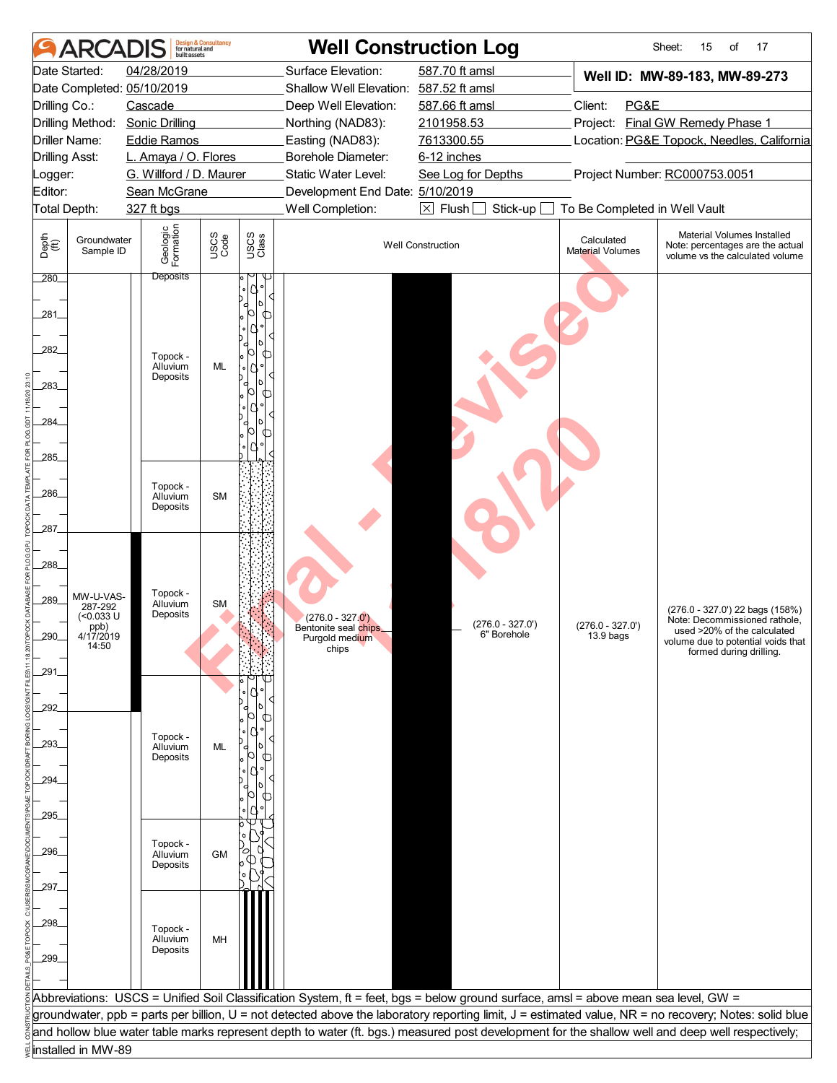|                       | ARCA                           | built assets                    | <b>Design &amp; Consultancy</b><br>for natural and |               |                                                                                                                                    | <b>Well Construction Log</b>         |                                       | 17<br>Sheet:<br>15<br>of                                                                                                                              |
|-----------------------|--------------------------------|---------------------------------|----------------------------------------------------|---------------|------------------------------------------------------------------------------------------------------------------------------------|--------------------------------------|---------------------------------------|-------------------------------------------------------------------------------------------------------------------------------------------------------|
|                       | Date Started:                  | 04/28/2019                      |                                                    |               | Surface Elevation:                                                                                                                 | 587.70 ft amsl                       |                                       | Well ID: MW-89-183, MW-89-273                                                                                                                         |
|                       |                                | Date Completed: 05/10/2019      |                                                    |               | Shallow Well Elevation: 587.52 ft amsl                                                                                             |                                      |                                       |                                                                                                                                                       |
| Drilling Co.:         |                                | Cascade                         |                                                    |               | Deep Well Elevation:                                                                                                               | 587.66 ft amsl                       | Client:<br>PG&E                       |                                                                                                                                                       |
|                       |                                | Drilling Method: Sonic Drilling |                                                    |               | Northing (NAD83):                                                                                                                  | 2101958.53                           |                                       | Project: Final GW Remedy Phase 1                                                                                                                      |
|                       | Driller Name:                  | <b>Eddie Ramos</b>              |                                                    |               | Easting (NAD83):                                                                                                                   | 7613300.55                           |                                       | Location: PG&E Topock, Needles, California                                                                                                            |
| <b>Drilling Asst:</b> |                                | L. Amaya / O. Flores            |                                                    |               | Borehole Diameter:                                                                                                                 | 6-12 inches                          |                                       |                                                                                                                                                       |
| Logger:               |                                | G. Willford / D. Maurer         |                                                    |               | Static Water Level:                                                                                                                | See Log for Depths                   |                                       | Project Number: RC000753.0051                                                                                                                         |
| Editor:               |                                | Sean McGrane                    |                                                    |               | Development End Date: 5/10/2019                                                                                                    |                                      |                                       |                                                                                                                                                       |
| Total Depth:          |                                | 327 ft bgs                      |                                                    |               | Well Completion:                                                                                                                   | $\boxtimes$ Flush $\Box$<br>Stick-up | To Be Completed in Well Vault         |                                                                                                                                                       |
| Depth<br>(ff)         | Groundwater<br>Sample ID       | Geologic<br>Formation           | USCS<br>Code                                       | USCS<br>Class |                                                                                                                                    | <b>Well Construction</b>             | Calculated<br><b>Material Volumes</b> | Material Volumes Installed<br>Note: percentages are the actual<br>volume vs the calculated volume                                                     |
| 280                   |                                | <b>Deposits</b>                 |                                                    |               |                                                                                                                                    |                                      |                                       |                                                                                                                                                       |
| 281<br>282            |                                | Topock -<br>Alluvium            | ML                                                 | ╓             |                                                                                                                                    |                                      |                                       |                                                                                                                                                       |
| 283_                  |                                | Deposits                        |                                                    | ∩             |                                                                                                                                    |                                      |                                       |                                                                                                                                                       |
| 284                   |                                |                                 |                                                    | ጣ             |                                                                                                                                    |                                      |                                       |                                                                                                                                                       |
| 285                   |                                |                                 |                                                    |               |                                                                                                                                    |                                      |                                       |                                                                                                                                                       |
|                       |                                |                                 |                                                    |               |                                                                                                                                    |                                      |                                       |                                                                                                                                                       |
| 286_                  |                                | Topock -                        |                                                    |               |                                                                                                                                    |                                      |                                       |                                                                                                                                                       |
|                       |                                | Alluvium<br>Deposits            | <b>SM</b>                                          |               |                                                                                                                                    |                                      |                                       |                                                                                                                                                       |
|                       |                                |                                 |                                                    |               |                                                                                                                                    |                                      |                                       |                                                                                                                                                       |
| 287                   |                                |                                 |                                                    |               |                                                                                                                                    |                                      |                                       |                                                                                                                                                       |
|                       |                                |                                 |                                                    |               |                                                                                                                                    |                                      |                                       |                                                                                                                                                       |
| 288                   |                                |                                 |                                                    |               |                                                                                                                                    |                                      |                                       |                                                                                                                                                       |
|                       | MW-U-VAS-                      | Topock -                        |                                                    |               |                                                                                                                                    |                                      |                                       |                                                                                                                                                       |
| 289                   | 287-292<br>$(0.033 \text{ U})$ | Alluvium<br>Deposits            | <b>SM</b>                                          |               |                                                                                                                                    |                                      |                                       | (276.0 - 327.0') 22 bags (158%)                                                                                                                       |
|                       | ppb)                           |                                 |                                                    |               | $(276.0 - 327.0')$<br>Bentonite seal chips_                                                                                        | $(276.0 - 327.0')$                   | $(276.0 - 327.0')$                    | Note: Decommissioned rathole,<br>used >20% of the calculated                                                                                          |
| 290                   | 4/17/2019<br>14:50             |                                 |                                                    |               | Purgold medium<br>chips                                                                                                            | 6" Borehole                          | 13.9 bags                             | volume due to potential voids that<br>formed during drilling.                                                                                         |
|                       |                                |                                 |                                                    |               |                                                                                                                                    |                                      |                                       |                                                                                                                                                       |
| 291_                  |                                |                                 |                                                    |               |                                                                                                                                    |                                      |                                       |                                                                                                                                                       |
|                       |                                |                                 |                                                    |               |                                                                                                                                    |                                      |                                       |                                                                                                                                                       |
| 292                   |                                |                                 |                                                    |               |                                                                                                                                    |                                      |                                       |                                                                                                                                                       |
|                       |                                | Topock -                        |                                                    |               |                                                                                                                                    |                                      |                                       |                                                                                                                                                       |
| 293.                  |                                | Alluvium                        | ML                                                 |               |                                                                                                                                    |                                      |                                       |                                                                                                                                                       |
|                       |                                | Deposits                        |                                                    | ∪             |                                                                                                                                    |                                      |                                       |                                                                                                                                                       |
| 294                   |                                |                                 |                                                    |               |                                                                                                                                    |                                      |                                       |                                                                                                                                                       |
|                       |                                |                                 |                                                    |               |                                                                                                                                    |                                      |                                       |                                                                                                                                                       |
| 295                   |                                |                                 |                                                    |               |                                                                                                                                    |                                      |                                       |                                                                                                                                                       |
|                       |                                |                                 |                                                    |               |                                                                                                                                    |                                      |                                       |                                                                                                                                                       |
| .296                  |                                | Topock -<br>Alluvium            | <b>GM</b>                                          |               |                                                                                                                                    |                                      |                                       |                                                                                                                                                       |
|                       |                                | Deposits                        |                                                    |               |                                                                                                                                    |                                      |                                       |                                                                                                                                                       |
| 297.                  |                                |                                 |                                                    |               |                                                                                                                                    |                                      |                                       |                                                                                                                                                       |
|                       |                                |                                 |                                                    |               |                                                                                                                                    |                                      |                                       |                                                                                                                                                       |
| 298                   |                                |                                 |                                                    |               |                                                                                                                                    |                                      |                                       |                                                                                                                                                       |
|                       |                                | Topock -<br>Alluvium            | MH                                                 |               |                                                                                                                                    |                                      |                                       |                                                                                                                                                       |
| 299                   |                                | Deposits                        |                                                    |               |                                                                                                                                    |                                      |                                       |                                                                                                                                                       |
|                       |                                |                                 |                                                    |               |                                                                                                                                    |                                      |                                       |                                                                                                                                                       |
|                       |                                |                                 |                                                    |               | Abbreviations: USCS = Unified Soil Classification System, ft = feet, bgs = below ground surface, amsl = above mean sea level, GW = |                                      |                                       |                                                                                                                                                       |
|                       |                                |                                 |                                                    |               |                                                                                                                                    |                                      |                                       | groundwater, ppb = parts per billion, U = not detected above the laboratory reporting limit, J = estimated value, NR = no recovery; Notes: solid blue |
|                       |                                |                                 |                                                    |               |                                                                                                                                    |                                      |                                       | and hollow blue water table marks represent depth to water (ft. bgs.) measured post development for the shallow well and deep well respectively;      |
|                       | installed in MW-89             |                                 |                                                    |               |                                                                                                                                    |                                      |                                       |                                                                                                                                                       |
|                       |                                |                                 |                                                    |               |                                                                                                                                    |                                      |                                       |                                                                                                                                                       |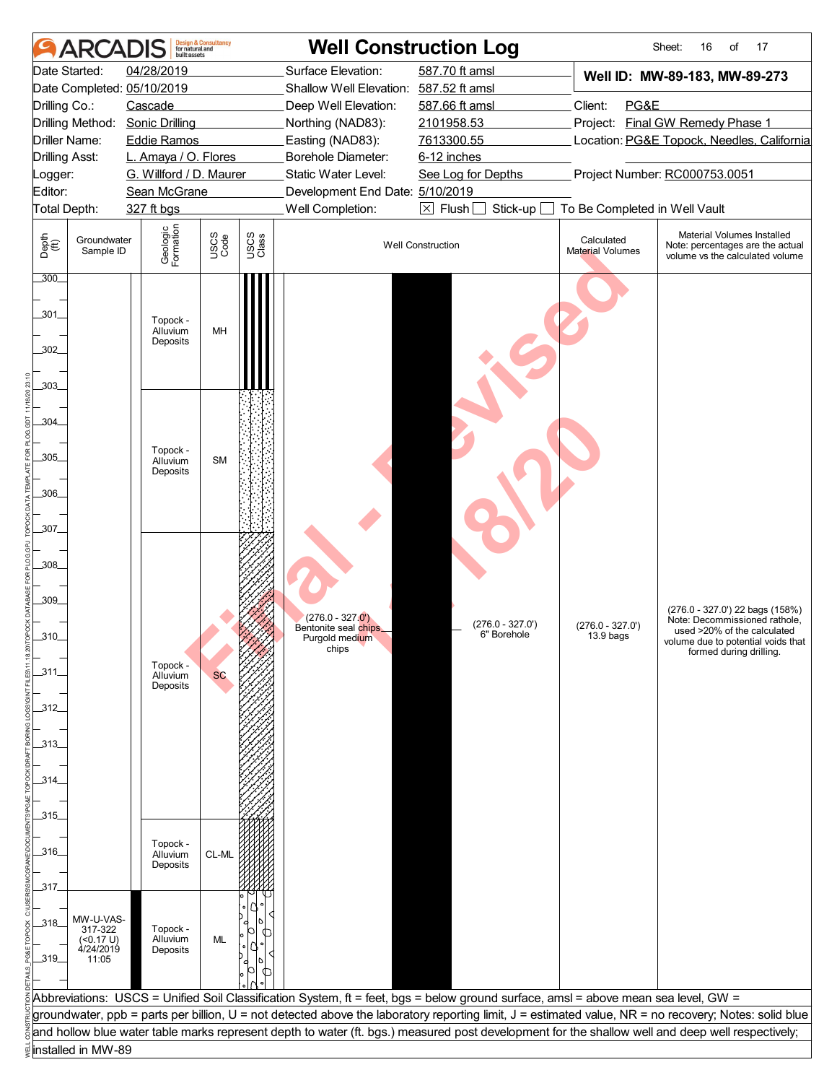| <b>ARCA</b>                               | built assets                     | <b>Design &amp; Consultancy</b><br>for natural and |               | <b>Well Construction Log</b>            |                                                                                                                                    |                                       | 17<br>Sheet:<br>16<br>of                                                                                                                              |
|-------------------------------------------|----------------------------------|----------------------------------------------------|---------------|-----------------------------------------|------------------------------------------------------------------------------------------------------------------------------------|---------------------------------------|-------------------------------------------------------------------------------------------------------------------------------------------------------|
| Date Started:                             | 04/28/2019                       |                                                    |               | Surface Elevation:                      | 587.70 ft amsl                                                                                                                     |                                       | Well ID: MW-89-183, MW-89-273                                                                                                                         |
| Date Completed: 05/10/2019                |                                  |                                                    |               | Shallow Well Elevation: 587.52 ft amsl  |                                                                                                                                    |                                       |                                                                                                                                                       |
| Drilling Co.:                             | Cascade                          |                                                    |               | Deep Well Elevation:                    | 587.66 ft amsl                                                                                                                     | Client:<br>PG&E                       |                                                                                                                                                       |
| Drilling Method: Sonic Drilling           |                                  |                                                    |               | Northing (NAD83):                       | 2101958.53                                                                                                                         |                                       | Project: Final GW Remedy Phase 1                                                                                                                      |
| Driller Name:                             | <b>Eddie Ramos</b>               |                                                    |               | Easting (NAD83):                        | 7613300.55                                                                                                                         |                                       | Location: PG&E Topock, Needles, California                                                                                                            |
| <b>Drilling Asst:</b>                     | L. Amaya / O. Flores             |                                                    |               | Borehole Diameter:                      | 6-12 inches                                                                                                                        |                                       |                                                                                                                                                       |
| Logger:                                   | G. Willford / D. Maurer          |                                                    |               | Static Water Level:                     | See Log for Depths                                                                                                                 |                                       | Project Number: RC000753.0051                                                                                                                         |
| Editor:                                   | Sean McGrane                     |                                                    |               | Development End Date: 5/10/2019         |                                                                                                                                    |                                       |                                                                                                                                                       |
| Total Depth:                              | 327 ft bgs                       |                                                    |               | Well Completion:                        | $\boxtimes$ Flush $\Box$<br>Stick-up                                                                                               | To Be Completed in Well Vault         |                                                                                                                                                       |
| Depth<br>(ff)<br>Groundwater<br>Sample ID | Geologic<br>Formation            | USCS<br>Code                                       | USCS<br>Class |                                         | <b>Well Construction</b>                                                                                                           | Calculated<br><b>Material Volumes</b> | Material Volumes Installed<br>Note: percentages are the actual<br>volume vs the calculated volume                                                     |
| 300                                       |                                  |                                                    |               |                                         |                                                                                                                                    |                                       |                                                                                                                                                       |
| .301.                                     | Topock -<br>Alluvium<br>Deposits | MH                                                 |               |                                         |                                                                                                                                    |                                       |                                                                                                                                                       |
| 302<br>.303.                              |                                  |                                                    |               |                                         |                                                                                                                                    |                                       |                                                                                                                                                       |
| .304                                      |                                  |                                                    |               |                                         |                                                                                                                                    |                                       |                                                                                                                                                       |
| .305_                                     | Topock -                         | <b>SM</b>                                          |               |                                         |                                                                                                                                    |                                       |                                                                                                                                                       |
|                                           | Alluvium<br>Deposits             |                                                    |               |                                         |                                                                                                                                    |                                       |                                                                                                                                                       |
| 306                                       |                                  |                                                    |               |                                         |                                                                                                                                    |                                       |                                                                                                                                                       |
|                                           |                                  |                                                    |               |                                         |                                                                                                                                    |                                       |                                                                                                                                                       |
| .307_                                     |                                  |                                                    |               |                                         |                                                                                                                                    |                                       |                                                                                                                                                       |
|                                           |                                  |                                                    |               |                                         |                                                                                                                                    |                                       |                                                                                                                                                       |
| _308_                                     |                                  |                                                    |               |                                         |                                                                                                                                    |                                       |                                                                                                                                                       |
|                                           |                                  |                                                    |               |                                         |                                                                                                                                    |                                       |                                                                                                                                                       |
| .309                                      |                                  |                                                    |               |                                         |                                                                                                                                    |                                       |                                                                                                                                                       |
|                                           |                                  |                                                    |               | $(276.0 - 327.0')$                      |                                                                                                                                    |                                       | (276.0 - 327.0') 22 bags (158%)<br>Note: Decommissioned rathole,                                                                                      |
| 310                                       |                                  |                                                    |               | Bentonite seal chips_<br>Purgold medium | $(276.0 - 327.0')$<br>6" Borehole                                                                                                  | $(276.0 - 327.0')$<br>13.9 bags       | used >20% of the calculated<br>volume due to potential voids that                                                                                     |
|                                           |                                  |                                                    |               | chips                                   |                                                                                                                                    |                                       | formed during drilling.                                                                                                                               |
| _311_                                     | Topock -<br>Alluvium             | <b>SC</b>                                          |               |                                         |                                                                                                                                    |                                       |                                                                                                                                                       |
|                                           | Deposits                         |                                                    |               |                                         |                                                                                                                                    |                                       |                                                                                                                                                       |
| $-312$                                    |                                  |                                                    |               |                                         |                                                                                                                                    |                                       |                                                                                                                                                       |
|                                           |                                  |                                                    |               |                                         |                                                                                                                                    |                                       |                                                                                                                                                       |
| _313_                                     |                                  |                                                    |               |                                         |                                                                                                                                    |                                       |                                                                                                                                                       |
|                                           |                                  |                                                    |               |                                         |                                                                                                                                    |                                       |                                                                                                                                                       |
| _314_                                     |                                  |                                                    |               |                                         |                                                                                                                                    |                                       |                                                                                                                                                       |
|                                           |                                  |                                                    |               |                                         |                                                                                                                                    |                                       |                                                                                                                                                       |
| _315_                                     |                                  |                                                    |               |                                         |                                                                                                                                    |                                       |                                                                                                                                                       |
|                                           |                                  |                                                    |               |                                         |                                                                                                                                    |                                       |                                                                                                                                                       |
| _316_                                     | Topock -<br>Alluvium             | CL-ML                                              |               |                                         |                                                                                                                                    |                                       |                                                                                                                                                       |
|                                           | Deposits                         |                                                    |               |                                         |                                                                                                                                    |                                       |                                                                                                                                                       |
| 317                                       |                                  |                                                    |               |                                         |                                                                                                                                    |                                       |                                                                                                                                                       |
|                                           |                                  |                                                    |               |                                         |                                                                                                                                    |                                       |                                                                                                                                                       |
| MW-U-VAS-<br>$-318$<br>317-322            | Topock -                         |                                                    |               |                                         |                                                                                                                                    |                                       |                                                                                                                                                       |
| (<0.17 U)<br>4/24/2019                    | Alluvium                         | ML                                                 |               |                                         |                                                                                                                                    |                                       |                                                                                                                                                       |
| $-319$<br>11:05                           | Deposits                         |                                                    |               |                                         |                                                                                                                                    |                                       |                                                                                                                                                       |
|                                           |                                  |                                                    |               |                                         |                                                                                                                                    |                                       |                                                                                                                                                       |
|                                           |                                  |                                                    |               |                                         | Abbreviations: USCS = Unified Soil Classification System, ft = feet, bgs = below ground surface, amsl = above mean sea level, GW = |                                       |                                                                                                                                                       |
|                                           |                                  |                                                    |               |                                         |                                                                                                                                    |                                       | groundwater, ppb = parts per billion, U = not detected above the laboratory reporting limit, J = estimated value, NR = no recovery; Notes: solid blue |
|                                           |                                  |                                                    |               |                                         |                                                                                                                                    |                                       | and hollow blue water table marks represent depth to water (ft. bgs.) measured post development for the shallow well and deep well respectively;      |
| installed in MW-89                        |                                  |                                                    |               |                                         |                                                                                                                                    |                                       |                                                                                                                                                       |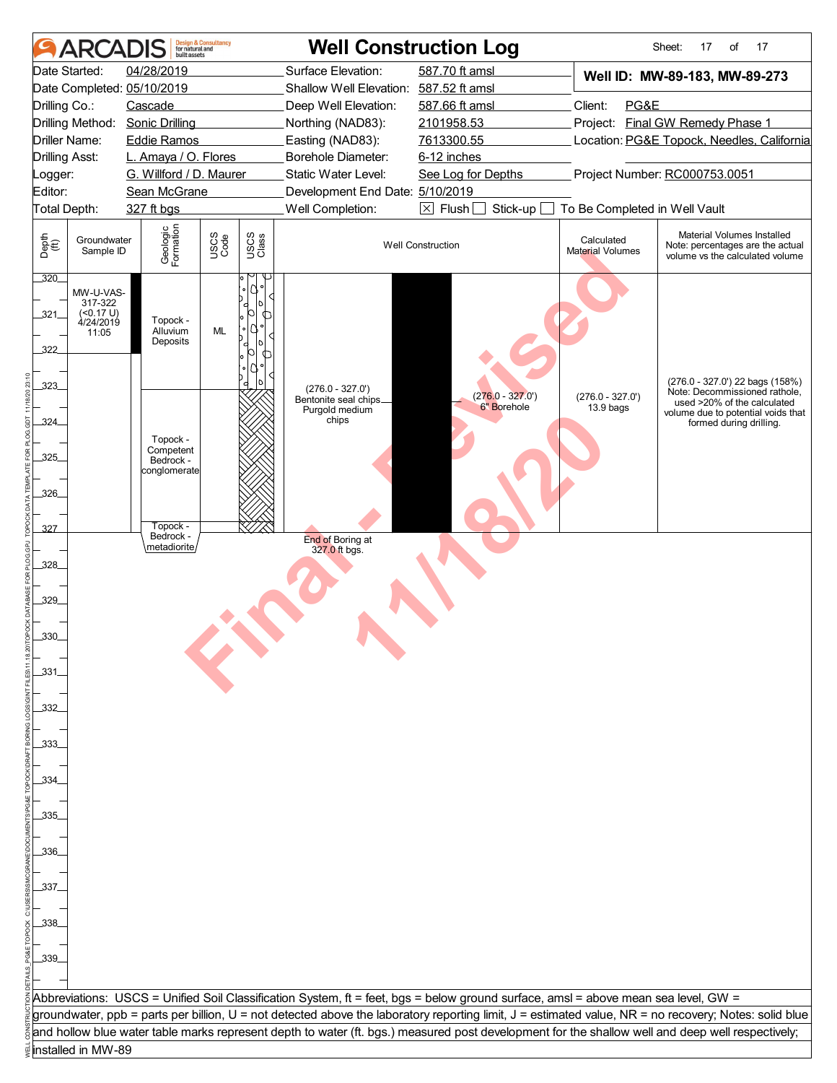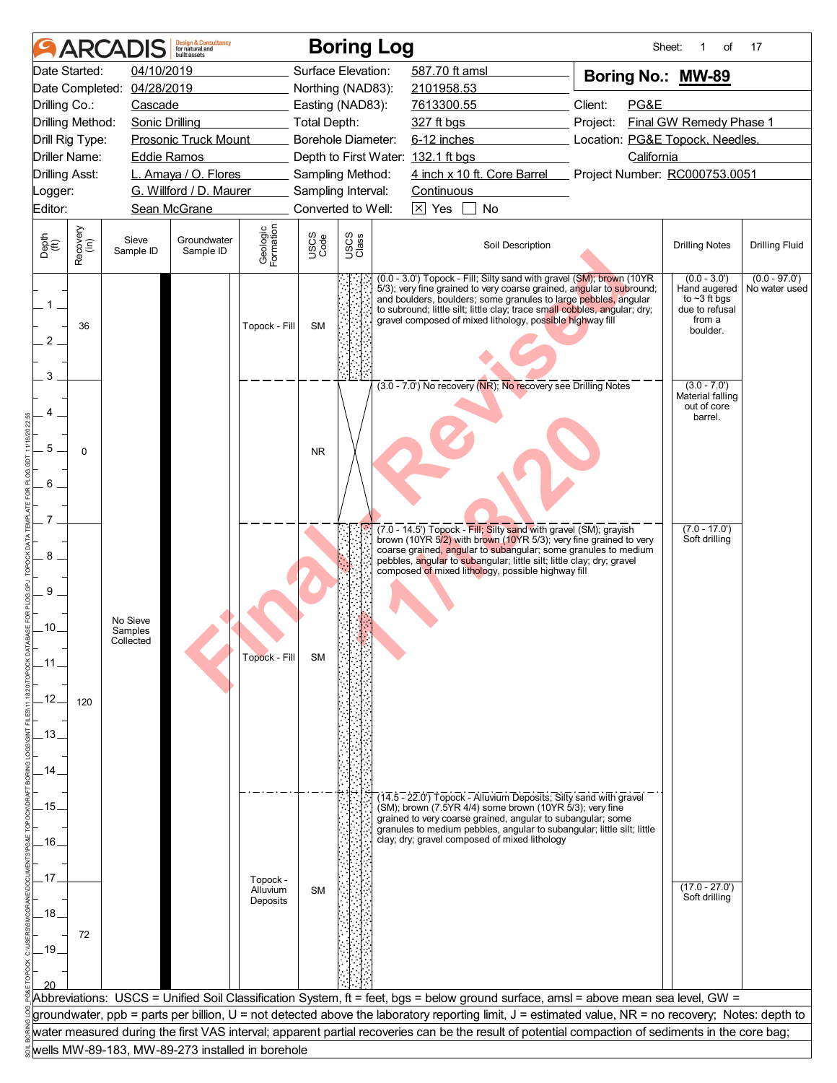|                       | <b>ARCAI</b>     |                                  | <b>Design &amp; Consultancy</b><br>for natural and<br>huilt assets |                       |                    |               | <b>Boring Log</b>                                                                                                                                                                                                                                                                                                                                         |                 | Sheet:<br>1<br>οf                                                                            | 17                               |
|-----------------------|------------------|----------------------------------|--------------------------------------------------------------------|-----------------------|--------------------|---------------|-----------------------------------------------------------------------------------------------------------------------------------------------------------------------------------------------------------------------------------------------------------------------------------------------------------------------------------------------------------|-----------------|----------------------------------------------------------------------------------------------|----------------------------------|
| Date Started:         |                  | 04/10/2019                       |                                                                    |                       | Surface Elevation: |               | 587.70 ft amsl                                                                                                                                                                                                                                                                                                                                            |                 | Boring No.: MW-89                                                                            |                                  |
|                       |                  | Date Completed: 04/28/2019       |                                                                    |                       | Northing (NAD83):  |               | 2101958.53                                                                                                                                                                                                                                                                                                                                                |                 |                                                                                              |                                  |
| Drilling Co.:         |                  | Cascade                          |                                                                    |                       | Easting (NAD83):   |               | 7613300.55                                                                                                                                                                                                                                                                                                                                                | Client:<br>PG&E |                                                                                              |                                  |
| Drilling Method:      |                  | <b>Sonic Drilling</b>            |                                                                    |                       | Total Depth:       |               | 327 ft bgs                                                                                                                                                                                                                                                                                                                                                | Project:        | Final GW Remedy Phase 1                                                                      |                                  |
| Drill Rig Type:       |                  |                                  | <b>Prosonic Truck Mount</b>                                        |                       | Borehole Diameter: |               | 6-12 inches                                                                                                                                                                                                                                                                                                                                               |                 | Location: PG&E Topock, Needles,                                                              |                                  |
| <b>Driller Name:</b>  |                  | <b>Eddie Ramos</b>               |                                                                    |                       |                    |               | Depth to First Water: 132.1 ft bgs                                                                                                                                                                                                                                                                                                                        | California      |                                                                                              |                                  |
| <b>Drilling Asst:</b> |                  |                                  | L. Amaya / O. Flores                                               |                       | Sampling Method:   |               | 4 inch x 10 ft. Core Barrel Project Number: RC000753.0051                                                                                                                                                                                                                                                                                                 |                 |                                                                                              |                                  |
| _ogger:               |                  |                                  | G. Willford / D. Maurer                                            |                       | Sampling Interval: |               | <b>Continuous</b>                                                                                                                                                                                                                                                                                                                                         |                 |                                                                                              |                                  |
| Editor:               |                  |                                  | Sean McGrane                                                       |                       | Converted to Well: |               | $\boxtimes$ Yes<br>No                                                                                                                                                                                                                                                                                                                                     |                 |                                                                                              |                                  |
| Depth<br>(ft)         | Recovery<br>(in) | Sieve<br>Sample ID               | Groundwater<br>Sample ID                                           | Geologic<br>Formation | USCS<br>Code       | USCS<br>Class | Soil Description                                                                                                                                                                                                                                                                                                                                          |                 | <b>Drilling Notes</b>                                                                        | <b>Drilling Fluid</b>            |
| $1-$<br>2<br>3        | 36               |                                  |                                                                    | Topock - Fill         | <b>SM</b>          |               | (0.0 - 3.0') Topock - Fill; Silty sand with gravel (SM); brown (10YR<br>5/3); very fine grained to very coarse grained, angular to subround;<br>and boulders, boulders; some granules to large pebbles, angular<br>to subround; little silt; little clay; trace small cobbles, angular; dry;<br>gravel composed of mixed lithology, possible highway fill |                 | $(0.0 - 3.0')$<br>Hand augered<br>to $\sim$ 3 ft bgs<br>due to refusal<br>from a<br>boulder. | $(0.0 - 97.0')$<br>No water used |
|                       |                  |                                  |                                                                    |                       |                    |               | (3.0 - 7.0') No recovery (NR); No recovery see Drilling Notes                                                                                                                                                                                                                                                                                             |                 | $(3.0 - 7.0)$<br>Material falling<br>out of core<br>barrel.                                  |                                  |
| 5<br>6                | $\Omega$         |                                  |                                                                    |                       | <b>NR</b>          |               |                                                                                                                                                                                                                                                                                                                                                           |                 |                                                                                              |                                  |
|                       |                  |                                  |                                                                    |                       |                    |               | (7.0 - 14.5') Topock - Fill; Silty sand with gravel (SM); grayish                                                                                                                                                                                                                                                                                         |                 | $(7.0 - 17.0)$                                                                               |                                  |
| 8                     |                  |                                  |                                                                    |                       |                    |               | brown (10YR 5/2) with brown (10YR 5/3); very fine grained to very<br>coarse grained, angular to subangular; some granules to medium<br>pebbles, angular to subangular; little silt; little clay; dry; gravel<br>composed of mixed lithology, possible highway fill                                                                                        |                 | Soft drilling                                                                                |                                  |
| 9                     |                  |                                  |                                                                    |                       |                    |               |                                                                                                                                                                                                                                                                                                                                                           |                 |                                                                                              |                                  |
| .10.                  |                  | No Sieve<br>Samples<br>Collected |                                                                    |                       |                    |               |                                                                                                                                                                                                                                                                                                                                                           |                 |                                                                                              |                                  |
| .12.                  |                  |                                  |                                                                    | Topock - Fill         | SM                 |               |                                                                                                                                                                                                                                                                                                                                                           |                 |                                                                                              |                                  |
| .13.                  | 120              |                                  |                                                                    |                       |                    |               |                                                                                                                                                                                                                                                                                                                                                           |                 |                                                                                              |                                  |
| 14                    |                  |                                  |                                                                    |                       |                    |               |                                                                                                                                                                                                                                                                                                                                                           |                 |                                                                                              |                                  |
| .15.                  |                  |                                  |                                                                    |                       |                    |               | (14.5 - 22.0') Topock - Alluvium Deposits; Silty sand with gravel<br>(SM); brown (7.5YR 4/4) some brown (10YR 5/3); very fine<br>grained to very coarse grained, angular to subangular; some                                                                                                                                                              |                 |                                                                                              |                                  |
| .16.                  |                  |                                  |                                                                    |                       |                    |               | granules to medium pebbles, angular to subangular; little silt; little<br>clay; dry; gravel composed of mixed lithology                                                                                                                                                                                                                                   |                 |                                                                                              |                                  |
| .17                   |                  |                                  |                                                                    | Topock -              |                    |               |                                                                                                                                                                                                                                                                                                                                                           |                 |                                                                                              |                                  |
| .18.                  |                  |                                  |                                                                    | Alluvium<br>Deposits  | <b>SM</b>          |               |                                                                                                                                                                                                                                                                                                                                                           |                 | $(17.0 - 27.0)$<br>Soft drilling                                                             |                                  |
| $-19.$                | 72               |                                  |                                                                    |                       |                    |               |                                                                                                                                                                                                                                                                                                                                                           |                 |                                                                                              |                                  |
|                       |                  |                                  |                                                                    |                       |                    |               |                                                                                                                                                                                                                                                                                                                                                           |                 |                                                                                              |                                  |
|                       |                  |                                  |                                                                    |                       |                    |               | Abbreviations: USCS = Unified Soil Classification System, ft = feet, bgs = below ground surface, amsl = above mean sea level, GW =                                                                                                                                                                                                                        |                 |                                                                                              |                                  |
|                       |                  |                                  |                                                                    |                       |                    |               | groundwater, ppb = parts per billion, U = not detected above the laboratory reporting limit, J = estimated value, NR = no recovery; Notes: depth to                                                                                                                                                                                                       |                 |                                                                                              |                                  |
|                       |                  |                                  |                                                                    |                       |                    |               | water measured during the first VAS interval; apparent partial recoveries can be the result of potential compaction of sediments in the core bag;                                                                                                                                                                                                         |                 |                                                                                              |                                  |
|                       |                  |                                  | wells MW-89-183, MW-89-273 installed in borehole                   |                       |                    |               |                                                                                                                                                                                                                                                                                                                                                           |                 |                                                                                              |                                  |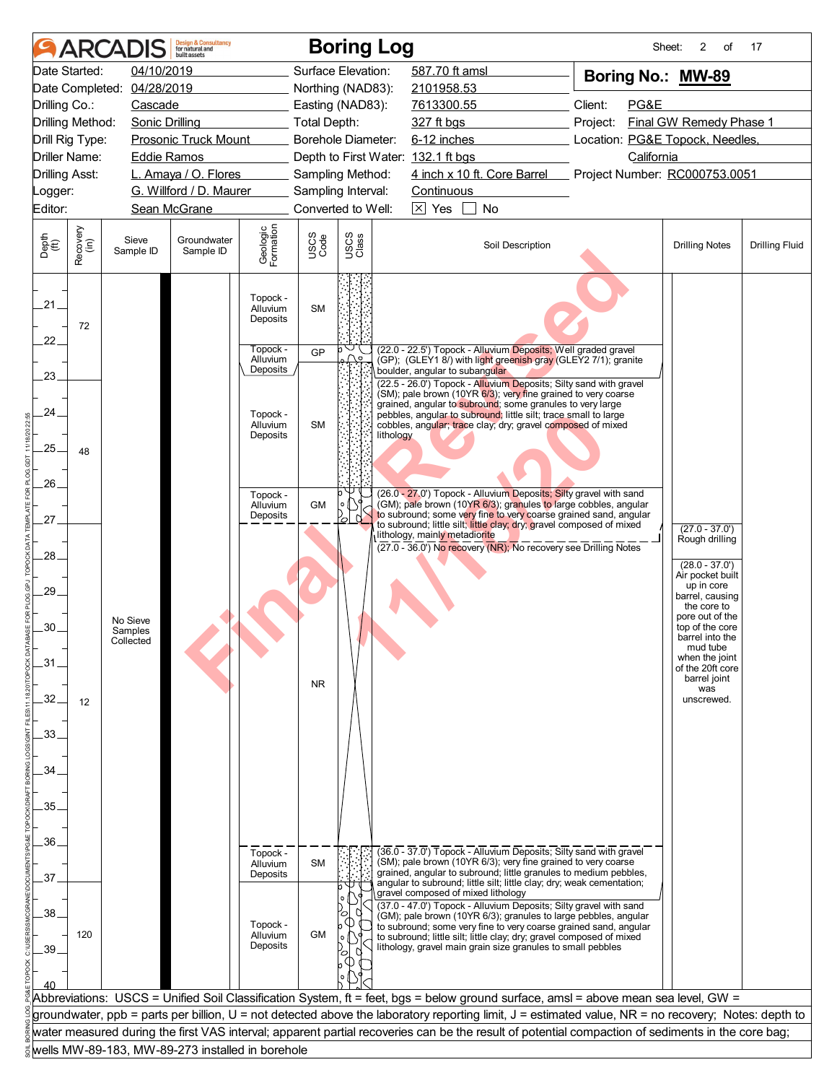| Date Started:<br>04/10/2019<br>Surface Elevation:<br>587.70 ft amsl<br>Boring No.: MW-89<br>Date Completed: 04/28/2019<br>Northing (NAD83):<br>2101958.53<br>Client:<br>PG&E<br>Drilling Co.:<br>Cascade<br>Easting (NAD83):<br>7613300.55<br>Final GW Remedy Phase 1<br>Drilling Method:<br><b>Sonic Drilling</b><br><b>Total Depth:</b><br>327 ft bgs<br>Project:<br>Borehole Diameter:<br>6-12 inches<br>Location: PG&E Topock, Needles,<br>Drill Rig Type:<br><b>Prosonic Truck Mount</b><br><b>Driller Name:</b><br><b>Eddie Ramos</b><br>Depth to First Water: 132.1 ft bgs<br>California<br>4 inch x 10 ft. Core Barrel<br><b>Drilling Asst:</b><br>L. Amaya / O. Flores<br>Project Number: RC000753.0051<br>Sampling Method:<br>G. Willford / D. Maurer<br>Sampling Interval:<br>Continuous<br>_ogger:<br>$\times$ Yes<br>Editor:<br>Sean McGrane<br>Converted to Well:<br>No<br>Geologic<br>Formation<br>Recovery<br>(in)<br>USCS<br>Class<br>USCS<br>Code<br>Depth<br>(ft)<br>Sieve<br>Groundwater<br>Soil Description<br><b>Drilling Notes</b><br>Sample ID<br>Sample ID<br>Topock -<br>$21 -$<br>Alluvium<br><b>SM</b><br>Deposits<br>72<br>$22^{1}$<br>Topock -<br>(22.0 - 22.5') Topock - Alluvium Deposits; Well graded gravel<br>GP<br>$\bigcap$<br>Alluvium<br>(GP); (GLEY1 8/) with light greenish gray (GLEY2 7/1); granite<br>Deposits<br>boulder, angular to subangular<br>23.<br>(22.5 - 26.0') Topock - Alluvium Deposits; Silty sand with gravel<br>(SM); pale brown (10YR 6/3); very fine grained to very coarse<br>grained, angular to subround; some granules to very large<br>24<br>Topock -<br>pebbles, angular to subround; little silt; trace small to large<br>Alluvium<br><b>SM</b><br>cobbles, angular; trace clay; dry; gravel composed of mixed<br>Deposits<br>lithology<br>25.<br>48<br>26.<br>(26.0 - 27.0') Topock - Alluvium Deposits; Silty gravel with sand<br>Topock -<br>(GM); pale brown (10YR 6/3); granules to large cobbles, angular<br>GM<br>Alluvium<br>to subround; some very fine to very coarse grained sand, angular<br>Deposits<br>N.<br>27.<br>to subround; little silt; little clay; dry; gravel composed of mixed<br>$(27.0 - 37.0')$<br>lithology, mainly metadiorite<br>Rough drilling<br>(27.0 - 36.0') No recovery (NR); No recovery see Drilling Notes<br>28.<br>$(28.0 - 37.0)$<br>Air pocket built<br>up in core<br>.29.<br>barrel, causing<br>the core to<br>pore out of the<br>No Sieve<br>30.<br>top of the core<br>Samples<br>barrel into the<br>Collected<br>mud tube<br>when the joint<br>.31<br>of the 20ft core<br>barrel joint<br><b>NR</b><br>was<br>32.<br>unscrewed.<br>12<br>33. |  | <b>ARCADIS</b> | <b>Design &amp; Consultancy</b><br>for natural and<br>huilt assets |  | <b>Boring Log</b> |  | Sheet: | 2<br>of | 17                    |
|----------------------------------------------------------------------------------------------------------------------------------------------------------------------------------------------------------------------------------------------------------------------------------------------------------------------------------------------------------------------------------------------------------------------------------------------------------------------------------------------------------------------------------------------------------------------------------------------------------------------------------------------------------------------------------------------------------------------------------------------------------------------------------------------------------------------------------------------------------------------------------------------------------------------------------------------------------------------------------------------------------------------------------------------------------------------------------------------------------------------------------------------------------------------------------------------------------------------------------------------------------------------------------------------------------------------------------------------------------------------------------------------------------------------------------------------------------------------------------------------------------------------------------------------------------------------------------------------------------------------------------------------------------------------------------------------------------------------------------------------------------------------------------------------------------------------------------------------------------------------------------------------------------------------------------------------------------------------------------------------------------------------------------------------------------------------------------------------------------------------------------------------------------------------------------------------------------------------------------------------------------------------------------------------------------------------------------------------------------------------------------------------------------------------------------------------------------------------------------------------------------------------------------------------------------------------------------------------------------------------------------------------------------------|--|----------------|--------------------------------------------------------------------|--|-------------------|--|--------|---------|-----------------------|
|                                                                                                                                                                                                                                                                                                                                                                                                                                                                                                                                                                                                                                                                                                                                                                                                                                                                                                                                                                                                                                                                                                                                                                                                                                                                                                                                                                                                                                                                                                                                                                                                                                                                                                                                                                                                                                                                                                                                                                                                                                                                                                                                                                                                                                                                                                                                                                                                                                                                                                                                                                                                                                                                |  |                |                                                                    |  |                   |  |        |         |                       |
|                                                                                                                                                                                                                                                                                                                                                                                                                                                                                                                                                                                                                                                                                                                                                                                                                                                                                                                                                                                                                                                                                                                                                                                                                                                                                                                                                                                                                                                                                                                                                                                                                                                                                                                                                                                                                                                                                                                                                                                                                                                                                                                                                                                                                                                                                                                                                                                                                                                                                                                                                                                                                                                                |  |                |                                                                    |  |                   |  |        |         |                       |
|                                                                                                                                                                                                                                                                                                                                                                                                                                                                                                                                                                                                                                                                                                                                                                                                                                                                                                                                                                                                                                                                                                                                                                                                                                                                                                                                                                                                                                                                                                                                                                                                                                                                                                                                                                                                                                                                                                                                                                                                                                                                                                                                                                                                                                                                                                                                                                                                                                                                                                                                                                                                                                                                |  |                |                                                                    |  |                   |  |        |         |                       |
|                                                                                                                                                                                                                                                                                                                                                                                                                                                                                                                                                                                                                                                                                                                                                                                                                                                                                                                                                                                                                                                                                                                                                                                                                                                                                                                                                                                                                                                                                                                                                                                                                                                                                                                                                                                                                                                                                                                                                                                                                                                                                                                                                                                                                                                                                                                                                                                                                                                                                                                                                                                                                                                                |  |                |                                                                    |  |                   |  |        |         |                       |
|                                                                                                                                                                                                                                                                                                                                                                                                                                                                                                                                                                                                                                                                                                                                                                                                                                                                                                                                                                                                                                                                                                                                                                                                                                                                                                                                                                                                                                                                                                                                                                                                                                                                                                                                                                                                                                                                                                                                                                                                                                                                                                                                                                                                                                                                                                                                                                                                                                                                                                                                                                                                                                                                |  |                |                                                                    |  |                   |  |        |         |                       |
|                                                                                                                                                                                                                                                                                                                                                                                                                                                                                                                                                                                                                                                                                                                                                                                                                                                                                                                                                                                                                                                                                                                                                                                                                                                                                                                                                                                                                                                                                                                                                                                                                                                                                                                                                                                                                                                                                                                                                                                                                                                                                                                                                                                                                                                                                                                                                                                                                                                                                                                                                                                                                                                                |  |                |                                                                    |  |                   |  |        |         |                       |
|                                                                                                                                                                                                                                                                                                                                                                                                                                                                                                                                                                                                                                                                                                                                                                                                                                                                                                                                                                                                                                                                                                                                                                                                                                                                                                                                                                                                                                                                                                                                                                                                                                                                                                                                                                                                                                                                                                                                                                                                                                                                                                                                                                                                                                                                                                                                                                                                                                                                                                                                                                                                                                                                |  |                |                                                                    |  |                   |  |        |         |                       |
|                                                                                                                                                                                                                                                                                                                                                                                                                                                                                                                                                                                                                                                                                                                                                                                                                                                                                                                                                                                                                                                                                                                                                                                                                                                                                                                                                                                                                                                                                                                                                                                                                                                                                                                                                                                                                                                                                                                                                                                                                                                                                                                                                                                                                                                                                                                                                                                                                                                                                                                                                                                                                                                                |  |                |                                                                    |  |                   |  |        |         |                       |
|                                                                                                                                                                                                                                                                                                                                                                                                                                                                                                                                                                                                                                                                                                                                                                                                                                                                                                                                                                                                                                                                                                                                                                                                                                                                                                                                                                                                                                                                                                                                                                                                                                                                                                                                                                                                                                                                                                                                                                                                                                                                                                                                                                                                                                                                                                                                                                                                                                                                                                                                                                                                                                                                |  |                |                                                                    |  |                   |  |        |         |                       |
|                                                                                                                                                                                                                                                                                                                                                                                                                                                                                                                                                                                                                                                                                                                                                                                                                                                                                                                                                                                                                                                                                                                                                                                                                                                                                                                                                                                                                                                                                                                                                                                                                                                                                                                                                                                                                                                                                                                                                                                                                                                                                                                                                                                                                                                                                                                                                                                                                                                                                                                                                                                                                                                                |  |                |                                                                    |  |                   |  |        |         | <b>Drilling Fluid</b> |
|                                                                                                                                                                                                                                                                                                                                                                                                                                                                                                                                                                                                                                                                                                                                                                                                                                                                                                                                                                                                                                                                                                                                                                                                                                                                                                                                                                                                                                                                                                                                                                                                                                                                                                                                                                                                                                                                                                                                                                                                                                                                                                                                                                                                                                                                                                                                                                                                                                                                                                                                                                                                                                                                |  |                |                                                                    |  |                   |  |        |         |                       |
|                                                                                                                                                                                                                                                                                                                                                                                                                                                                                                                                                                                                                                                                                                                                                                                                                                                                                                                                                                                                                                                                                                                                                                                                                                                                                                                                                                                                                                                                                                                                                                                                                                                                                                                                                                                                                                                                                                                                                                                                                                                                                                                                                                                                                                                                                                                                                                                                                                                                                                                                                                                                                                                                |  |                |                                                                    |  |                   |  |        |         |                       |
|                                                                                                                                                                                                                                                                                                                                                                                                                                                                                                                                                                                                                                                                                                                                                                                                                                                                                                                                                                                                                                                                                                                                                                                                                                                                                                                                                                                                                                                                                                                                                                                                                                                                                                                                                                                                                                                                                                                                                                                                                                                                                                                                                                                                                                                                                                                                                                                                                                                                                                                                                                                                                                                                |  |                |                                                                    |  |                   |  |        |         |                       |
|                                                                                                                                                                                                                                                                                                                                                                                                                                                                                                                                                                                                                                                                                                                                                                                                                                                                                                                                                                                                                                                                                                                                                                                                                                                                                                                                                                                                                                                                                                                                                                                                                                                                                                                                                                                                                                                                                                                                                                                                                                                                                                                                                                                                                                                                                                                                                                                                                                                                                                                                                                                                                                                                |  |                |                                                                    |  |                   |  |        |         |                       |
|                                                                                                                                                                                                                                                                                                                                                                                                                                                                                                                                                                                                                                                                                                                                                                                                                                                                                                                                                                                                                                                                                                                                                                                                                                                                                                                                                                                                                                                                                                                                                                                                                                                                                                                                                                                                                                                                                                                                                                                                                                                                                                                                                                                                                                                                                                                                                                                                                                                                                                                                                                                                                                                                |  |                |                                                                    |  |                   |  |        |         |                       |
|                                                                                                                                                                                                                                                                                                                                                                                                                                                                                                                                                                                                                                                                                                                                                                                                                                                                                                                                                                                                                                                                                                                                                                                                                                                                                                                                                                                                                                                                                                                                                                                                                                                                                                                                                                                                                                                                                                                                                                                                                                                                                                                                                                                                                                                                                                                                                                                                                                                                                                                                                                                                                                                                |  |                |                                                                    |  |                   |  |        |         |                       |
|                                                                                                                                                                                                                                                                                                                                                                                                                                                                                                                                                                                                                                                                                                                                                                                                                                                                                                                                                                                                                                                                                                                                                                                                                                                                                                                                                                                                                                                                                                                                                                                                                                                                                                                                                                                                                                                                                                                                                                                                                                                                                                                                                                                                                                                                                                                                                                                                                                                                                                                                                                                                                                                                |  |                |                                                                    |  |                   |  |        |         |                       |
|                                                                                                                                                                                                                                                                                                                                                                                                                                                                                                                                                                                                                                                                                                                                                                                                                                                                                                                                                                                                                                                                                                                                                                                                                                                                                                                                                                                                                                                                                                                                                                                                                                                                                                                                                                                                                                                                                                                                                                                                                                                                                                                                                                                                                                                                                                                                                                                                                                                                                                                                                                                                                                                                |  |                |                                                                    |  |                   |  |        |         |                       |
|                                                                                                                                                                                                                                                                                                                                                                                                                                                                                                                                                                                                                                                                                                                                                                                                                                                                                                                                                                                                                                                                                                                                                                                                                                                                                                                                                                                                                                                                                                                                                                                                                                                                                                                                                                                                                                                                                                                                                                                                                                                                                                                                                                                                                                                                                                                                                                                                                                                                                                                                                                                                                                                                |  |                |                                                                    |  |                   |  |        |         |                       |
|                                                                                                                                                                                                                                                                                                                                                                                                                                                                                                                                                                                                                                                                                                                                                                                                                                                                                                                                                                                                                                                                                                                                                                                                                                                                                                                                                                                                                                                                                                                                                                                                                                                                                                                                                                                                                                                                                                                                                                                                                                                                                                                                                                                                                                                                                                                                                                                                                                                                                                                                                                                                                                                                |  |                |                                                                    |  |                   |  |        |         |                       |
|                                                                                                                                                                                                                                                                                                                                                                                                                                                                                                                                                                                                                                                                                                                                                                                                                                                                                                                                                                                                                                                                                                                                                                                                                                                                                                                                                                                                                                                                                                                                                                                                                                                                                                                                                                                                                                                                                                                                                                                                                                                                                                                                                                                                                                                                                                                                                                                                                                                                                                                                                                                                                                                                |  |                |                                                                    |  |                   |  |        |         |                       |
| 34                                                                                                                                                                                                                                                                                                                                                                                                                                                                                                                                                                                                                                                                                                                                                                                                                                                                                                                                                                                                                                                                                                                                                                                                                                                                                                                                                                                                                                                                                                                                                                                                                                                                                                                                                                                                                                                                                                                                                                                                                                                                                                                                                                                                                                                                                                                                                                                                                                                                                                                                                                                                                                                             |  |                |                                                                    |  |                   |  |        |         |                       |
| 35.                                                                                                                                                                                                                                                                                                                                                                                                                                                                                                                                                                                                                                                                                                                                                                                                                                                                                                                                                                                                                                                                                                                                                                                                                                                                                                                                                                                                                                                                                                                                                                                                                                                                                                                                                                                                                                                                                                                                                                                                                                                                                                                                                                                                                                                                                                                                                                                                                                                                                                                                                                                                                                                            |  |                |                                                                    |  |                   |  |        |         |                       |
| 36.                                                                                                                                                                                                                                                                                                                                                                                                                                                                                                                                                                                                                                                                                                                                                                                                                                                                                                                                                                                                                                                                                                                                                                                                                                                                                                                                                                                                                                                                                                                                                                                                                                                                                                                                                                                                                                                                                                                                                                                                                                                                                                                                                                                                                                                                                                                                                                                                                                                                                                                                                                                                                                                            |  |                |                                                                    |  |                   |  |        |         |                       |
| (36.0 - 37.0') Topock - Alluvium Deposits; Silty sand with gravel<br>Topock -<br>(SM); pale brown (10YR 6/3); very fine grained to very coarse<br><b>SM</b><br>Alluvium                                                                                                                                                                                                                                                                                                                                                                                                                                                                                                                                                                                                                                                                                                                                                                                                                                                                                                                                                                                                                                                                                                                                                                                                                                                                                                                                                                                                                                                                                                                                                                                                                                                                                                                                                                                                                                                                                                                                                                                                                                                                                                                                                                                                                                                                                                                                                                                                                                                                                        |  |                |                                                                    |  |                   |  |        |         |                       |
| grained, angular to subround; little granules to medium pebbles,<br>Deposits<br>37<br>angular to subround; little silt; little clay; dry; weak cementation;                                                                                                                                                                                                                                                                                                                                                                                                                                                                                                                                                                                                                                                                                                                                                                                                                                                                                                                                                                                                                                                                                                                                                                                                                                                                                                                                                                                                                                                                                                                                                                                                                                                                                                                                                                                                                                                                                                                                                                                                                                                                                                                                                                                                                                                                                                                                                                                                                                                                                                    |  |                |                                                                    |  |                   |  |        |         |                       |
| gravel composed of mixed lithology<br>(37.0 - 47.0') Topock - Alluvium Deposits; Silty gravel with sand                                                                                                                                                                                                                                                                                                                                                                                                                                                                                                                                                                                                                                                                                                                                                                                                                                                                                                                                                                                                                                                                                                                                                                                                                                                                                                                                                                                                                                                                                                                                                                                                                                                                                                                                                                                                                                                                                                                                                                                                                                                                                                                                                                                                                                                                                                                                                                                                                                                                                                                                                        |  |                |                                                                    |  |                   |  |        |         |                       |
| 38<br>(GM); pale brown (10YR 6/3); granules to large pebbles, angular<br>Topock -<br>to subround; some very fine to very coarse grained sand, angular<br><b>GM</b><br>120<br>Alluvium<br>to subround; little silt; little clay; dry; gravel composed of mixed<br>Deposits<br>lithology, gravel main grain size granules to small pebbles<br>39.<br>ъ                                                                                                                                                                                                                                                                                                                                                                                                                                                                                                                                                                                                                                                                                                                                                                                                                                                                                                                                                                                                                                                                                                                                                                                                                                                                                                                                                                                                                                                                                                                                                                                                                                                                                                                                                                                                                                                                                                                                                                                                                                                                                                                                                                                                                                                                                                           |  |                |                                                                    |  |                   |  |        |         |                       |
|                                                                                                                                                                                                                                                                                                                                                                                                                                                                                                                                                                                                                                                                                                                                                                                                                                                                                                                                                                                                                                                                                                                                                                                                                                                                                                                                                                                                                                                                                                                                                                                                                                                                                                                                                                                                                                                                                                                                                                                                                                                                                                                                                                                                                                                                                                                                                                                                                                                                                                                                                                                                                                                                |  |                |                                                                    |  |                   |  |        |         |                       |
|                                                                                                                                                                                                                                                                                                                                                                                                                                                                                                                                                                                                                                                                                                                                                                                                                                                                                                                                                                                                                                                                                                                                                                                                                                                                                                                                                                                                                                                                                                                                                                                                                                                                                                                                                                                                                                                                                                                                                                                                                                                                                                                                                                                                                                                                                                                                                                                                                                                                                                                                                                                                                                                                |  |                |                                                                    |  |                   |  |        |         |                       |
| Abbreviations: USCS = Unified Soil Classification System, ft = feet, bgs = below ground surface, amsl = above mean sea level, GW =<br>groundwater, ppb = parts per billion, U = not detected above the laboratory reporting limit, J = estimated value, NR = no recovery; Notes: depth to                                                                                                                                                                                                                                                                                                                                                                                                                                                                                                                                                                                                                                                                                                                                                                                                                                                                                                                                                                                                                                                                                                                                                                                                                                                                                                                                                                                                                                                                                                                                                                                                                                                                                                                                                                                                                                                                                                                                                                                                                                                                                                                                                                                                                                                                                                                                                                      |  |                |                                                                    |  |                   |  |        |         |                       |
| water measured during the first VAS interval; apparent partial recoveries can be the result of potential compaction of sediments in the core bag;                                                                                                                                                                                                                                                                                                                                                                                                                                                                                                                                                                                                                                                                                                                                                                                                                                                                                                                                                                                                                                                                                                                                                                                                                                                                                                                                                                                                                                                                                                                                                                                                                                                                                                                                                                                                                                                                                                                                                                                                                                                                                                                                                                                                                                                                                                                                                                                                                                                                                                              |  |                |                                                                    |  |                   |  |        |         |                       |
| wells MW-89-183, MW-89-273 installed in borehole                                                                                                                                                                                                                                                                                                                                                                                                                                                                                                                                                                                                                                                                                                                                                                                                                                                                                                                                                                                                                                                                                                                                                                                                                                                                                                                                                                                                                                                                                                                                                                                                                                                                                                                                                                                                                                                                                                                                                                                                                                                                                                                                                                                                                                                                                                                                                                                                                                                                                                                                                                                                               |  |                |                                                                    |  |                   |  |        |         |                       |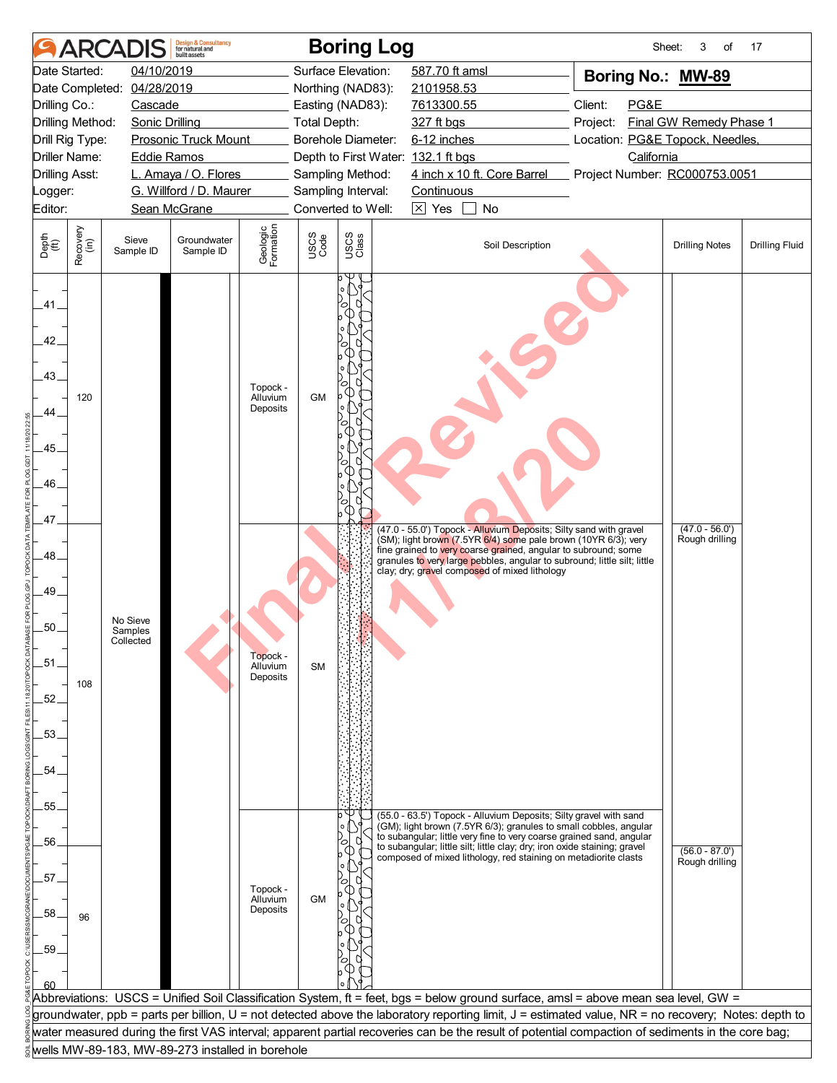|                                                          |                  | <b>ARCADIS</b>                   | <b>Design &amp; Consultancy</b><br>for natural and<br>huilt assets |                                  |                     | <b>Boring Log</b>                                    |                   |                                                                                                                                                                                                                                                                                                                                                                |          | Sheet:            | 3<br>of                            | 17                    |
|----------------------------------------------------------|------------------|----------------------------------|--------------------------------------------------------------------|----------------------------------|---------------------|------------------------------------------------------|-------------------|----------------------------------------------------------------------------------------------------------------------------------------------------------------------------------------------------------------------------------------------------------------------------------------------------------------------------------------------------------------|----------|-------------------|------------------------------------|-----------------------|
|                                                          | Date Started:    | 04/10/2019                       |                                                                    |                                  |                     | Surface Elevation:                                   | 587.70 ft amsl    |                                                                                                                                                                                                                                                                                                                                                                |          | Boring No.: MW-89 |                                    |                       |
|                                                          |                  | Date Completed: 04/28/2019       |                                                                    |                                  |                     | Northing (NAD83):                                    | 2101958.53        |                                                                                                                                                                                                                                                                                                                                                                |          |                   |                                    |                       |
| Drilling Co.:                                            |                  | Cascade                          |                                                                    |                                  |                     | Easting (NAD83):                                     | 7613300.55        |                                                                                                                                                                                                                                                                                                                                                                | Client:  | PG&E              |                                    |                       |
| Drilling Method:                                         |                  | <b>Sonic Drilling</b>            |                                                                    |                                  | <b>Total Depth:</b> |                                                      | 327 ft bgs        |                                                                                                                                                                                                                                                                                                                                                                | Project: |                   | Final GW Remedy Phase 1            |                       |
| Drill Rig Type:                                          |                  |                                  | <b>Prosonic Truck Mount</b>                                        |                                  |                     | Borehole Diameter:                                   | 6-12 inches       |                                                                                                                                                                                                                                                                                                                                                                |          |                   | Location: PG&E Topock, Needles,    |                       |
|                                                          | Driller Name:    | <b>Eddie Ramos</b>               |                                                                    |                                  |                     | Depth to First Water: 132.1 ft bgs                   |                   |                                                                                                                                                                                                                                                                                                                                                                |          | California        |                                    |                       |
| <b>Drilling Asst:</b>                                    |                  |                                  | L. Amaya / O. Flores                                               |                                  |                     | Sampling Method:                                     |                   | 4 inch x 10 ft. Core Barrel                                                                                                                                                                                                                                                                                                                                    |          |                   | Project Number: RC000753.0051      |                       |
| Logger:                                                  |                  |                                  | G. Willford / D. Maurer                                            |                                  |                     | Sampling Interval:                                   | <b>Continuous</b> |                                                                                                                                                                                                                                                                                                                                                                |          |                   |                                    |                       |
| Editor:                                                  |                  |                                  | Sean McGrane                                                       |                                  |                     | Converted to Well:                                   | $\boxtimes$ Yes   | No                                                                                                                                                                                                                                                                                                                                                             |          |                   |                                    |                       |
| Depth<br>(ft)                                            | Recovery<br>(in) | Sieve<br>Sample ID               | Groundwater<br>Sample ID                                           | Geologic<br>Formation            | USCS<br>Code        | USCS<br>Class                                        |                   | Soil Description                                                                                                                                                                                                                                                                                                                                               |          |                   | <b>Drilling Notes</b>              | <b>Drilling Fluid</b> |
| .41.<br>42.<br>.43.<br>44<br>.45.<br>46.<br>.47.         | 120              |                                  |                                                                    | Topock -<br>Alluvium<br>Deposits | <b>GM</b>           | 0<br>∩<br>ъ<br>Œ<br>c<br>O<br>Œ<br>$\circ$<br>ъ<br>Œ |                   |                                                                                                                                                                                                                                                                                                                                                                |          |                   |                                    |                       |
| 48<br>49.<br>.50.<br>$-51$<br>$-52$<br>.53.<br>54<br>55. | 108              | No Sieve<br>Samples<br>Collected |                                                                    | Topock -<br>Alluvium<br>Deposits | <b>SM</b>           |                                                      |                   | (47.0 - 55.0') Topock - Alluvium Deposits; Silty sand with gravel<br>(SM); light brown (7.5YR 6/4) some pale brown (10YR 6/3); very<br>fine grained to very coarse grained, angular to subround; some<br>granules to very large pebbles, angular to subround; little silt; little<br>clay; dry; gravel composed of mixed lithology                             |          |                   | $(47.0 - 56.0')$<br>Rough drilling |                       |
| .56.<br>.57.<br>58<br>.59                                | 96               |                                  |                                                                    | Topock -<br>Alluvium<br>Deposits | <b>GM</b>           | ъ                                                    |                   | (55.0 - 63.5') Topock - Alluvium Deposits; Silty gravel with sand<br>(GM); light brown (7.5YR 6/3); granules to small cobbles, angular<br>to subangular; little very fine to very coarse grained sand, angular<br>to subangular; little silt; little clay; dry; iron oxide staining; gravel<br>composed of mixed lithology, red staining on metadiorite clasts |          |                   | $(56.0 - 87.0)$<br>Rough drilling  |                       |
|                                                          |                  |                                  |                                                                    |                                  |                     |                                                      |                   | Abbreviations: USCS = Unified Soil Classification System, ft = feet, bgs = below ground surface, amsl = above mean sea level, GW =                                                                                                                                                                                                                             |          |                   |                                    |                       |
|                                                          |                  |                                  |                                                                    |                                  |                     |                                                      |                   | groundwater, ppb = parts per billion, U = not detected above the laboratory reporting limit, J = estimated value, NR = no recovery; Notes: depth to                                                                                                                                                                                                            |          |                   |                                    |                       |
|                                                          |                  |                                  |                                                                    |                                  |                     |                                                      |                   | water measured during the first VAS interval; apparent partial recoveries can be the result of potential compaction of sediments in the core bag;                                                                                                                                                                                                              |          |                   |                                    |                       |
|                                                          |                  |                                  | wells MW-89-183, MW-89-273 installed in borehole                   |                                  |                     |                                                      |                   |                                                                                                                                                                                                                                                                                                                                                                |          |                   |                                    |                       |
|                                                          |                  |                                  |                                                                    |                                  |                     |                                                      |                   |                                                                                                                                                                                                                                                                                                                                                                |          |                   |                                    |                       |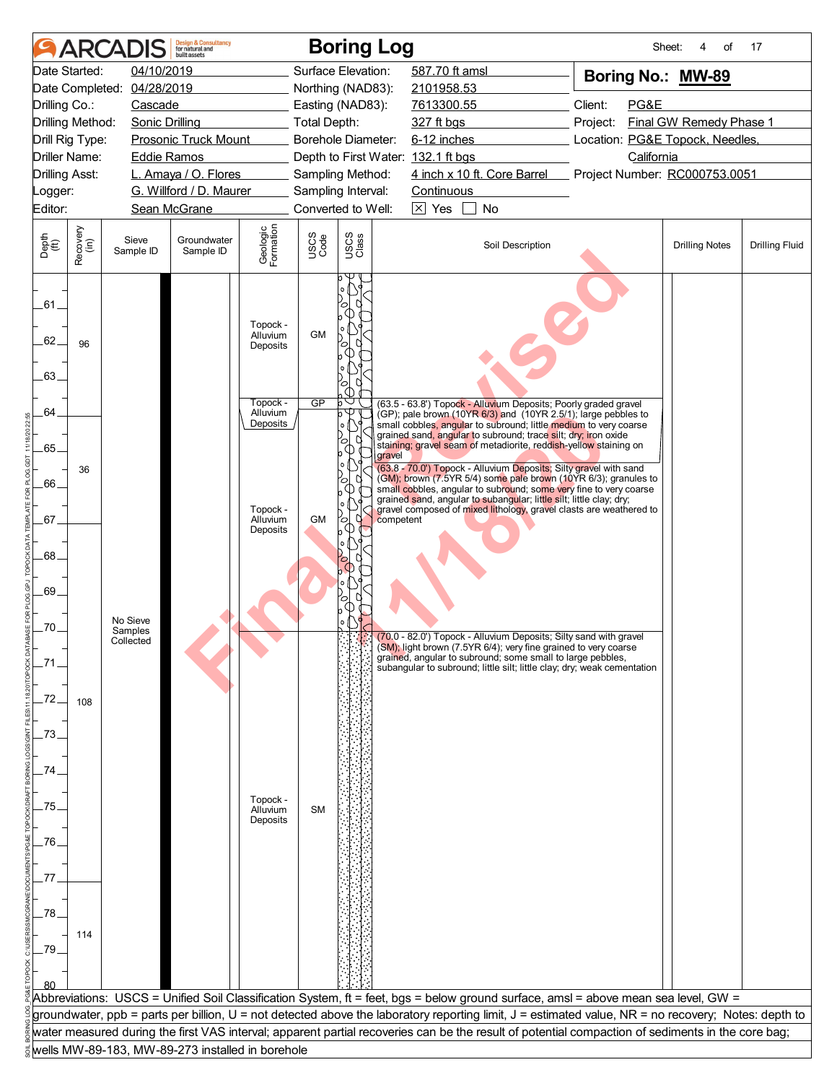| Date Started:<br>04/10/2019<br>Surface Elevation:<br>587.70 ft amsl<br>Boring No.: MW-89<br>Date Completed: 04/28/2019<br>Northing (NAD83):<br>2101958.53<br>Client:<br>PG&E<br>Drilling Co.:<br>Cascade<br>Easting (NAD83):<br>7613300.55<br>Final GW Remedy Phase 1<br>Drilling Method:<br><b>Sonic Drilling</b><br><b>Total Depth:</b><br>327 ft bgs<br>Project:<br>Borehole Diameter:<br>6-12 inches<br>Location: PG&E Topock, Needles,<br>Drill Rig Type:<br><b>Prosonic Truck Mount</b><br><b>Driller Name:</b><br><b>Eddie Ramos</b><br>Depth to First Water: 132.1 ft bgs<br>California<br>4 inch x 10 ft. Core Barrel<br><b>Drilling Asst:</b><br>L. Amaya / O. Flores<br>Project Number: RC000753.0051<br>Sampling Method:<br>G. Willford / D. Maurer<br>Sampling Interval:<br><b>Continuous</b><br>_ogger:<br>$\boxtimes$ Yes<br>Editor:<br>Sean McGrane<br>Converted to Well:<br>No<br>Geologic<br>Formation<br>Recovery<br>(in)<br>USCS<br>Class<br>USCS<br>Code<br>Depth<br>$\widetilde{f(t)}$<br>Sieve<br>Groundwater<br>Soil Description<br><b>Drilling Notes</b><br>Sample ID<br>Sample ID<br>.61.<br>ъ<br>Œ<br>Topock -<br><b>GM</b><br>Alluvium<br>62.<br>96<br>О<br>Deposits<br>(I)<br>.63.<br>ъ<br>Œ<br>GP<br>Topock -<br>◡<br>(63.5 - 63.8') Topock - Alluvium Deposits; Poorly graded gravel<br>64<br>Alluvium<br>ьΨ<br>(GP); pale brown (10YR 6/3) and (10YR 2.5/1); large pebbles to<br>Deposits<br>small cobbles, angular to subround; little medium to very coarse<br>$\circ$<br>grained sand, angular to subround; trace silt; dry; iron oxide<br>$\partial$<br>U)<br>staining; gravel seam of metadiorite, reddish-yellow staining on<br>$-65.$<br>⋔<br>gravel<br>$\circ$<br>(63.8 - 70.0') Topock - Alluvium Deposits; Silty gravel with sand<br>36<br>(GM); brown (7.5YR 5/4) some pale brown (10YR 6/3); granules to<br>U<br>∞<br>66.<br>small cobbles, angular to subround; some very fine to very coarse<br>Ⅵ<br>grained sand, angular to subangular; little silt; little clay; dry;<br>$\circ$<br>Topock -<br>gravel composed of mixed lithology, gravel clasts are weathered to<br>a<br>$-67$<br><b>GM</b><br>Alluvium<br>ro.<br>competent<br>➀<br>Deposits<br>o<br>.68.<br>ъ<br><sup>(1)</sup><br>.69<br>О<br>Œ<br>No Sieve<br>-70.<br>Samples<br>Collected<br>(SM); light brown (7.5YR 6/4); very fine grained to very coarse<br>grained, angular to subround; some small to large pebbles,<br>subangular to subround; little silt; little clay; dry; weak cementation<br>_72. |                       |
|----------------------------------------------------------------------------------------------------------------------------------------------------------------------------------------------------------------------------------------------------------------------------------------------------------------------------------------------------------------------------------------------------------------------------------------------------------------------------------------------------------------------------------------------------------------------------------------------------------------------------------------------------------------------------------------------------------------------------------------------------------------------------------------------------------------------------------------------------------------------------------------------------------------------------------------------------------------------------------------------------------------------------------------------------------------------------------------------------------------------------------------------------------------------------------------------------------------------------------------------------------------------------------------------------------------------------------------------------------------------------------------------------------------------------------------------------------------------------------------------------------------------------------------------------------------------------------------------------------------------------------------------------------------------------------------------------------------------------------------------------------------------------------------------------------------------------------------------------------------------------------------------------------------------------------------------------------------------------------------------------------------------------------------------------------------------------------------------------------------------------------------------------------------------------------------------------------------------------------------------------------------------------------------------------------------------------------------------------------------------------------------------------------------------------------------------------------------------------------------------------------------------|-----------------------|
|                                                                                                                                                                                                                                                                                                                                                                                                                                                                                                                                                                                                                                                                                                                                                                                                                                                                                                                                                                                                                                                                                                                                                                                                                                                                                                                                                                                                                                                                                                                                                                                                                                                                                                                                                                                                                                                                                                                                                                                                                                                                                                                                                                                                                                                                                                                                                                                                                                                                                                                      |                       |
|                                                                                                                                                                                                                                                                                                                                                                                                                                                                                                                                                                                                                                                                                                                                                                                                                                                                                                                                                                                                                                                                                                                                                                                                                                                                                                                                                                                                                                                                                                                                                                                                                                                                                                                                                                                                                                                                                                                                                                                                                                                                                                                                                                                                                                                                                                                                                                                                                                                                                                                      |                       |
|                                                                                                                                                                                                                                                                                                                                                                                                                                                                                                                                                                                                                                                                                                                                                                                                                                                                                                                                                                                                                                                                                                                                                                                                                                                                                                                                                                                                                                                                                                                                                                                                                                                                                                                                                                                                                                                                                                                                                                                                                                                                                                                                                                                                                                                                                                                                                                                                                                                                                                                      |                       |
|                                                                                                                                                                                                                                                                                                                                                                                                                                                                                                                                                                                                                                                                                                                                                                                                                                                                                                                                                                                                                                                                                                                                                                                                                                                                                                                                                                                                                                                                                                                                                                                                                                                                                                                                                                                                                                                                                                                                                                                                                                                                                                                                                                                                                                                                                                                                                                                                                                                                                                                      |                       |
|                                                                                                                                                                                                                                                                                                                                                                                                                                                                                                                                                                                                                                                                                                                                                                                                                                                                                                                                                                                                                                                                                                                                                                                                                                                                                                                                                                                                                                                                                                                                                                                                                                                                                                                                                                                                                                                                                                                                                                                                                                                                                                                                                                                                                                                                                                                                                                                                                                                                                                                      |                       |
|                                                                                                                                                                                                                                                                                                                                                                                                                                                                                                                                                                                                                                                                                                                                                                                                                                                                                                                                                                                                                                                                                                                                                                                                                                                                                                                                                                                                                                                                                                                                                                                                                                                                                                                                                                                                                                                                                                                                                                                                                                                                                                                                                                                                                                                                                                                                                                                                                                                                                                                      |                       |
|                                                                                                                                                                                                                                                                                                                                                                                                                                                                                                                                                                                                                                                                                                                                                                                                                                                                                                                                                                                                                                                                                                                                                                                                                                                                                                                                                                                                                                                                                                                                                                                                                                                                                                                                                                                                                                                                                                                                                                                                                                                                                                                                                                                                                                                                                                                                                                                                                                                                                                                      |                       |
|                                                                                                                                                                                                                                                                                                                                                                                                                                                                                                                                                                                                                                                                                                                                                                                                                                                                                                                                                                                                                                                                                                                                                                                                                                                                                                                                                                                                                                                                                                                                                                                                                                                                                                                                                                                                                                                                                                                                                                                                                                                                                                                                                                                                                                                                                                                                                                                                                                                                                                                      |                       |
|                                                                                                                                                                                                                                                                                                                                                                                                                                                                                                                                                                                                                                                                                                                                                                                                                                                                                                                                                                                                                                                                                                                                                                                                                                                                                                                                                                                                                                                                                                                                                                                                                                                                                                                                                                                                                                                                                                                                                                                                                                                                                                                                                                                                                                                                                                                                                                                                                                                                                                                      |                       |
|                                                                                                                                                                                                                                                                                                                                                                                                                                                                                                                                                                                                                                                                                                                                                                                                                                                                                                                                                                                                                                                                                                                                                                                                                                                                                                                                                                                                                                                                                                                                                                                                                                                                                                                                                                                                                                                                                                                                                                                                                                                                                                                                                                                                                                                                                                                                                                                                                                                                                                                      | <b>Drilling Fluid</b> |
|                                                                                                                                                                                                                                                                                                                                                                                                                                                                                                                                                                                                                                                                                                                                                                                                                                                                                                                                                                                                                                                                                                                                                                                                                                                                                                                                                                                                                                                                                                                                                                                                                                                                                                                                                                                                                                                                                                                                                                                                                                                                                                                                                                                                                                                                                                                                                                                                                                                                                                                      |                       |
|                                                                                                                                                                                                                                                                                                                                                                                                                                                                                                                                                                                                                                                                                                                                                                                                                                                                                                                                                                                                                                                                                                                                                                                                                                                                                                                                                                                                                                                                                                                                                                                                                                                                                                                                                                                                                                                                                                                                                                                                                                                                                                                                                                                                                                                                                                                                                                                                                                                                                                                      |                       |
|                                                                                                                                                                                                                                                                                                                                                                                                                                                                                                                                                                                                                                                                                                                                                                                                                                                                                                                                                                                                                                                                                                                                                                                                                                                                                                                                                                                                                                                                                                                                                                                                                                                                                                                                                                                                                                                                                                                                                                                                                                                                                                                                                                                                                                                                                                                                                                                                                                                                                                                      |                       |
|                                                                                                                                                                                                                                                                                                                                                                                                                                                                                                                                                                                                                                                                                                                                                                                                                                                                                                                                                                                                                                                                                                                                                                                                                                                                                                                                                                                                                                                                                                                                                                                                                                                                                                                                                                                                                                                                                                                                                                                                                                                                                                                                                                                                                                                                                                                                                                                                                                                                                                                      |                       |
|                                                                                                                                                                                                                                                                                                                                                                                                                                                                                                                                                                                                                                                                                                                                                                                                                                                                                                                                                                                                                                                                                                                                                                                                                                                                                                                                                                                                                                                                                                                                                                                                                                                                                                                                                                                                                                                                                                                                                                                                                                                                                                                                                                                                                                                                                                                                                                                                                                                                                                                      |                       |
|                                                                                                                                                                                                                                                                                                                                                                                                                                                                                                                                                                                                                                                                                                                                                                                                                                                                                                                                                                                                                                                                                                                                                                                                                                                                                                                                                                                                                                                                                                                                                                                                                                                                                                                                                                                                                                                                                                                                                                                                                                                                                                                                                                                                                                                                                                                                                                                                                                                                                                                      |                       |
|                                                                                                                                                                                                                                                                                                                                                                                                                                                                                                                                                                                                                                                                                                                                                                                                                                                                                                                                                                                                                                                                                                                                                                                                                                                                                                                                                                                                                                                                                                                                                                                                                                                                                                                                                                                                                                                                                                                                                                                                                                                                                                                                                                                                                                                                                                                                                                                                                                                                                                                      |                       |
|                                                                                                                                                                                                                                                                                                                                                                                                                                                                                                                                                                                                                                                                                                                                                                                                                                                                                                                                                                                                                                                                                                                                                                                                                                                                                                                                                                                                                                                                                                                                                                                                                                                                                                                                                                                                                                                                                                                                                                                                                                                                                                                                                                                                                                                                                                                                                                                                                                                                                                                      |                       |
|                                                                                                                                                                                                                                                                                                                                                                                                                                                                                                                                                                                                                                                                                                                                                                                                                                                                                                                                                                                                                                                                                                                                                                                                                                                                                                                                                                                                                                                                                                                                                                                                                                                                                                                                                                                                                                                                                                                                                                                                                                                                                                                                                                                                                                                                                                                                                                                                                                                                                                                      |                       |
|                                                                                                                                                                                                                                                                                                                                                                                                                                                                                                                                                                                                                                                                                                                                                                                                                                                                                                                                                                                                                                                                                                                                                                                                                                                                                                                                                                                                                                                                                                                                                                                                                                                                                                                                                                                                                                                                                                                                                                                                                                                                                                                                                                                                                                                                                                                                                                                                                                                                                                                      |                       |
|                                                                                                                                                                                                                                                                                                                                                                                                                                                                                                                                                                                                                                                                                                                                                                                                                                                                                                                                                                                                                                                                                                                                                                                                                                                                                                                                                                                                                                                                                                                                                                                                                                                                                                                                                                                                                                                                                                                                                                                                                                                                                                                                                                                                                                                                                                                                                                                                                                                                                                                      |                       |
|                                                                                                                                                                                                                                                                                                                                                                                                                                                                                                                                                                                                                                                                                                                                                                                                                                                                                                                                                                                                                                                                                                                                                                                                                                                                                                                                                                                                                                                                                                                                                                                                                                                                                                                                                                                                                                                                                                                                                                                                                                                                                                                                                                                                                                                                                                                                                                                                                                                                                                                      |                       |
|                                                                                                                                                                                                                                                                                                                                                                                                                                                                                                                                                                                                                                                                                                                                                                                                                                                                                                                                                                                                                                                                                                                                                                                                                                                                                                                                                                                                                                                                                                                                                                                                                                                                                                                                                                                                                                                                                                                                                                                                                                                                                                                                                                                                                                                                                                                                                                                                                                                                                                                      |                       |
|                                                                                                                                                                                                                                                                                                                                                                                                                                                                                                                                                                                                                                                                                                                                                                                                                                                                                                                                                                                                                                                                                                                                                                                                                                                                                                                                                                                                                                                                                                                                                                                                                                                                                                                                                                                                                                                                                                                                                                                                                                                                                                                                                                                                                                                                                                                                                                                                                                                                                                                      |                       |
|                                                                                                                                                                                                                                                                                                                                                                                                                                                                                                                                                                                                                                                                                                                                                                                                                                                                                                                                                                                                                                                                                                                                                                                                                                                                                                                                                                                                                                                                                                                                                                                                                                                                                                                                                                                                                                                                                                                                                                                                                                                                                                                                                                                                                                                                                                                                                                                                                                                                                                                      |                       |
| 108                                                                                                                                                                                                                                                                                                                                                                                                                                                                                                                                                                                                                                                                                                                                                                                                                                                                                                                                                                                                                                                                                                                                                                                                                                                                                                                                                                                                                                                                                                                                                                                                                                                                                                                                                                                                                                                                                                                                                                                                                                                                                                                                                                                                                                                                                                                                                                                                                                                                                                                  |                       |
| .73                                                                                                                                                                                                                                                                                                                                                                                                                                                                                                                                                                                                                                                                                                                                                                                                                                                                                                                                                                                                                                                                                                                                                                                                                                                                                                                                                                                                                                                                                                                                                                                                                                                                                                                                                                                                                                                                                                                                                                                                                                                                                                                                                                                                                                                                                                                                                                                                                                                                                                                  |                       |
|                                                                                                                                                                                                                                                                                                                                                                                                                                                                                                                                                                                                                                                                                                                                                                                                                                                                                                                                                                                                                                                                                                                                                                                                                                                                                                                                                                                                                                                                                                                                                                                                                                                                                                                                                                                                                                                                                                                                                                                                                                                                                                                                                                                                                                                                                                                                                                                                                                                                                                                      |                       |
| 74                                                                                                                                                                                                                                                                                                                                                                                                                                                                                                                                                                                                                                                                                                                                                                                                                                                                                                                                                                                                                                                                                                                                                                                                                                                                                                                                                                                                                                                                                                                                                                                                                                                                                                                                                                                                                                                                                                                                                                                                                                                                                                                                                                                                                                                                                                                                                                                                                                                                                                                   |                       |
|                                                                                                                                                                                                                                                                                                                                                                                                                                                                                                                                                                                                                                                                                                                                                                                                                                                                                                                                                                                                                                                                                                                                                                                                                                                                                                                                                                                                                                                                                                                                                                                                                                                                                                                                                                                                                                                                                                                                                                                                                                                                                                                                                                                                                                                                                                                                                                                                                                                                                                                      |                       |
| Topock -<br>75<br>Alluvium<br><b>SM</b>                                                                                                                                                                                                                                                                                                                                                                                                                                                                                                                                                                                                                                                                                                                                                                                                                                                                                                                                                                                                                                                                                                                                                                                                                                                                                                                                                                                                                                                                                                                                                                                                                                                                                                                                                                                                                                                                                                                                                                                                                                                                                                                                                                                                                                                                                                                                                                                                                                                                              |                       |
| Deposits                                                                                                                                                                                                                                                                                                                                                                                                                                                                                                                                                                                                                                                                                                                                                                                                                                                                                                                                                                                                                                                                                                                                                                                                                                                                                                                                                                                                                                                                                                                                                                                                                                                                                                                                                                                                                                                                                                                                                                                                                                                                                                                                                                                                                                                                                                                                                                                                                                                                                                             |                       |
| .76.                                                                                                                                                                                                                                                                                                                                                                                                                                                                                                                                                                                                                                                                                                                                                                                                                                                                                                                                                                                                                                                                                                                                                                                                                                                                                                                                                                                                                                                                                                                                                                                                                                                                                                                                                                                                                                                                                                                                                                                                                                                                                                                                                                                                                                                                                                                                                                                                                                                                                                                 |                       |
|                                                                                                                                                                                                                                                                                                                                                                                                                                                                                                                                                                                                                                                                                                                                                                                                                                                                                                                                                                                                                                                                                                                                                                                                                                                                                                                                                                                                                                                                                                                                                                                                                                                                                                                                                                                                                                                                                                                                                                                                                                                                                                                                                                                                                                                                                                                                                                                                                                                                                                                      |                       |
| 77                                                                                                                                                                                                                                                                                                                                                                                                                                                                                                                                                                                                                                                                                                                                                                                                                                                                                                                                                                                                                                                                                                                                                                                                                                                                                                                                                                                                                                                                                                                                                                                                                                                                                                                                                                                                                                                                                                                                                                                                                                                                                                                                                                                                                                                                                                                                                                                                                                                                                                                   |                       |
| .78.                                                                                                                                                                                                                                                                                                                                                                                                                                                                                                                                                                                                                                                                                                                                                                                                                                                                                                                                                                                                                                                                                                                                                                                                                                                                                                                                                                                                                                                                                                                                                                                                                                                                                                                                                                                                                                                                                                                                                                                                                                                                                                                                                                                                                                                                                                                                                                                                                                                                                                                 |                       |
| 114                                                                                                                                                                                                                                                                                                                                                                                                                                                                                                                                                                                                                                                                                                                                                                                                                                                                                                                                                                                                                                                                                                                                                                                                                                                                                                                                                                                                                                                                                                                                                                                                                                                                                                                                                                                                                                                                                                                                                                                                                                                                                                                                                                                                                                                                                                                                                                                                                                                                                                                  |                       |
| -79                                                                                                                                                                                                                                                                                                                                                                                                                                                                                                                                                                                                                                                                                                                                                                                                                                                                                                                                                                                                                                                                                                                                                                                                                                                                                                                                                                                                                                                                                                                                                                                                                                                                                                                                                                                                                                                                                                                                                                                                                                                                                                                                                                                                                                                                                                                                                                                                                                                                                                                  |                       |
|                                                                                                                                                                                                                                                                                                                                                                                                                                                                                                                                                                                                                                                                                                                                                                                                                                                                                                                                                                                                                                                                                                                                                                                                                                                                                                                                                                                                                                                                                                                                                                                                                                                                                                                                                                                                                                                                                                                                                                                                                                                                                                                                                                                                                                                                                                                                                                                                                                                                                                                      |                       |
|                                                                                                                                                                                                                                                                                                                                                                                                                                                                                                                                                                                                                                                                                                                                                                                                                                                                                                                                                                                                                                                                                                                                                                                                                                                                                                                                                                                                                                                                                                                                                                                                                                                                                                                                                                                                                                                                                                                                                                                                                                                                                                                                                                                                                                                                                                                                                                                                                                                                                                                      |                       |
| Abbreviations: USCS = Unified Soil Classification System, ft = feet, bgs = below ground surface, amsl = above mean sea level, GW =<br>groundwater, ppb = parts per billion, U = not detected above the laboratory reporting limit, J = estimated value, NR = no recovery; Notes: depth to                                                                                                                                                                                                                                                                                                                                                                                                                                                                                                                                                                                                                                                                                                                                                                                                                                                                                                                                                                                                                                                                                                                                                                                                                                                                                                                                                                                                                                                                                                                                                                                                                                                                                                                                                                                                                                                                                                                                                                                                                                                                                                                                                                                                                            |                       |
| water measured during the first VAS interval; apparent partial recoveries can be the result of potential compaction of sediments in the core bag;                                                                                                                                                                                                                                                                                                                                                                                                                                                                                                                                                                                                                                                                                                                                                                                                                                                                                                                                                                                                                                                                                                                                                                                                                                                                                                                                                                                                                                                                                                                                                                                                                                                                                                                                                                                                                                                                                                                                                                                                                                                                                                                                                                                                                                                                                                                                                                    |                       |
| wells MW-89-183, MW-89-273 installed in borehole                                                                                                                                                                                                                                                                                                                                                                                                                                                                                                                                                                                                                                                                                                                                                                                                                                                                                                                                                                                                                                                                                                                                                                                                                                                                                                                                                                                                                                                                                                                                                                                                                                                                                                                                                                                                                                                                                                                                                                                                                                                                                                                                                                                                                                                                                                                                                                                                                                                                     |                       |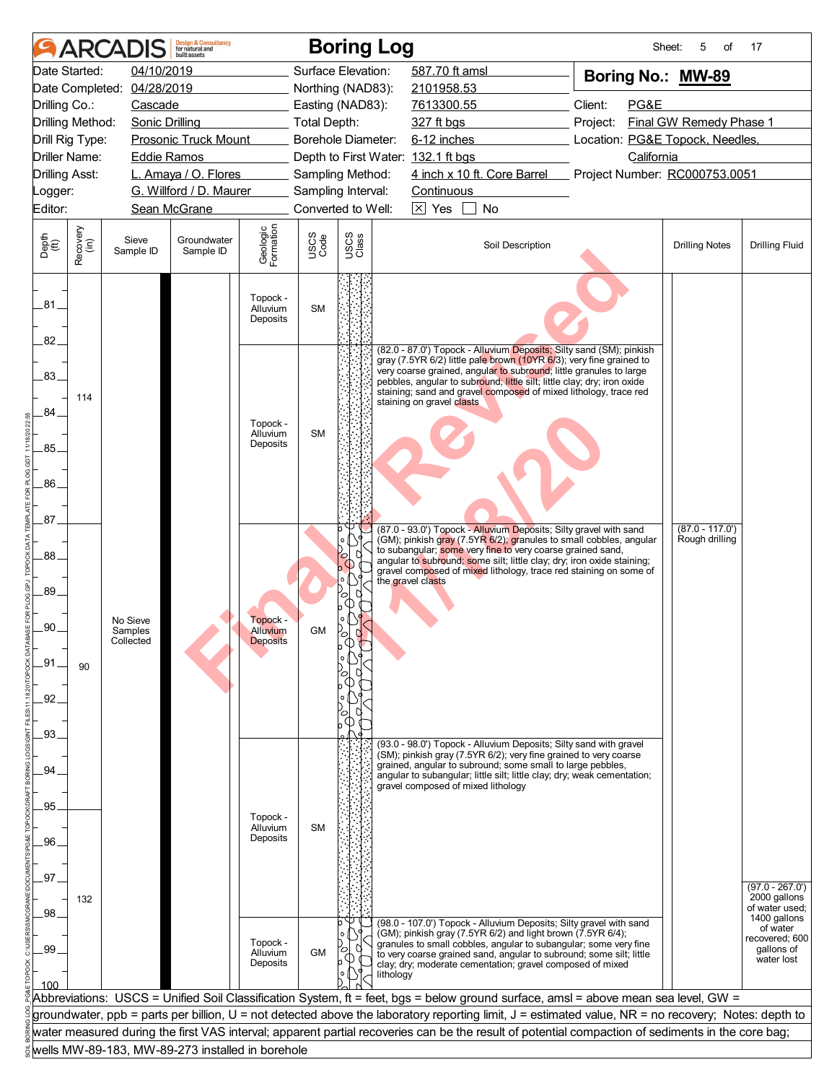|                                        |                  | <b>ARCADIS</b>             | <b>Design &amp; Consultancy</b><br>for natural and<br>huilt assets |                                  |                     | <b>Boring Log</b> |                                                                                                                                                                                                                                                                                                                                                                                              | Sheet:                                      | 5<br>of                 | 17                                |
|----------------------------------------|------------------|----------------------------|--------------------------------------------------------------------|----------------------------------|---------------------|-------------------|----------------------------------------------------------------------------------------------------------------------------------------------------------------------------------------------------------------------------------------------------------------------------------------------------------------------------------------------------------------------------------------------|---------------------------------------------|-------------------------|-----------------------------------|
| Date Started:                          |                  | 04/10/2019                 |                                                                    |                                  | Surface Elevation:  |                   | 587.70 ft amsl                                                                                                                                                                                                                                                                                                                                                                               | Boring No.: MW-89                           |                         |                                   |
|                                        |                  | Date Completed: 04/28/2019 |                                                                    |                                  | Northing (NAD83):   |                   | 2101958.53                                                                                                                                                                                                                                                                                                                                                                                   |                                             |                         |                                   |
| Drilling Co.:                          |                  | Cascade                    |                                                                    |                                  | Easting (NAD83):    |                   | 7613300.55                                                                                                                                                                                                                                                                                                                                                                                   | Client:<br>PG&E                             |                         |                                   |
| Drilling Method:                       |                  | <b>Sonic Drilling</b>      |                                                                    |                                  | <b>Total Depth:</b> |                   | 327 ft bgs                                                                                                                                                                                                                                                                                                                                                                                   | Project:                                    | Final GW Remedy Phase 1 |                                   |
| Drill Rig Type:                        |                  |                            | <b>Prosonic Truck Mount</b>                                        |                                  | Borehole Diameter:  |                   | 6-12 inches                                                                                                                                                                                                                                                                                                                                                                                  | Location: PG&E Topock, Needles,             |                         |                                   |
| Driller Name:<br><b>Drilling Asst:</b> |                  | <b>Eddie Ramos</b>         | L. Amaya / O. Flores                                               |                                  | Sampling Method:    |                   | Depth to First Water: 132.1 ft bgs<br>4 inch x 10 ft. Core Barrel                                                                                                                                                                                                                                                                                                                            | California<br>Project Number: RC000753.0051 |                         |                                   |
| _ogger:                                |                  |                            | G. Willford / D. Maurer                                            |                                  | Sampling Interval:  |                   | Continuous                                                                                                                                                                                                                                                                                                                                                                                   |                                             |                         |                                   |
| Editor:                                |                  |                            | Sean McGrane                                                       |                                  | Converted to Well:  |                   | $\boxtimes$ Yes<br><b>No</b>                                                                                                                                                                                                                                                                                                                                                                 |                                             |                         |                                   |
|                                        |                  |                            |                                                                    |                                  |                     |                   |                                                                                                                                                                                                                                                                                                                                                                                              |                                             |                         |                                   |
| Depth<br>(ft)                          | Recovery<br>(in) | Sieve<br>Sample ID         | Groundwater<br>Sample ID                                           | Geologic<br>Formation            | USCS<br>Code        | USCS<br>Class     | Soil Description                                                                                                                                                                                                                                                                                                                                                                             |                                             | <b>Drilling Notes</b>   | <b>Drilling Fluid</b>             |
| .81<br>82.                             |                  |                            |                                                                    | Topock -<br>Alluvium<br>Deposits | <b>SM</b>           |                   |                                                                                                                                                                                                                                                                                                                                                                                              |                                             |                         |                                   |
| .83.                                   | 114              |                            |                                                                    |                                  |                     |                   | (82.0 - 87.0') Topock - Alluvium Deposits; Silty sand (SM); pinkish<br>gray (7.5YR 6/2) little pale brown (10YR 6/3); very fine grained to<br>very coarse grained, angular to subround; little granules to large<br>pebbles, angular to subround; little silt; little clay; dry; iron oxide<br>staining; sand and gravel composed of mixed lithology, trace red<br>staining on gravel clasts |                                             |                         |                                   |
| 84                                     |                  |                            |                                                                    | Topock -<br>Alluvium<br>Deposits | <b>SM</b>           |                   |                                                                                                                                                                                                                                                                                                                                                                                              |                                             |                         |                                   |
| 85.                                    |                  |                            |                                                                    |                                  |                     |                   |                                                                                                                                                                                                                                                                                                                                                                                              |                                             |                         |                                   |
| 86.                                    |                  |                            |                                                                    |                                  |                     |                   |                                                                                                                                                                                                                                                                                                                                                                                              |                                             |                         |                                   |
| .87.                                   |                  |                            |                                                                    |                                  |                     |                   | (87.0 - 93.0') Topock - Alluvium Deposits; Silty gravel with sand                                                                                                                                                                                                                                                                                                                            |                                             | $(87.0 - 117.0')$       |                                   |
| .88                                    |                  |                            |                                                                    |                                  |                     |                   | (GM); pinkish gray (7.5YR 6/2); granules to small cobbles, angular<br>to subangular; some very fine to very coarse grained sand,<br>angular to subround; some silt; little clay; dry; iron oxide staining;<br>gravel composed of mixed lithology, trace red staining on some of                                                                                                              |                                             | Rough drilling          |                                   |
| 89.                                    |                  |                            |                                                                    |                                  |                     | U<br>О<br>O)      | the gravel clasts                                                                                                                                                                                                                                                                                                                                                                            |                                             |                         |                                   |
| .90.                                   |                  | No Sieve<br>Samples        |                                                                    | Topock -<br>Alluvium             | GM                  | $\circ$           |                                                                                                                                                                                                                                                                                                                                                                                              |                                             |                         |                                   |
|                                        |                  | Collected                  |                                                                    | <b>Deposits</b>                  |                     |                   |                                                                                                                                                                                                                                                                                                                                                                                              |                                             |                         |                                   |
| _91                                    | 90               |                            |                                                                    |                                  |                     |                   |                                                                                                                                                                                                                                                                                                                                                                                              |                                             |                         |                                   |
| .92 <sub>1</sub>                       |                  |                            |                                                                    |                                  |                     |                   |                                                                                                                                                                                                                                                                                                                                                                                              |                                             |                         |                                   |
| .93.                                   |                  |                            |                                                                    |                                  |                     |                   | (93.0 - 98.0') Topock - Alluvium Deposits; Silty sand with gravel                                                                                                                                                                                                                                                                                                                            |                                             |                         |                                   |
| 94                                     |                  |                            |                                                                    |                                  |                     |                   | (SM); pinkish gray (7.5YR 6/2); very fine grained to very coarse<br>grained, angular to subround; some small to large pebbles,<br>angular to subangular; little silt; little clay; dry; weak cementation;                                                                                                                                                                                    |                                             |                         |                                   |
|                                        |                  |                            |                                                                    |                                  |                     |                   | gravel composed of mixed lithology                                                                                                                                                                                                                                                                                                                                                           |                                             |                         |                                   |
| 95                                     |                  |                            |                                                                    | Topock -                         |                     |                   |                                                                                                                                                                                                                                                                                                                                                                                              |                                             |                         |                                   |
|                                        |                  |                            |                                                                    | Alluvium                         | <b>SM</b>           |                   |                                                                                                                                                                                                                                                                                                                                                                                              |                                             |                         |                                   |
| .96.                                   |                  |                            |                                                                    | Deposits                         |                     |                   |                                                                                                                                                                                                                                                                                                                                                                                              |                                             |                         |                                   |
|                                        |                  |                            |                                                                    |                                  |                     |                   |                                                                                                                                                                                                                                                                                                                                                                                              |                                             |                         |                                   |
| .97.                                   |                  |                            |                                                                    |                                  |                     |                   |                                                                                                                                                                                                                                                                                                                                                                                              |                                             |                         | $(97.0 - 267.0')$<br>2000 gallons |
| .98                                    | 132              |                            |                                                                    |                                  |                     |                   |                                                                                                                                                                                                                                                                                                                                                                                              |                                             |                         | of water used;                    |
|                                        |                  |                            |                                                                    |                                  |                     |                   | (98.0 - 107.0') Topock - Alluvium Deposits; Silty gravel with sand<br>(GM); pinkish gray (7.5YR 6/2) and light brown (7.5YR 6/4);                                                                                                                                                                                                                                                            |                                             |                         | 1400 gallons<br>of water          |
| .99                                    |                  |                            |                                                                    | Topock -<br>Alluvium             | <b>GM</b>           |                   | granules to small cobbles, angular to subangular; some very fine<br>to very coarse grained sand, angular to subround; some silt; little                                                                                                                                                                                                                                                      |                                             |                         | recovered; 600<br>qallons of      |
|                                        |                  |                            |                                                                    | Deposits                         |                     |                   | clay; dry; moderate cementation; gravel composed of mixed<br>lithology                                                                                                                                                                                                                                                                                                                       |                                             |                         | water lost                        |
| 100                                    |                  |                            |                                                                    |                                  |                     |                   | Abbreviations: USCS = Unified Soil Classification System, ft = feet, bgs = below ground surface, amsl = above mean sea level, GW =                                                                                                                                                                                                                                                           |                                             |                         |                                   |
|                                        |                  |                            |                                                                    |                                  |                     |                   | groundwater, ppb = parts per billion, U = not detected above the laboratory reporting limit, J = estimated value, NR = no recovery; Notes: depth to                                                                                                                                                                                                                                          |                                             |                         |                                   |
|                                        |                  |                            |                                                                    |                                  |                     |                   | water measured during the first VAS interval; apparent partial recoveries can be the result of potential compaction of sediments in the core bag;                                                                                                                                                                                                                                            |                                             |                         |                                   |
|                                        |                  |                            | wells MW-89-183, MW-89-273 installed in borehole                   |                                  |                     |                   |                                                                                                                                                                                                                                                                                                                                                                                              |                                             |                         |                                   |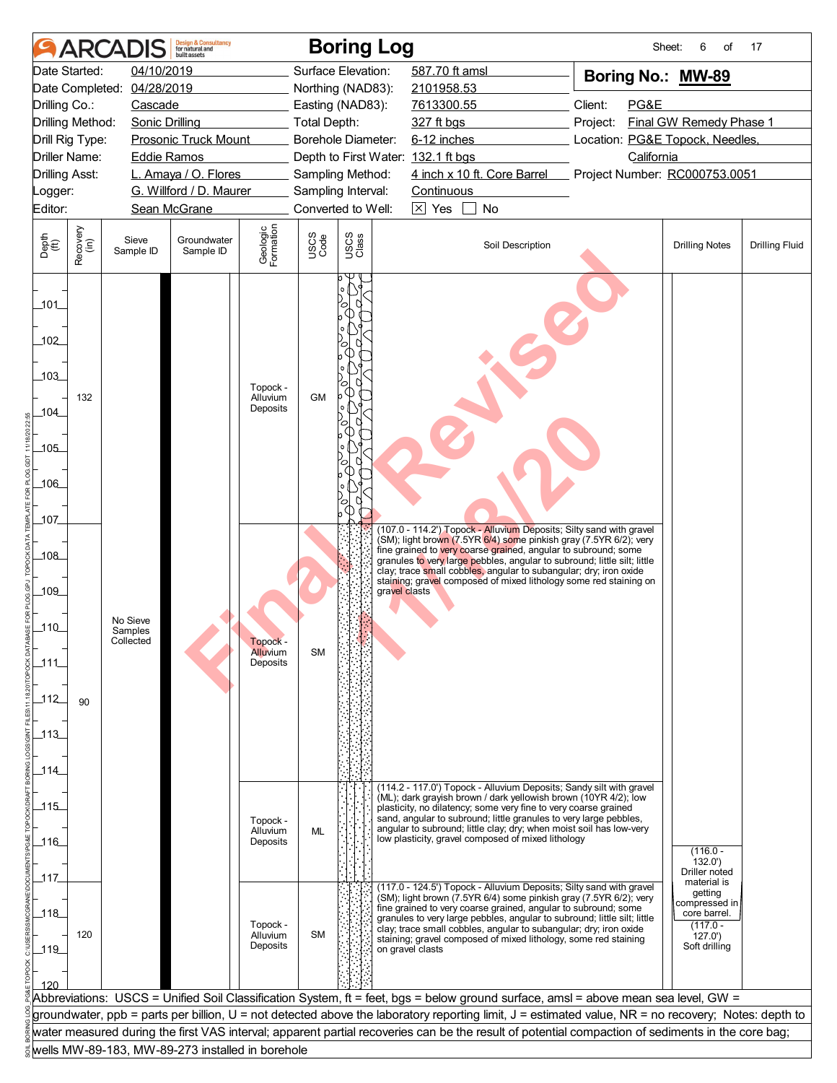|                                                                       | <b>ARCAI</b>     |                                  | <b>Design &amp; Consultancy</b><br>for natural and<br><b>built</b> assets |                                  |                     | <b>Boring Log</b>                  |                   |                                                                                                                                                                                                                                                                                                                                                                                                                                  |          | Sheet:     | 6<br>οf                                                                           | 17                    |
|-----------------------------------------------------------------------|------------------|----------------------------------|---------------------------------------------------------------------------|----------------------------------|---------------------|------------------------------------|-------------------|----------------------------------------------------------------------------------------------------------------------------------------------------------------------------------------------------------------------------------------------------------------------------------------------------------------------------------------------------------------------------------------------------------------------------------|----------|------------|-----------------------------------------------------------------------------------|-----------------------|
|                                                                       | Date Started:    | 04/10/2019                       |                                                                           |                                  |                     | Surface Elevation:                 | 587.70 ft amsl    |                                                                                                                                                                                                                                                                                                                                                                                                                                  |          |            | Boring No.: MW-89                                                                 |                       |
|                                                                       |                  | Date Completed: 04/28/2019       |                                                                           |                                  |                     | Northing (NAD83):                  | 2101958.53        |                                                                                                                                                                                                                                                                                                                                                                                                                                  |          |            |                                                                                   |                       |
| Drilling Co.:                                                         |                  | Cascade                          |                                                                           |                                  |                     | Easting (NAD83):                   | 7613300.55        |                                                                                                                                                                                                                                                                                                                                                                                                                                  | Client:  | PG&E       |                                                                                   |                       |
| Drilling Method:                                                      |                  | <b>Sonic Drilling</b>            |                                                                           |                                  | <b>Total Depth:</b> |                                    | 327 ft bgs        |                                                                                                                                                                                                                                                                                                                                                                                                                                  | Project: |            | Final GW Remedy Phase 1                                                           |                       |
| Drill Rig Type:                                                       |                  |                                  | <b>Prosonic Truck Mount</b>                                               |                                  |                     | Borehole Diameter:                 | 6-12 inches       |                                                                                                                                                                                                                                                                                                                                                                                                                                  |          |            | Location: PG&E Topock, Needles,                                                   |                       |
| Driller Name:                                                         |                  | <b>Eddie Ramos</b>               |                                                                           |                                  |                     | Depth to First Water: 132.1 ft bgs |                   |                                                                                                                                                                                                                                                                                                                                                                                                                                  |          | California |                                                                                   |                       |
| <b>Drilling Asst:</b>                                                 |                  |                                  | L. Amaya / O. Flores                                                      |                                  |                     | Sampling Method:                   |                   | 4 inch x 10 ft. Core Barrel                                                                                                                                                                                                                                                                                                                                                                                                      |          |            | Project Number: RC000753.0051                                                     |                       |
| _ogger:                                                               |                  |                                  | G. Willford / D. Maurer                                                   |                                  |                     | Sampling Interval:                 | <b>Continuous</b> |                                                                                                                                                                                                                                                                                                                                                                                                                                  |          |            |                                                                                   |                       |
| Editor:                                                               |                  |                                  | Sean McGrane                                                              |                                  |                     | Converted to Well:                 | $\boxtimes$ Yes   | No                                                                                                                                                                                                                                                                                                                                                                                                                               |          |            |                                                                                   |                       |
| Depth<br>(ft)                                                         | Recovery<br>(in) | Sieve<br>Sample ID               | Groundwater<br>Sample ID                                                  | Geologic<br>Formation            | USCS<br>Code        | USCS<br>Class                      |                   | Soil Description                                                                                                                                                                                                                                                                                                                                                                                                                 |          |            | <b>Drilling Notes</b>                                                             | <b>Drilling Fluid</b> |
| 101<br>102<br>103<br>104_<br>$-105$<br>_106_<br>107                   | 132              |                                  |                                                                           | Topock -<br>Alluvium<br>Deposits | <b>GM</b>           | ъ<br>ъ<br>O<br>(D<br>c<br>C        |                   |                                                                                                                                                                                                                                                                                                                                                                                                                                  |          |            |                                                                                   |                       |
| _108_<br>_109_<br>$-110$<br>111<br>$\frac{112}{1}$<br>$-113$<br>_114_ | 90               | No Sieve<br>Samples<br>Collected |                                                                           | тороск -<br>Alluvium<br>Deposits | <b>SM</b>           | gravel clasts                      |                   | (107.0 - 114.2') Topock - Alluvium Deposits; Silty sand with gravel<br>(SM); light brown (7.5YR 6/4) some pinkish gray (7.5YR 6/2); very<br>fine grained to very coarse grained, angular to subround; some<br>granules to very large pebbles, angular to subround; little silt; little<br>clay; trace small cobbles, angular to subangular; dry; iron oxide<br>staining; gravel composed of mixed lithology some red staining on |          |            |                                                                                   |                       |
| $-115$<br>116<br>_117_                                                |                  |                                  |                                                                           | Topock -<br>Alluvium<br>Deposits | ML                  |                                    |                   | (114.2 - 117.0') Topock - Alluvium Deposits; Sandy silt with gravel<br>(ML); dark grayish brown / dark yellowish brown (10YR 4/2); low<br>plasticity, no dilatency; some very fine to very coarse grained<br>sand, angular to subround; little granules to very large pebbles,<br>angular to subround; little clay; dry; when moist soil has low-very<br>low plasticity, gravel composed of mixed lithology                      |          |            | $(116.0 -$<br>132.0'<br>Driller noted<br>material is                              |                       |
| 118<br>$-119$<br>120                                                  | 120              |                                  |                                                                           | Topock -<br>Alluvium<br>Deposits | <b>SM</b>           |                                    | on gravel clasts  | (117.0 - 124.5') Topock - Alluvium Deposits; Silty sand with gravel<br>(SM); light brown (7.5YR 6/4) some pinkish gray (7.5YR 6/2); very<br>fine grained to very coarse grained, angular to subround; some<br>granules to very large pebbles, angular to subround; little silt; little<br>clay; trace small cobbles, angular to subangular; dry; iron oxide<br>staining; gravel composed of mixed lithology, some red staining   |          |            | getting<br>compressed in<br>core barrel.<br>$(117.0 -$<br>127.0'<br>Soft drilling |                       |
|                                                                       |                  |                                  |                                                                           |                                  |                     |                                    |                   | Abbreviations: USCS = Unified Soil Classification System, ft = feet, bgs = below ground surface, amsl = above mean sea level, GW =                                                                                                                                                                                                                                                                                               |          |            |                                                                                   |                       |
|                                                                       |                  |                                  |                                                                           |                                  |                     |                                    |                   | groundwater, ppb = parts per billion, U = not detected above the laboratory reporting limit, J = estimated value, NR = no recovery; Notes: depth to                                                                                                                                                                                                                                                                              |          |            |                                                                                   |                       |
|                                                                       |                  |                                  |                                                                           |                                  |                     |                                    |                   | water measured during the first VAS interval; apparent partial recoveries can be the result of potential compaction of sediments in the core bag;                                                                                                                                                                                                                                                                                |          |            |                                                                                   |                       |
|                                                                       |                  |                                  | wells MW-89-183, MW-89-273 installed in borehole                          |                                  |                     |                                    |                   |                                                                                                                                                                                                                                                                                                                                                                                                                                  |          |            |                                                                                   |                       |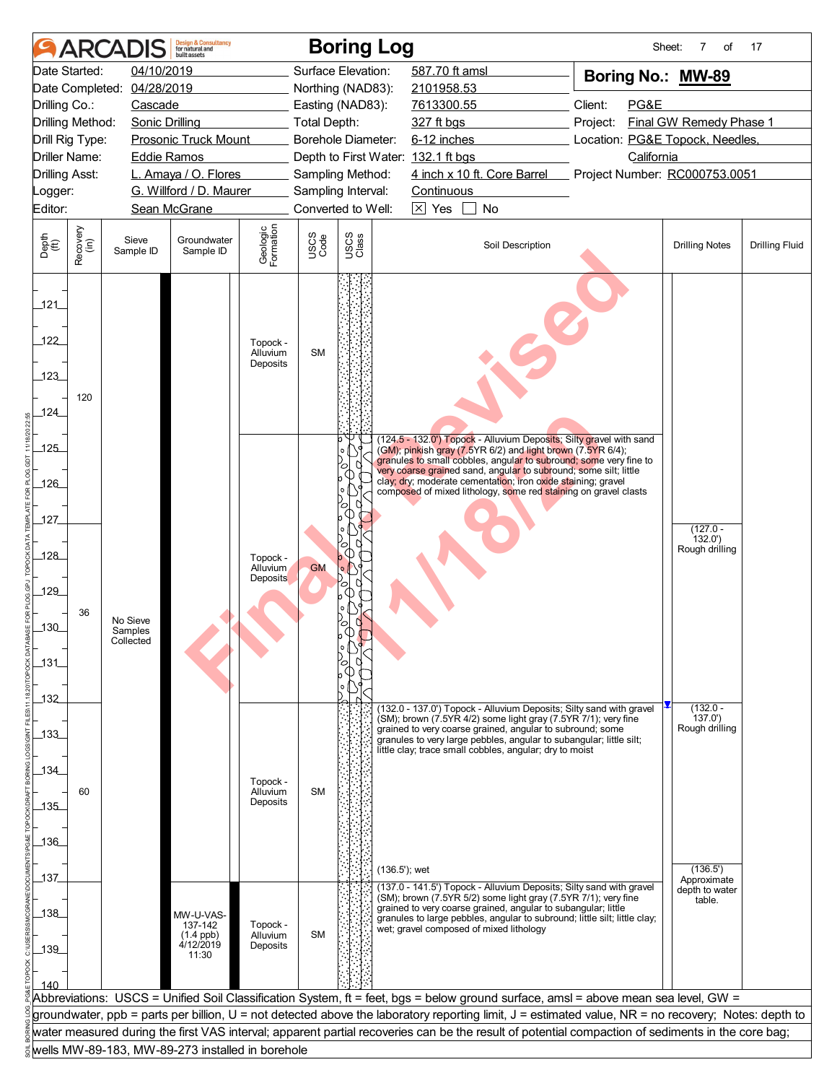|                           |                                  | <b>ARCADIS</b>             | <b>Design &amp; Consultancy</b><br>for natural and<br>huilt assets |                                  |                     | <b>Boring Log</b>  |                                                                                                                                                                                                         |                                             | Sheet:<br>7<br>of             | 17                    |
|---------------------------|----------------------------------|----------------------------|--------------------------------------------------------------------|----------------------------------|---------------------|--------------------|---------------------------------------------------------------------------------------------------------------------------------------------------------------------------------------------------------|---------------------------------------------|-------------------------------|-----------------------|
|                           | Date Started:                    | 04/10/2019                 |                                                                    |                                  |                     | Surface Elevation: | 587.70 ft amsl                                                                                                                                                                                          | Boring No.: MW-89                           |                               |                       |
|                           |                                  | Date Completed: 04/28/2019 |                                                                    |                                  |                     | Northing (NAD83):  | 2101958.53                                                                                                                                                                                              |                                             |                               |                       |
| Drilling Co.:             |                                  | Cascade                    |                                                                    |                                  |                     | Easting (NAD83):   | 7613300.55                                                                                                                                                                                              | Client:<br>PG&E                             |                               |                       |
|                           | Drilling Method:                 | <b>Sonic Drilling</b>      |                                                                    |                                  | <b>Total Depth:</b> |                    | 327 ft bgs                                                                                                                                                                                              | Project:                                    | Final GW Remedy Phase 1       |                       |
|                           | Drill Rig Type:<br>Driller Name: |                            | <b>Prosonic Truck Mount</b>                                        |                                  |                     | Borehole Diameter: | 6-12 inches                                                                                                                                                                                             | Location: PG&E Topock, Needles,             |                               |                       |
|                           | <b>Drilling Asst:</b>            | <b>Eddie Ramos</b>         | L. Amaya / O. Flores                                               |                                  |                     | Sampling Method:   | Depth to First Water: 132.1 ft bgs<br>4 inch x 10 ft. Core Barrel                                                                                                                                       | California<br>Project Number: RC000753.0051 |                               |                       |
| Logger:                   |                                  |                            | G. Willford / D. Maurer                                            |                                  |                     | Sampling Interval: | Continuous                                                                                                                                                                                              |                                             |                               |                       |
| Editor:                   |                                  |                            | Sean McGrane                                                       |                                  |                     | Converted to Well: | $\boxtimes$ Yes<br>No                                                                                                                                                                                   |                                             |                               |                       |
|                           |                                  |                            |                                                                    |                                  |                     |                    |                                                                                                                                                                                                         |                                             |                               |                       |
| Depth<br>(ft)             | Recovery<br>(in)                 | Sieve<br>Sample ID         | Groundwater<br>Sample ID                                           | Geologic<br>Formation            | USCS<br>Code        | USCS<br>Class      | Soil Description                                                                                                                                                                                        |                                             | <b>Drilling Notes</b>         | <b>Drilling Fluid</b> |
| 121<br>122<br>123<br>124_ | 120                              |                            |                                                                    | Topock -<br>Alluvium<br>Deposits | <b>SM</b>           |                    |                                                                                                                                                                                                         |                                             |                               |                       |
| $-125$                    |                                  |                            |                                                                    |                                  |                     |                    | (124.5 - 132.0') Topock - Alluvium Deposits; Silty gravel with sand<br>(GM); pinkish gray (7.5YR 6/2) and light brown (7.5YR 6/4);<br>granules to small cobbles, angular to subround; some very fine to |                                             |                               |                       |
| 126                       |                                  |                            |                                                                    |                                  |                     | O                  | very coarse grained sand, angular to subround; some silt; little<br>clay; dry; moderate cementation; iron oxide staining; gravel<br>composed of mixed lithology, some red staining on gravel clasts     |                                             |                               |                       |
|                           |                                  |                            |                                                                    |                                  |                     | O<br>              |                                                                                                                                                                                                         |                                             |                               |                       |
| 127                       |                                  |                            |                                                                    |                                  |                     |                    |                                                                                                                                                                                                         |                                             | $(127.0 -$                    |                       |
|                           |                                  |                            |                                                                    |                                  |                     | О<br>O             |                                                                                                                                                                                                         |                                             | 132.0'<br>Rough drilling      |                       |
| 128                       |                                  |                            |                                                                    | Topock -<br>Alluvium             | <b>GM</b>           | $\circ$            |                                                                                                                                                                                                         |                                             |                               |                       |
| 129                       |                                  |                            |                                                                    | Deposits                         |                     | U<br>ъ<br>ጣ        |                                                                                                                                                                                                         |                                             |                               |                       |
|                           | 36                               |                            |                                                                    |                                  |                     |                    |                                                                                                                                                                                                         |                                             |                               |                       |
| $\overline{130}$          |                                  | No Sieve<br>Samples        |                                                                    |                                  |                     | 64                 |                                                                                                                                                                                                         |                                             |                               |                       |
|                           |                                  | Collected                  |                                                                    |                                  |                     |                    |                                                                                                                                                                                                         |                                             |                               |                       |
| $131$                     |                                  |                            |                                                                    |                                  |                     |                    |                                                                                                                                                                                                         |                                             |                               |                       |
|                           |                                  |                            |                                                                    |                                  |                     |                    |                                                                                                                                                                                                         |                                             |                               |                       |
| $-132$                    |                                  |                            |                                                                    |                                  |                     |                    |                                                                                                                                                                                                         |                                             |                               |                       |
|                           |                                  |                            |                                                                    |                                  |                     |                    | (132.0 - 137.0') Topock - Alluvium Deposits; Silty sand with gravel<br>(SM); brown (7.5YR 4/2) some light gray (7.5YR 7/1); very fine                                                                   |                                             | $(132.0 -$<br>137.0'          |                       |
| $-133$                    |                                  |                            |                                                                    |                                  |                     |                    | grained to very coarse grained, angular to subround; some<br>granules to very large pebbles, angular to subangular; little silt;                                                                        |                                             | Rough drilling                |                       |
|                           |                                  |                            |                                                                    |                                  |                     |                    | little clay; trace small cobbles, angular; dry to moist                                                                                                                                                 |                                             |                               |                       |
| _134_                     |                                  |                            |                                                                    | Topock -                         |                     |                    |                                                                                                                                                                                                         |                                             |                               |                       |
|                           | 60                               |                            |                                                                    | Alluvium                         | <b>SM</b>           |                    |                                                                                                                                                                                                         |                                             |                               |                       |
| 135                       |                                  |                            |                                                                    | Deposits                         |                     |                    |                                                                                                                                                                                                         |                                             |                               |                       |
|                           |                                  |                            |                                                                    |                                  |                     |                    |                                                                                                                                                                                                         |                                             |                               |                       |
| _136_                     |                                  |                            |                                                                    |                                  |                     |                    |                                                                                                                                                                                                         |                                             |                               |                       |
|                           |                                  |                            |                                                                    |                                  |                     | $(136.5)$ ; wet    |                                                                                                                                                                                                         |                                             | (136.5')                      |                       |
| 137                       |                                  |                            |                                                                    |                                  |                     |                    | (137.0 - 141.5') Topock - Alluvium Deposits; Silty sand with gravel                                                                                                                                     |                                             | Approximate<br>depth to water |                       |
| 138                       |                                  |                            | MW-U-VAS-                                                          |                                  |                     |                    | (SM); brown (7.5YR 5/2) some light gray (7.5YR 7/1); very fine<br>grained to very coarse grained, angular to subangular; little                                                                         |                                             | table.                        |                       |
|                           |                                  |                            | 137-142                                                            | Topock -                         |                     |                    | granules to large pebbles, angular to subround; little silt; little clay;<br>wet; gravel composed of mixed lithology                                                                                    |                                             |                               |                       |
| $-139$                    |                                  |                            | $(1.4$ ppb)<br>4/12/2019                                           | Alluvium<br>Deposits             | <b>SM</b>           |                    |                                                                                                                                                                                                         |                                             |                               |                       |
|                           |                                  |                            | 11:30                                                              |                                  |                     |                    |                                                                                                                                                                                                         |                                             |                               |                       |
| 140                       |                                  |                            |                                                                    |                                  |                     |                    |                                                                                                                                                                                                         |                                             |                               |                       |
|                           |                                  |                            |                                                                    |                                  |                     |                    | Abbreviations: USCS = Unified Soil Classification System, ft = feet, bgs = below ground surface, amsl = above mean sea level, GW =                                                                      |                                             |                               |                       |
|                           |                                  |                            |                                                                    |                                  |                     |                    | groundwater, ppb = parts per billion, U = not detected above the laboratory reporting limit, J = estimated value, NR = no recovery; Notes: depth to                                                     |                                             |                               |                       |
|                           |                                  |                            |                                                                    |                                  |                     |                    | water measured during the first VAS interval; apparent partial recoveries can be the result of potential compaction of sediments in the core bag;                                                       |                                             |                               |                       |
|                           |                                  |                            | wells MW-89-183, MW-89-273 installed in borehole                   |                                  |                     |                    |                                                                                                                                                                                                         |                                             |                               |                       |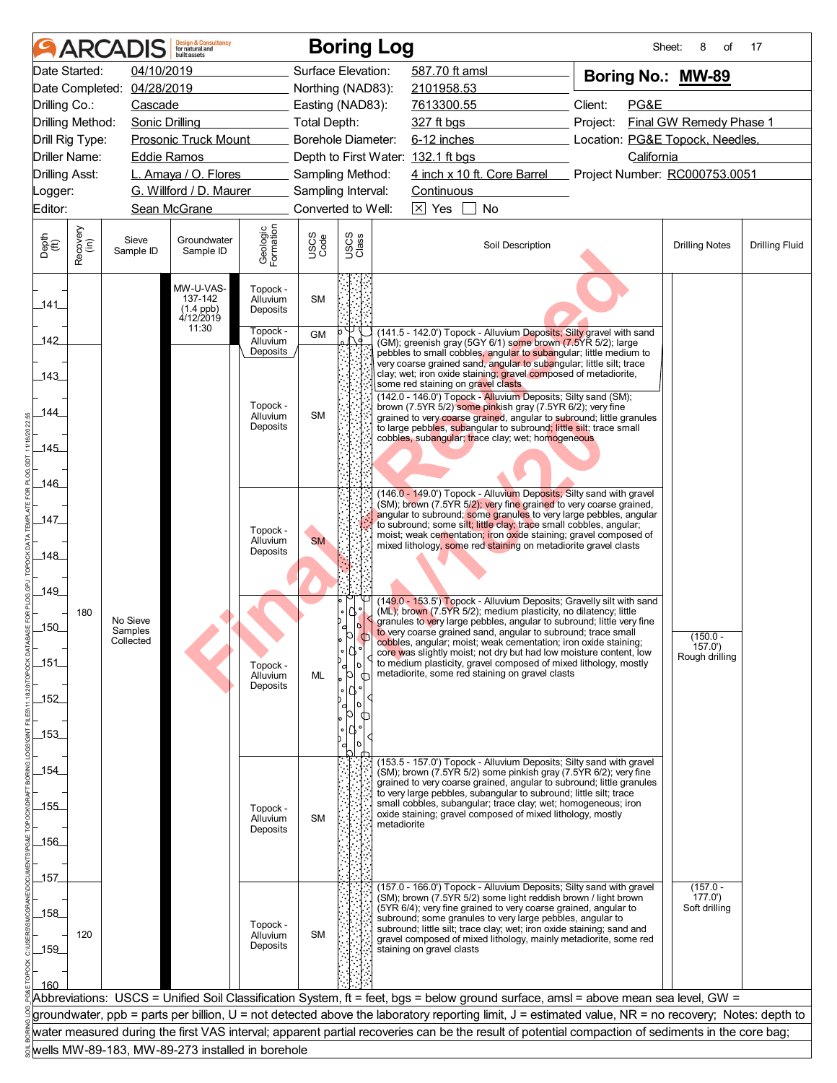|                             |                  | <b>ARCADIS</b>             | <b>Design &amp; Consultancy</b><br>for natural and<br>huilt assets |                                  |              | <b>Boring Log</b>                  |                           |                                                                                                                                                     | Sheet:                          | 8<br>of                 | 17                    |
|-----------------------------|------------------|----------------------------|--------------------------------------------------------------------|----------------------------------|--------------|------------------------------------|---------------------------|-----------------------------------------------------------------------------------------------------------------------------------------------------|---------------------------------|-------------------------|-----------------------|
|                             | Date Started:    | 04/10/2019                 |                                                                    |                                  |              | Surface Elevation:                 | 587.70 ft amsl            |                                                                                                                                                     | Boring No.: MW-89               |                         |                       |
|                             |                  | Date Completed: 04/28/2019 |                                                                    |                                  |              | Northing (NAD83):                  | 2101958.53                |                                                                                                                                                     |                                 |                         |                       |
| Drilling Co.:               |                  | Cascade                    |                                                                    |                                  |              | Easting (NAD83):                   | 7613300.55                |                                                                                                                                                     | Client:<br>PG&E                 |                         |                       |
| Drilling Method:            |                  | <b>Sonic Drilling</b>      |                                                                    |                                  | Total Depth: |                                    | 327 ft bgs                |                                                                                                                                                     | Project:                        | Final GW Remedy Phase 1 |                       |
|                             | Drill Rig Type:  |                            | <b>Prosonic Truck Mount</b>                                        |                                  |              | Borehole Diameter:                 | 6-12 inches               |                                                                                                                                                     | Location: PG&E Topock, Needles, |                         |                       |
|                             | Driller Name:    | <b>Eddie Ramos</b>         |                                                                    |                                  |              | Depth to First Water: 132.1 ft bgs |                           |                                                                                                                                                     | California                      |                         |                       |
| <b>Drilling Asst:</b>       |                  |                            | L. Amaya / O. Flores                                               |                                  |              | Sampling Method:                   |                           | 4 inch x 10 ft. Core Barrel Project Number: RC000753.0051                                                                                           |                                 |                         |                       |
| _ogger:                     |                  |                            | G. Willford / D. Maurer                                            |                                  |              | Sampling Interval:                 | Continuous                |                                                                                                                                                     |                                 |                         |                       |
| Editor:                     |                  |                            | Sean McGrane                                                       |                                  |              | Converted to Well:                 | $\boxed{\times}$ Yes      | <b>No</b>                                                                                                                                           |                                 |                         |                       |
| Depth<br>$\widetilde{f(t)}$ | Recovery<br>(in) | Sieve<br>Sample ID         | Groundwater<br>Sample ID                                           | Geologic<br>Formation            | USCS<br>Code | USCS<br>Class                      |                           | Soil Description                                                                                                                                    |                                 | <b>Drilling Notes</b>   | <b>Drilling Fluid</b> |
| 141                         |                  |                            | MW-U-VAS-<br>137-142<br>$(1.4$ ppb)<br>$4/12/2019$                 | Topock -<br>Alluvium<br>Deposits | <b>SM</b>    |                                    |                           |                                                                                                                                                     |                                 |                         |                       |
| 142                         |                  |                            | 11:30                                                              | Topock -<br>Alluvium             | <b>GM</b>    |                                    |                           | (141.5 - 142.0') Topock - Alluvium Deposits; Silty gravel with sand                                                                                 |                                 |                         |                       |
|                             |                  |                            |                                                                    | Deposits                         |              |                                    |                           | (GM); greenish gray (5GY 6/1) some brown (7.5YR 5/2); large<br>pebbles to small cobbles, angular to subangular; little medium to                    |                                 |                         |                       |
| 143                         |                  |                            |                                                                    |                                  |              |                                    |                           | very coarse grained sand, angular to subangular; little silt; trace<br>clay; wet; iron oxide staining; gravel composed of metadiorite,              |                                 |                         |                       |
|                             |                  |                            |                                                                    |                                  |              |                                    |                           | some red staining on gravel clasts<br>(142.0 - 146.0') Topock - Alluvium Deposits; Silty sand (SM);                                                 |                                 |                         |                       |
| 144                         |                  |                            |                                                                    | Topock -<br>Alluvium             | <b>SM</b>    |                                    |                           | brown (7.5YR 5/2) some pinkish gray (7.5YR 6/2); very fine                                                                                          |                                 |                         |                       |
|                             |                  |                            |                                                                    | Deposits                         |              |                                    |                           | grained to very coarse grained, angular to subround; little granules<br>to large pebbles, subangular to subround; little silt; trace small          |                                 |                         |                       |
| _145_                       |                  |                            |                                                                    |                                  |              |                                    |                           | cobbles, subangular; trace clay; wet; homogeneous                                                                                                   |                                 |                         |                       |
|                             |                  |                            |                                                                    |                                  |              |                                    |                           |                                                                                                                                                     |                                 |                         |                       |
| 146_                        |                  |                            |                                                                    |                                  |              |                                    |                           |                                                                                                                                                     |                                 |                         |                       |
|                             |                  |                            |                                                                    |                                  |              |                                    |                           | (146.0 - 149.0') Topock - Alluvium Deposits; Silty sand with gravel<br>(SM); brown (7.5YR 5/2); very fine grained to very coarse grained,           |                                 |                         |                       |
| 147                         |                  |                            |                                                                    |                                  |              |                                    |                           | angular to subround; some granules to very large pebbles, angular<br>to subround; some silt; little clay; trace small cobbles, angular;             |                                 |                         |                       |
|                             |                  |                            |                                                                    | Topock -<br>Alluvium             | <b>SM</b>    |                                    |                           | moist; weak cementation; iron oxide staining; gravel composed of                                                                                    |                                 |                         |                       |
| _148_                       |                  |                            |                                                                    | Deposits                         |              |                                    |                           | mixed lithology, some red staining on metadiorite gravel clasts                                                                                     |                                 |                         |                       |
|                             |                  |                            |                                                                    |                                  |              |                                    |                           |                                                                                                                                                     |                                 |                         |                       |
| 149_                        |                  |                            |                                                                    |                                  |              |                                    |                           |                                                                                                                                                     |                                 |                         |                       |
|                             | 180              |                            |                                                                    |                                  |              |                                    |                           | (149.0 - 153.5') Topock - Alluvium Deposits; Gravelly silt with sand<br>(ML); brown (7.5YR 5/2); medium plasticity, no dilatency; little            |                                 |                         |                       |
| $-150$                      |                  | No Sieve<br>Samples        |                                                                    |                                  |              | b                                  |                           | granules to very large pebbles, angular to subround; little very fine<br>to very coarse grained sand, angular to subround; trace small              |                                 | $(150.0 -$              |                       |
|                             |                  | Collected                  |                                                                    |                                  |              | ∘IQ °                              |                           | cobbles, angular; moist; weak cementation; iron oxide staining;<br>core was slightly moist; not dry but had low moisture content, low               |                                 | 157.0'                  |                       |
| 151                         |                  |                            |                                                                    | Topock -                         |              | $\circ$<br>b                       |                           | to medium plasticity, gravel composed of mixed lithology, mostly<br>metadiorite, some red staining on gravel clasts                                 |                                 | Rough drilling          |                       |
|                             |                  |                            |                                                                    | Alluvium<br>Deposits             | ML           |                                    |                           |                                                                                                                                                     |                                 |                         |                       |
| $-152$                      |                  |                            |                                                                    |                                  |              |                                    |                           |                                                                                                                                                     |                                 |                         |                       |
|                             |                  |                            |                                                                    |                                  |              |                                    |                           |                                                                                                                                                     |                                 |                         |                       |
| $-153$                      |                  |                            |                                                                    |                                  |              |                                    |                           |                                                                                                                                                     |                                 |                         |                       |
|                             |                  |                            |                                                                    |                                  |              |                                    |                           | (153.5 - 157.0') Topock - Alluvium Deposits; Silty sand with gravel                                                                                 |                                 |                         |                       |
| _154_                       |                  |                            |                                                                    |                                  |              |                                    |                           | $(SM)$ ; brown $(7.5YR 5/2)$ some pinkish gray $(7.5YR 6/2)$ ; very fine<br>grained to very coarse grained, angular to subround; little granules    |                                 |                         |                       |
|                             |                  |                            |                                                                    |                                  |              |                                    |                           | to very large pebbles, subangular to subround; little silt; trace<br>small cobbles, subangular; trace clay; wet; homogeneous; iron                  |                                 |                         |                       |
| $-155$                      |                  |                            |                                                                    | Topock -<br>Alluvium             | <b>SM</b>    |                                    |                           | oxide staining; gravel composed of mixed lithology, mostly                                                                                          |                                 |                         |                       |
|                             |                  |                            |                                                                    | Deposits                         |              |                                    | metadiorite               |                                                                                                                                                     |                                 |                         |                       |
| $-156$                      |                  |                            |                                                                    |                                  |              |                                    |                           |                                                                                                                                                     |                                 |                         |                       |
|                             |                  |                            |                                                                    |                                  |              |                                    |                           |                                                                                                                                                     |                                 |                         |                       |
| _157_                       |                  |                            |                                                                    |                                  |              |                                    |                           | (157.0 - 166.0') Topock - Alluvium Deposits; Silty sand with gravel                                                                                 |                                 | $(157.0 -$              |                       |
| $-158$                      |                  |                            |                                                                    |                                  |              |                                    |                           | (SM); brown (7.5YR 5/2) some light reddish brown / light brown<br>(5YR 6/4); very fine grained to very coarse grained, angular to                   |                                 | 177.0'<br>Soft drilling |                       |
|                             |                  |                            |                                                                    | Topock -                         |              |                                    |                           | subround; some granules to very large pebbles, angular to<br>subround; little silt; trace clay; wet; iron oxide staining; sand and                  |                                 |                         |                       |
| $-159$                      | 120              |                            |                                                                    | Alluvium<br>Deposits             | <b>SM</b>    |                                    | staining on gravel clasts | gravel composed of mixed lithology, mainly metadiorite, some red                                                                                    |                                 |                         |                       |
|                             |                  |                            |                                                                    |                                  |              |                                    |                           |                                                                                                                                                     |                                 |                         |                       |
| 160                         |                  |                            |                                                                    |                                  |              |                                    |                           |                                                                                                                                                     |                                 |                         |                       |
|                             |                  |                            |                                                                    |                                  |              |                                    |                           | Abbreviations: USCS = Unified Soil Classification System, ft = feet, bgs = below ground surface, amsl = above mean sea level, GW =                  |                                 |                         |                       |
|                             |                  |                            |                                                                    |                                  |              |                                    |                           | groundwater, ppb = parts per billion, U = not detected above the laboratory reporting limit, J = estimated value, NR = no recovery; Notes: depth to |                                 |                         |                       |
|                             |                  |                            |                                                                    |                                  |              |                                    |                           | water measured during the first VAS interval; apparent partial recoveries can be the result of potential compaction of sediments in the core bag;   |                                 |                         |                       |
|                             |                  |                            | wells MW-89-183, MW-89-273 installed in borehole                   |                                  |              |                                    |                           |                                                                                                                                                     |                                 |                         |                       |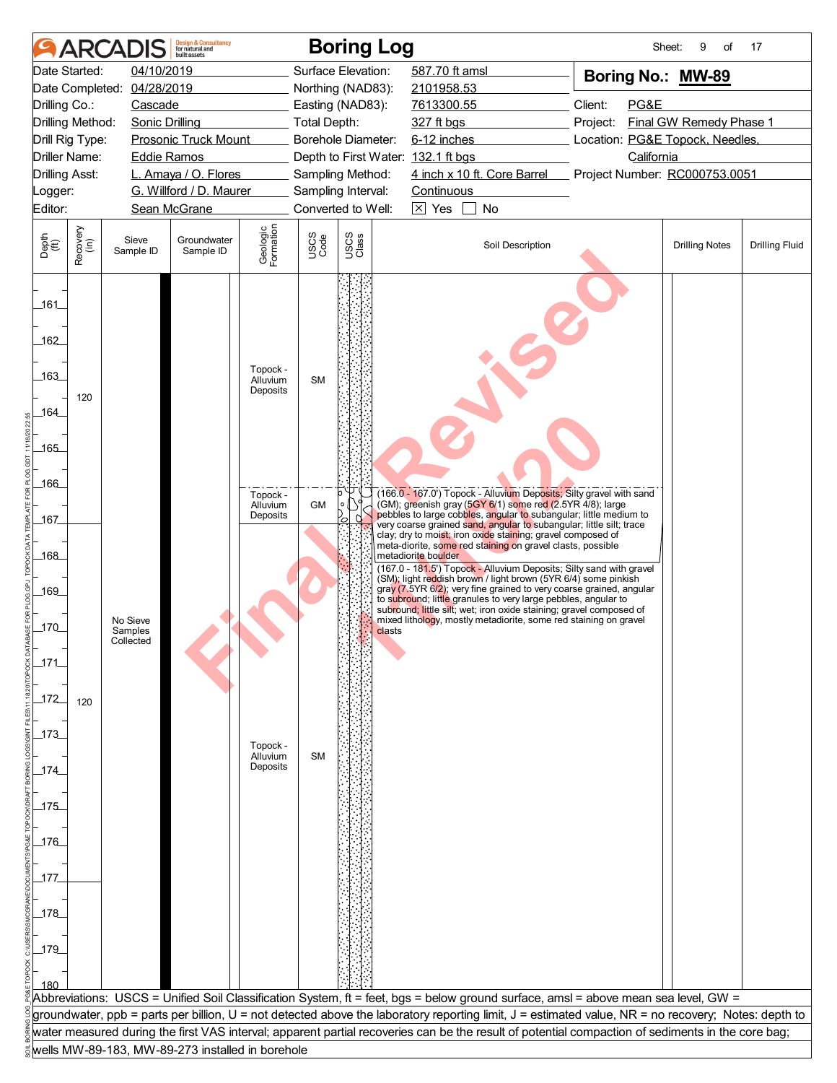|                                  |                  | <b>ARCADIS</b>             | <b>Design &amp; Consultancy</b><br>for natural and<br>huilt assets |                                  |                     | <b>Boring Log</b>                      |                     |                                                                                                                                                     |          | Sheet:     | 9<br>of                         | 17                    |
|----------------------------------|------------------|----------------------------|--------------------------------------------------------------------|----------------------------------|---------------------|----------------------------------------|---------------------|-----------------------------------------------------------------------------------------------------------------------------------------------------|----------|------------|---------------------------------|-----------------------|
|                                  | Date Started:    | 04/10/2019                 |                                                                    |                                  |                     | Surface Elevation:                     | 587.70 ft amsl      |                                                                                                                                                     |          |            | Boring No.: MW-89               |                       |
|                                  |                  | Date Completed: 04/28/2019 |                                                                    |                                  |                     | Northing (NAD83):                      | 2101958.53          |                                                                                                                                                     |          |            |                                 |                       |
| Drilling Co.:                    |                  | Cascade                    |                                                                    |                                  |                     | Easting (NAD83):                       | 7613300.55          |                                                                                                                                                     | Client:  | PG&E       |                                 |                       |
| Drilling Method:                 |                  | <b>Sonic Drilling</b>      |                                                                    |                                  | <b>Total Depth:</b> |                                        | 327 ft bgs          |                                                                                                                                                     | Project: |            | Final GW Remedy Phase 1         |                       |
| Drill Rig Type:                  |                  |                            | <b>Prosonic Truck Mount</b>                                        |                                  |                     | Borehole Diameter:                     | 6-12 inches         |                                                                                                                                                     |          |            | Location: PG&E Topock, Needles, |                       |
| Driller Name:                    |                  | <b>Eddie Ramos</b>         | L. Amaya / O. Flores                                               |                                  |                     | Depth to First Water: 132.1 ft bgs     |                     | 4 inch x 10 ft. Core Barrel                                                                                                                         |          | California |                                 |                       |
| <b>Drilling Asst:</b><br>_ogger: |                  |                            | G. Willford / D. Maurer                                            |                                  |                     | Sampling Method:<br>Sampling Interval: | <b>Continuous</b>   |                                                                                                                                                     |          |            | Project Number: RC000753.0051   |                       |
| Editor:                          |                  |                            | Sean McGrane                                                       |                                  |                     | Converted to Well:                     | $\boxtimes$ Yes     | No                                                                                                                                                  |          |            |                                 |                       |
|                                  |                  |                            |                                                                    |                                  |                     |                                        |                     |                                                                                                                                                     |          |            |                                 |                       |
| Depth<br>$\widetilde{f(t)}$      | Recovery<br>(in) | Sieve<br>Sample ID         | Groundwater<br>Sample ID                                           | Geologic<br>Formation            | USCS<br>Code        | USCS<br>Class                          |                     | Soil Description                                                                                                                                    |          |            | <b>Drilling Notes</b>           | <b>Drilling Fluid</b> |
| 161<br>162<br>163<br>164_<br>165 | 120              |                            |                                                                    | Topock -<br>Alluvium<br>Deposits | <b>SM</b>           |                                        |                     |                                                                                                                                                     |          |            |                                 |                       |
| 166                              |                  |                            |                                                                    | Topock -<br>Alluvium             | <b>GM</b>           |                                        |                     | (166.0 - 167.0') Topock - Alluvium Deposits; Silty gravel with sand<br>(GM); greenish gray (5GY 6/1) some red (2.5YR 4/8); large                    |          |            |                                 |                       |
| 167                              |                  |                            |                                                                    | Deposits                         |                     | 0                                      |                     | pebbles to large cobbles, angular to subangular; little medium to<br>very coarse grained sand, angular to subangular; little silt; trace            |          |            |                                 |                       |
| _168_                            |                  |                            |                                                                    |                                  |                     |                                        | metadiorite boulder | clay; dry to moist; iron oxide staining; gravel composed of<br>meta-diorite, some red staining on gravel clasts, possible                           |          |            |                                 |                       |
|                                  |                  |                            |                                                                    |                                  |                     |                                        |                     | (167.0 - 181.5') Topock - Alluvium Deposits; Silty sand with gravel                                                                                 |          |            |                                 |                       |
| 169                              |                  |                            |                                                                    |                                  |                     |                                        |                     | (SM); light reddish brown / light brown (5YR 6/4) some pinkish<br>gray (7.5YR 6/2); very fine grained to very coarse grained, angular               |          |            |                                 |                       |
|                                  |                  |                            |                                                                    |                                  |                     |                                        |                     | to subround; little granules to very large pebbles, angular to<br>subround; little silt; wet; iron oxide staining; gravel composed of               |          |            |                                 |                       |
| $170$                            |                  | No Sieve<br>Samples        |                                                                    |                                  |                     | clasts                                 |                     | mixed lithology, mostly metadiorite, some red staining on gravel                                                                                    |          |            |                                 |                       |
|                                  |                  | Collected                  |                                                                    |                                  |                     |                                        |                     |                                                                                                                                                     |          |            |                                 |                       |
| 171                              |                  |                            |                                                                    |                                  |                     |                                        |                     |                                                                                                                                                     |          |            |                                 |                       |
|                                  |                  |                            |                                                                    |                                  |                     |                                        |                     |                                                                                                                                                     |          |            |                                 |                       |
| $172$                            | 120              |                            |                                                                    |                                  |                     |                                        |                     |                                                                                                                                                     |          |            |                                 |                       |
|                                  |                  |                            |                                                                    |                                  |                     |                                        |                     |                                                                                                                                                     |          |            |                                 |                       |
| $-173$                           |                  |                            |                                                                    | Topock -                         |                     |                                        |                     |                                                                                                                                                     |          |            |                                 |                       |
|                                  |                  |                            |                                                                    | Alluvium                         | <b>SM</b>           |                                        |                     |                                                                                                                                                     |          |            |                                 |                       |
| $174$                            |                  |                            |                                                                    | Deposits                         |                     |                                        |                     |                                                                                                                                                     |          |            |                                 |                       |
|                                  |                  |                            |                                                                    |                                  |                     |                                        |                     |                                                                                                                                                     |          |            |                                 |                       |
| $-175$                           |                  |                            |                                                                    |                                  |                     |                                        |                     |                                                                                                                                                     |          |            |                                 |                       |
| $-176$                           |                  |                            |                                                                    |                                  |                     |                                        |                     |                                                                                                                                                     |          |            |                                 |                       |
|                                  |                  |                            |                                                                    |                                  |                     |                                        |                     |                                                                                                                                                     |          |            |                                 |                       |
| _177_                            |                  |                            |                                                                    |                                  |                     |                                        |                     |                                                                                                                                                     |          |            |                                 |                       |
|                                  |                  |                            |                                                                    |                                  |                     |                                        |                     |                                                                                                                                                     |          |            |                                 |                       |
| 178                              |                  |                            |                                                                    |                                  |                     |                                        |                     |                                                                                                                                                     |          |            |                                 |                       |
|                                  |                  |                            |                                                                    |                                  |                     |                                        |                     |                                                                                                                                                     |          |            |                                 |                       |
| $-179$                           |                  |                            |                                                                    |                                  |                     |                                        |                     |                                                                                                                                                     |          |            |                                 |                       |
|                                  |                  |                            |                                                                    |                                  |                     |                                        |                     |                                                                                                                                                     |          |            |                                 |                       |
|                                  |                  |                            |                                                                    |                                  |                     |                                        |                     |                                                                                                                                                     |          |            |                                 |                       |
|                                  |                  |                            |                                                                    |                                  |                     |                                        |                     | Abbreviations: USCS = Unified Soil Classification System, ft = feet, bgs = below ground surface, amsl = above mean sea level, GW =                  |          |            |                                 |                       |
|                                  |                  |                            |                                                                    |                                  |                     |                                        |                     | groundwater, ppb = parts per billion, U = not detected above the laboratory reporting limit, J = estimated value, NR = no recovery; Notes: depth to |          |            |                                 |                       |
|                                  |                  |                            |                                                                    |                                  |                     |                                        |                     | water measured during the first VAS interval; apparent partial recoveries can be the result of potential compaction of sediments in the core bag;   |          |            |                                 |                       |
|                                  |                  |                            | wells MW-89-183, MW-89-273 installed in borehole                   |                                  |                     |                                        |                     |                                                                                                                                                     |          |            |                                 |                       |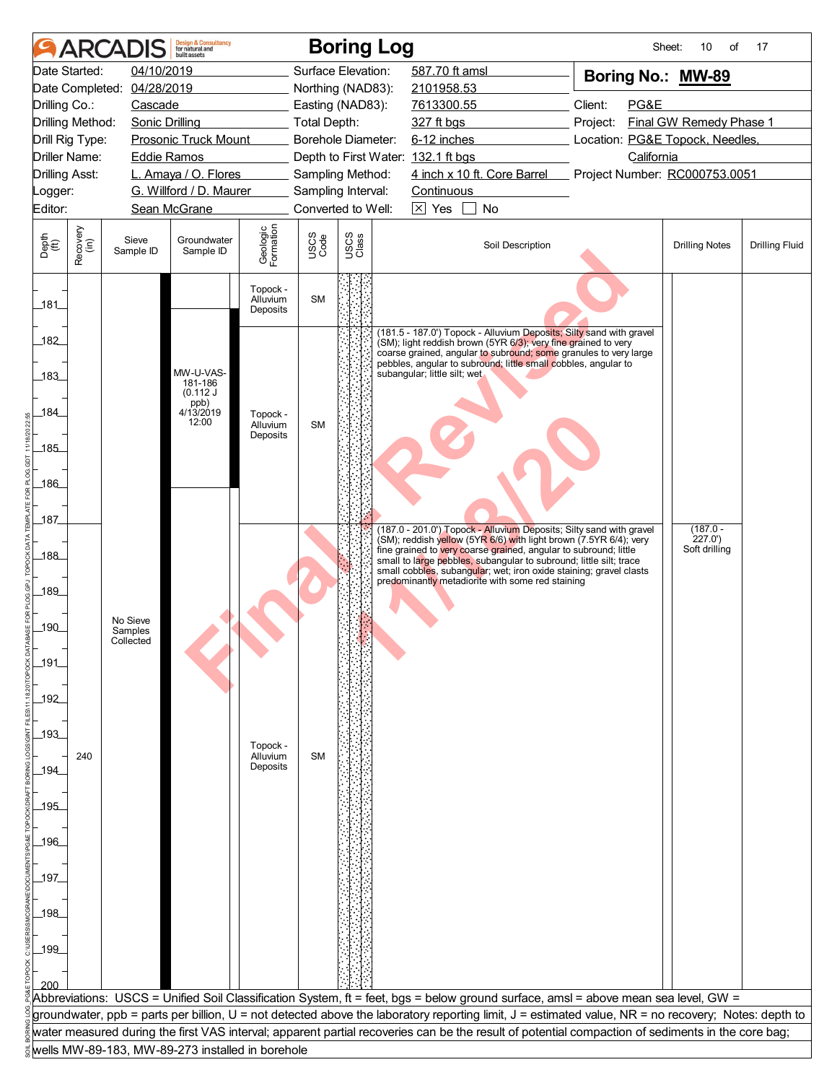|                             |                                                                                             | <b>ARCADIS</b>             | <b>Design &amp; Consultancy</b><br>for natural and<br>huilt assets |                                  |                     |                                             | <b>Boring Log</b>                                                                                                                                                                                                                                                                                           | Sheet:                                                                 | 10<br>of              | 17                    |  |
|-----------------------------|---------------------------------------------------------------------------------------------|----------------------------|--------------------------------------------------------------------|----------------------------------|---------------------|---------------------------------------------|-------------------------------------------------------------------------------------------------------------------------------------------------------------------------------------------------------------------------------------------------------------------------------------------------------------|------------------------------------------------------------------------|-----------------------|-----------------------|--|
|                             | Date Started:                                                                               | 04/10/2019                 |                                                                    |                                  | Surface Elevation:  |                                             | 587.70 ft amsl                                                                                                                                                                                                                                                                                              | Boring No.: MW-89                                                      |                       |                       |  |
|                             |                                                                                             | Date Completed: 04/28/2019 |                                                                    |                                  | Northing (NAD83):   |                                             | 2101958.53                                                                                                                                                                                                                                                                                                  |                                                                        |                       |                       |  |
| Drilling Co.:               |                                                                                             | Cascade                    |                                                                    |                                  | Easting (NAD83):    |                                             | 7613300.55                                                                                                                                                                                                                                                                                                  | Client:<br>PG&E                                                        |                       |                       |  |
| Drilling Method:            |                                                                                             | <b>Sonic Drilling</b>      |                                                                    |                                  | <b>Total Depth:</b> |                                             | 327 ft bgs                                                                                                                                                                                                                                                                                                  | Final GW Remedy Phase 1<br>Project:<br>Location: PG&E Topock, Needles, |                       |                       |  |
|                             | <b>Prosonic Truck Mount</b><br>Drill Rig Type:                                              |                            |                                                                    |                                  |                     | Borehole Diameter:                          | 6-12 inches                                                                                                                                                                                                                                                                                                 |                                                                        |                       |                       |  |
|                             | <b>Driller Name:</b><br><b>Eddie Ramos</b><br>L. Amaya / O. Flores<br><b>Drilling Asst:</b> |                            |                                                                    |                                  |                     | Sampling Method:                            | Depth to First Water: 132.1 ft bgs<br>4 inch x 10 ft. Core Barrel                                                                                                                                                                                                                                           | California<br>Project Number: RC000753.0051                            |                       |                       |  |
| _ogger:                     |                                                                                             |                            | G. Willford / D. Maurer                                            |                                  | Sampling Interval:  |                                             | Continuous                                                                                                                                                                                                                                                                                                  |                                                                        |                       |                       |  |
| Editor:                     |                                                                                             |                            | Sean McGrane                                                       |                                  |                     | Converted to Well:<br>$\boxtimes$ Yes<br>No |                                                                                                                                                                                                                                                                                                             |                                                                        |                       |                       |  |
|                             |                                                                                             |                            |                                                                    |                                  |                     |                                             |                                                                                                                                                                                                                                                                                                             |                                                                        |                       |                       |  |
| Depth<br>$\widetilde{f(t)}$ | Recovery<br>(in)                                                                            | Sieve<br>Sample ID         | Groundwater<br>Sample ID                                           | Geologic<br>Formation            | USCS<br>Code        | USCS<br>Class                               | Soil Description                                                                                                                                                                                                                                                                                            |                                                                        | <b>Drilling Notes</b> | <b>Drilling Fluid</b> |  |
| 181                         |                                                                                             |                            |                                                                    | Topock -<br>Alluvium<br>Deposits | <b>SM</b>           |                                             |                                                                                                                                                                                                                                                                                                             |                                                                        |                       |                       |  |
| 182<br>.183                 |                                                                                             |                            | MW-U-VAS-                                                          |                                  |                     |                                             | (181.5 - 187.0') Topock - Alluvium Deposits; Silty sand with gravel<br>(SM); light reddish brown (5YR 6/3); very fine grained to very<br>coarse grained, angular to subround; some granules to very large<br>pebbles, angular to subround; little small cobbles, angular to<br>subangular; little silt; wet |                                                                        |                       |                       |  |
| 184                         |                                                                                             |                            | 181-186<br>(0.112 J)<br>ppb)<br>4/13/2019                          | Topock -                         |                     |                                             |                                                                                                                                                                                                                                                                                                             |                                                                        |                       |                       |  |
|                             |                                                                                             |                            | 12:00                                                              | Alluvium<br>Deposits             | <b>SM</b>           |                                             |                                                                                                                                                                                                                                                                                                             |                                                                        |                       |                       |  |
| $-185$                      |                                                                                             |                            |                                                                    |                                  |                     |                                             |                                                                                                                                                                                                                                                                                                             |                                                                        |                       |                       |  |
|                             |                                                                                             |                            |                                                                    |                                  |                     |                                             |                                                                                                                                                                                                                                                                                                             |                                                                        |                       |                       |  |
| 186                         |                                                                                             |                            |                                                                    |                                  |                     |                                             |                                                                                                                                                                                                                                                                                                             |                                                                        |                       |                       |  |
| 187                         |                                                                                             |                            |                                                                    |                                  |                     |                                             |                                                                                                                                                                                                                                                                                                             |                                                                        |                       |                       |  |
|                             |                                                                                             |                            |                                                                    |                                  |                     |                                             | (187.0 - 201.0') Topock - Alluvium Deposits; Silty sand with gravel<br>(SM); reddish yellow (5YR 6/6) with light brown (7.5YR 6/4); very                                                                                                                                                                    |                                                                        | $(187.0 -$<br>227.0'  |                       |  |
| 188                         |                                                                                             |                            |                                                                    |                                  |                     |                                             | fine grained to very coarse grained, angular to subround; little<br>small to large pebbles, subangular to subround; little silt; trace                                                                                                                                                                      |                                                                        | Soft drilling         |                       |  |
|                             |                                                                                             |                            |                                                                    |                                  |                     |                                             | small cobbles, subangular; wet; iron oxide staining; gravel clasts<br>predominantly metadiorite with some red staining                                                                                                                                                                                      |                                                                        |                       |                       |  |
| 189                         |                                                                                             |                            |                                                                    |                                  |                     |                                             |                                                                                                                                                                                                                                                                                                             |                                                                        |                       |                       |  |
|                             |                                                                                             | No Sieve                   |                                                                    |                                  |                     |                                             |                                                                                                                                                                                                                                                                                                             |                                                                        |                       |                       |  |
| 190                         |                                                                                             | Samples<br>Collected       |                                                                    |                                  |                     |                                             |                                                                                                                                                                                                                                                                                                             |                                                                        |                       |                       |  |
| $191$                       |                                                                                             |                            |                                                                    |                                  |                     |                                             |                                                                                                                                                                                                                                                                                                             |                                                                        |                       |                       |  |
|                             |                                                                                             |                            |                                                                    |                                  |                     |                                             |                                                                                                                                                                                                                                                                                                             |                                                                        |                       |                       |  |
| $-192$                      |                                                                                             |                            |                                                                    |                                  |                     |                                             |                                                                                                                                                                                                                                                                                                             |                                                                        |                       |                       |  |
|                             |                                                                                             |                            |                                                                    |                                  |                     |                                             |                                                                                                                                                                                                                                                                                                             |                                                                        |                       |                       |  |
| $-193$                      |                                                                                             |                            |                                                                    | Topock -                         |                     |                                             |                                                                                                                                                                                                                                                                                                             |                                                                        |                       |                       |  |
|                             | 240                                                                                         |                            |                                                                    | Alluvium<br>Deposits             | <b>SM</b>           |                                             |                                                                                                                                                                                                                                                                                                             |                                                                        |                       |                       |  |
| _194_                       |                                                                                             |                            |                                                                    |                                  |                     |                                             |                                                                                                                                                                                                                                                                                                             |                                                                        |                       |                       |  |
| 195                         |                                                                                             |                            |                                                                    |                                  |                     |                                             |                                                                                                                                                                                                                                                                                                             |                                                                        |                       |                       |  |
|                             |                                                                                             |                            |                                                                    |                                  |                     |                                             |                                                                                                                                                                                                                                                                                                             |                                                                        |                       |                       |  |
| 196                         |                                                                                             |                            |                                                                    |                                  |                     |                                             |                                                                                                                                                                                                                                                                                                             |                                                                        |                       |                       |  |
|                             |                                                                                             |                            |                                                                    |                                  |                     |                                             |                                                                                                                                                                                                                                                                                                             |                                                                        |                       |                       |  |
| 197                         |                                                                                             |                            |                                                                    |                                  |                     |                                             |                                                                                                                                                                                                                                                                                                             |                                                                        |                       |                       |  |
|                             |                                                                                             |                            |                                                                    |                                  |                     |                                             |                                                                                                                                                                                                                                                                                                             |                                                                        |                       |                       |  |
| 198                         |                                                                                             |                            |                                                                    |                                  |                     |                                             |                                                                                                                                                                                                                                                                                                             |                                                                        |                       |                       |  |
| 199                         |                                                                                             |                            |                                                                    |                                  |                     |                                             |                                                                                                                                                                                                                                                                                                             |                                                                        |                       |                       |  |
|                             |                                                                                             |                            |                                                                    |                                  |                     |                                             |                                                                                                                                                                                                                                                                                                             |                                                                        |                       |                       |  |
| 200                         |                                                                                             |                            |                                                                    |                                  |                     |                                             |                                                                                                                                                                                                                                                                                                             |                                                                        |                       |                       |  |
|                             |                                                                                             |                            |                                                                    |                                  |                     |                                             | Abbreviations: USCS = Unified Soil Classification System, ft = feet, bgs = below ground surface, amsl = above mean sea level, GW =                                                                                                                                                                          |                                                                        |                       |                       |  |
|                             |                                                                                             |                            |                                                                    |                                  |                     |                                             | groundwater, ppb = parts per billion, U = not detected above the laboratory reporting limit, J = estimated value, NR = no recovery; Notes: depth to                                                                                                                                                         |                                                                        |                       |                       |  |
|                             |                                                                                             |                            | wells MW-89-183, MW-89-273 installed in borehole                   |                                  |                     |                                             | water measured during the first VAS interval; apparent partial recoveries can be the result of potential compaction of sediments in the core bag;                                                                                                                                                           |                                                                        |                       |                       |  |
|                             |                                                                                             |                            |                                                                    |                                  |                     |                                             |                                                                                                                                                                                                                                                                                                             |                                                                        |                       |                       |  |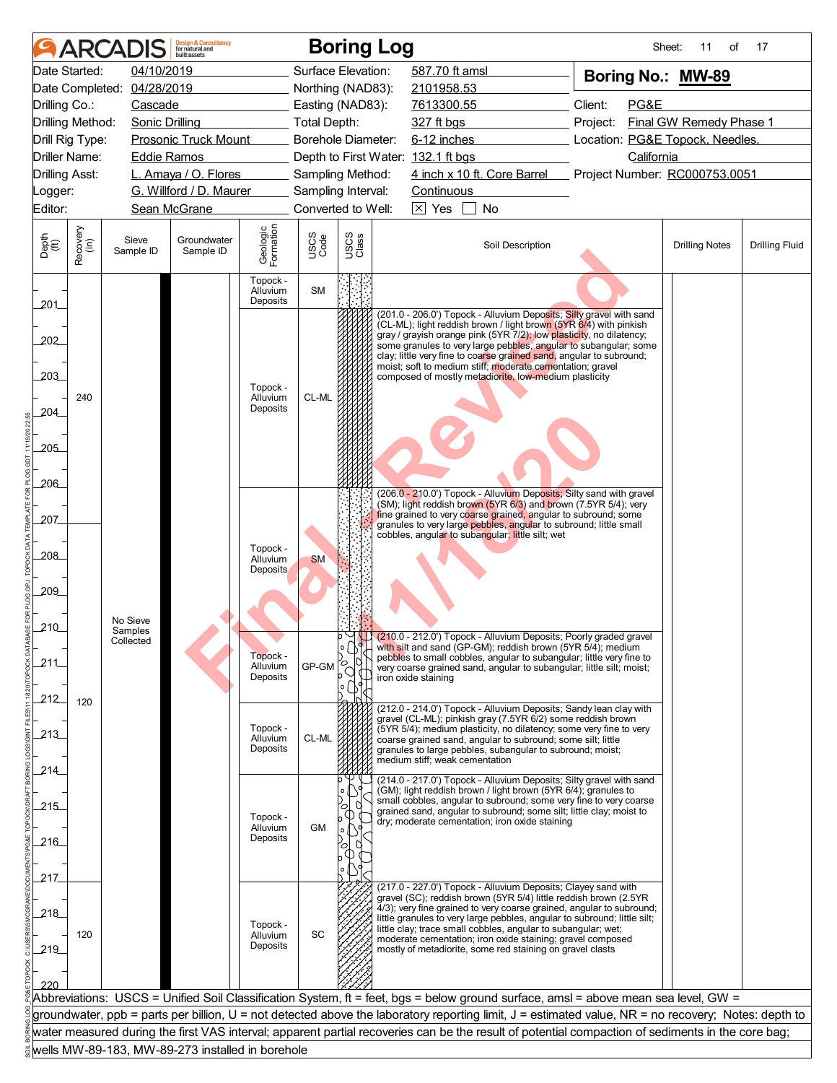|                             |                                                                                              | <b>ARCADIS</b>                                   | <b>Design &amp; Consultancy</b><br>for natural and<br>huilt assets |                       |              | <b>Boring Log</b>  |                                                                                                                                                                                                                                                                                                          |                  |                                                                        | Sheet:<br>11<br>οf    | 17                    |
|-----------------------------|----------------------------------------------------------------------------------------------|--------------------------------------------------|--------------------------------------------------------------------|-----------------------|--------------|--------------------|----------------------------------------------------------------------------------------------------------------------------------------------------------------------------------------------------------------------------------------------------------------------------------------------------------|------------------|------------------------------------------------------------------------|-----------------------|-----------------------|
|                             | Date Started:                                                                                | 04/10/2019                                       |                                                                    |                       |              | Surface Elevation: | 587.70 ft amsl                                                                                                                                                                                                                                                                                           |                  | Boring No.: MW-89                                                      |                       |                       |
|                             |                                                                                              | Date Completed: 04/28/2019                       |                                                                    |                       |              | Northing (NAD83):  | 2101958.53                                                                                                                                                                                                                                                                                               |                  |                                                                        |                       |                       |
| Drilling Co.:               |                                                                                              | Cascade                                          |                                                                    |                       |              | Easting (NAD83):   | 7613300.55                                                                                                                                                                                                                                                                                               |                  | Client:<br>PG&E                                                        |                       |                       |
| Drilling Method:            |                                                                                              | <b>Sonic Drilling</b>                            |                                                                    |                       | Total Depth: | Borehole Diameter: | 327 ft bgs<br>6-12 inches                                                                                                                                                                                                                                                                                |                  | Final GW Remedy Phase 1<br>Project:<br>Location: PG&E Topock, Needles, |                       |                       |
|                             | <b>Prosonic Truck Mount</b><br>Drill Rig Type:<br><b>Driller Name:</b><br><b>Eddie Ramos</b> |                                                  |                                                                    |                       |              |                    | Depth to First Water: 132.1 ft bgs                                                                                                                                                                                                                                                                       |                  | California                                                             |                       |                       |
| <b>Drilling Asst:</b>       |                                                                                              |                                                  | L. Amaya / O. Flores                                               |                       |              | Sampling Method:   | 4 inch x 10 ft. Core Barrel                                                                                                                                                                                                                                                                              |                  | Project Number: RC000753.0051                                          |                       |                       |
| _ogger:                     |                                                                                              |                                                  | G. Willford / D. Maurer                                            |                       |              | Sampling Interval: | Continuous                                                                                                                                                                                                                                                                                               |                  |                                                                        |                       |                       |
| Editor:                     |                                                                                              |                                                  | Sean McGrane                                                       |                       |              | Converted to Well: |                                                                                                                                                                                                                                                                                                          |                  |                                                                        |                       |                       |
|                             |                                                                                              |                                                  |                                                                    |                       |              |                    | $\boxtimes$ Yes<br>No                                                                                                                                                                                                                                                                                    |                  |                                                                        |                       |                       |
| Depth<br>$\widetilde{f(t)}$ | Recovery<br>(in)                                                                             | Sieve<br>Sample ID                               | Groundwater<br>Sample ID                                           | Geologic<br>Formation | USCS<br>Code | USCS<br>Class      |                                                                                                                                                                                                                                                                                                          | Soil Description |                                                                        | <b>Drilling Notes</b> | <b>Drilling Fluid</b> |
|                             |                                                                                              |                                                  |                                                                    | Topock -<br>Alluvium  | <b>SM</b>    |                    |                                                                                                                                                                                                                                                                                                          |                  |                                                                        |                       |                       |
| 201                         |                                                                                              |                                                  |                                                                    | Deposits              |              |                    | (201.0 - 206.0') Topock - Alluvium Deposits; Silty gravel with sand                                                                                                                                                                                                                                      |                  |                                                                        |                       |                       |
|                             |                                                                                              |                                                  |                                                                    |                       |              |                    | (CL-ML); light reddish brown / light brown (5YR 6/4) with pinkish<br>gray / grayish orange pink (5YR 7/2); low plasticity, no dilatency;                                                                                                                                                                 |                  |                                                                        |                       |                       |
| 202                         |                                                                                              |                                                  |                                                                    |                       |              |                    | some granules to very large pebbles, angular to subangular; some<br>clay; little very fine to coarse grained sand, angular to subround;                                                                                                                                                                  |                  |                                                                        |                       |                       |
| 203                         |                                                                                              |                                                  |                                                                    |                       |              |                    | moist; soft to medium stiff; moderate cementation; gravel<br>composed of mostly metadiorite, low-medium plasticity                                                                                                                                                                                       |                  |                                                                        |                       |                       |
|                             |                                                                                              |                                                  |                                                                    | Topock -              |              |                    |                                                                                                                                                                                                                                                                                                          |                  |                                                                        |                       |                       |
| 204                         | 240                                                                                          |                                                  |                                                                    | Alluvium<br>Deposits  | CL-ML        |                    |                                                                                                                                                                                                                                                                                                          |                  |                                                                        |                       |                       |
|                             |                                                                                              |                                                  |                                                                    |                       |              |                    |                                                                                                                                                                                                                                                                                                          |                  |                                                                        |                       |                       |
| 205                         |                                                                                              |                                                  |                                                                    |                       |              |                    |                                                                                                                                                                                                                                                                                                          |                  |                                                                        |                       |                       |
|                             |                                                                                              |                                                  |                                                                    |                       |              |                    |                                                                                                                                                                                                                                                                                                          |                  |                                                                        |                       |                       |
| $-206$                      |                                                                                              |                                                  |                                                                    |                       |              |                    |                                                                                                                                                                                                                                                                                                          |                  |                                                                        |                       |                       |
|                             |                                                                                              |                                                  |                                                                    |                       |              |                    | (206.0 - 210.0') Topock - Alluvium Deposits; Silty sand with gravel<br>(SM); light reddish brown (5YR 6/3) and brown (7.5YR 5/4); very                                                                                                                                                                   |                  |                                                                        |                       |                       |
| 207                         |                                                                                              |                                                  |                                                                    |                       |              |                    | fine grained to very coarse grained, angular to subround; some<br>granules to very large pebbles, angular to subround; little small                                                                                                                                                                      |                  |                                                                        |                       |                       |
|                             |                                                                                              |                                                  |                                                                    |                       |              |                    | cobbles, angular to subangular; little silt; wet                                                                                                                                                                                                                                                         |                  |                                                                        |                       |                       |
| 208                         |                                                                                              |                                                  |                                                                    | Topock -<br>Alluvium  | <b>SM</b>    |                    |                                                                                                                                                                                                                                                                                                          |                  |                                                                        |                       |                       |
|                             |                                                                                              |                                                  |                                                                    | Deposits              |              |                    |                                                                                                                                                                                                                                                                                                          |                  |                                                                        |                       |                       |
| 209                         |                                                                                              |                                                  |                                                                    |                       |              |                    |                                                                                                                                                                                                                                                                                                          |                  |                                                                        |                       |                       |
|                             |                                                                                              | No Sieve                                         |                                                                    |                       |              |                    |                                                                                                                                                                                                                                                                                                          |                  |                                                                        |                       |                       |
| 210                         |                                                                                              | Samples<br>Collected                             |                                                                    |                       |              |                    | $\circ$ $\Box$ (210.0 - 212.0') Topock - Alluvium Deposits; Poorly graded gravel                                                                                                                                                                                                                         |                  |                                                                        |                       |                       |
|                             |                                                                                              |                                                  |                                                                    | Topock -              |              |                    | with silt and sand (GP-GM); reddish brown (5YR 5/4); medium<br>pebbles to small cobbles, angular to subangular; little very fine to                                                                                                                                                                      |                  |                                                                        |                       |                       |
| 211                         |                                                                                              |                                                  |                                                                    | Alluvium<br>Deposits  | GP-GM        | ъ                  | very coarse grained sand, angular to subangular; little silt; moist;<br>iron oxide staining                                                                                                                                                                                                              |                  |                                                                        |                       |                       |
|                             |                                                                                              |                                                  |                                                                    |                       |              |                    |                                                                                                                                                                                                                                                                                                          |                  |                                                                        |                       |                       |
| 212                         | 120                                                                                          |                                                  |                                                                    |                       |              |                    | (212.0 - 214.0') Topock - Alluvium Deposits; Sandy lean clay with                                                                                                                                                                                                                                        |                  |                                                                        |                       |                       |
| 213                         |                                                                                              |                                                  |                                                                    | Topock -              |              |                    | gravel (CL-ML); pinkish gray (7.5YR 6/2) some reddish brown<br>(5YR 5/4); medium plasticity, no dilatency; some very fine to very                                                                                                                                                                        |                  |                                                                        |                       |                       |
|                             |                                                                                              |                                                  |                                                                    | Alluvium<br>Deposits  | CL-ML        |                    | coarse grained sand, angular to subround; some silt; little<br>granules to large pebbles, subangular to subround; moist;                                                                                                                                                                                 |                  |                                                                        |                       |                       |
| 214                         |                                                                                              |                                                  |                                                                    |                       |              |                    | medium stiff; weak cementation                                                                                                                                                                                                                                                                           |                  |                                                                        |                       |                       |
|                             |                                                                                              |                                                  |                                                                    |                       |              |                    | (214.0 - 217.0') Topock - Alluvium Deposits; Silty gravel with sand<br>(GM); light reddish brown / light brown (5YR 6/4); granules to                                                                                                                                                                    |                  |                                                                        |                       |                       |
| 215                         |                                                                                              |                                                  |                                                                    |                       |              |                    | small cobbles, angular to subround; some very fine to very coarse                                                                                                                                                                                                                                        |                  |                                                                        |                       |                       |
|                             |                                                                                              |                                                  |                                                                    | Topock -<br>Alluvium  | GM           |                    | grained sand, angular to subround; some silt; little clay; moist to<br>dry; moderate cementation; iron oxide staining                                                                                                                                                                                    |                  |                                                                        |                       |                       |
| 216                         |                                                                                              |                                                  |                                                                    | Deposits              |              | O                  |                                                                                                                                                                                                                                                                                                          |                  |                                                                        |                       |                       |
|                             |                                                                                              |                                                  |                                                                    |                       |              |                    |                                                                                                                                                                                                                                                                                                          |                  |                                                                        |                       |                       |
| 217.                        |                                                                                              |                                                  |                                                                    |                       |              |                    |                                                                                                                                                                                                                                                                                                          |                  |                                                                        |                       |                       |
|                             |                                                                                              |                                                  |                                                                    |                       |              |                    | (217.0 - 227.0') Topock - Alluvium Deposits; Clayey sand with<br>gravel (SC); reddish brown (5YR 5/4) little reddish brown (2.5YR                                                                                                                                                                        |                  |                                                                        |                       |                       |
| 218                         |                                                                                              |                                                  |                                                                    |                       |              |                    | 4/3); very fine grained to very coarse grained, angular to subround;<br>little granules to very large pebbles, angular to subround; little silt;                                                                                                                                                         |                  |                                                                        |                       |                       |
|                             | 120                                                                                          |                                                  |                                                                    | Topock -<br>Alluvium  | SC           |                    | little clay; trace small cobbles, angular to subangular; wet;<br>moderate cementation; iron oxide staining; gravel composed                                                                                                                                                                              |                  |                                                                        |                       |                       |
| 219                         |                                                                                              |                                                  |                                                                    | Deposits              |              |                    | mostly of metadiorite, some red staining on gravel clasts                                                                                                                                                                                                                                                |                  |                                                                        |                       |                       |
|                             |                                                                                              |                                                  |                                                                    |                       |              |                    |                                                                                                                                                                                                                                                                                                          |                  |                                                                        |                       |                       |
| 220                         |                                                                                              |                                                  |                                                                    |                       |              |                    |                                                                                                                                                                                                                                                                                                          |                  |                                                                        |                       |                       |
|                             |                                                                                              |                                                  |                                                                    |                       |              |                    | Abbreviations: USCS = Unified Soil Classification System, ft = feet, bgs = below ground surface, amsl = above mean sea level, GW =                                                                                                                                                                       |                  |                                                                        |                       |                       |
|                             |                                                                                              |                                                  |                                                                    |                       |              |                    | groundwater, ppb = parts per billion, U = not detected above the laboratory reporting limit, J = estimated value, NR = no recovery; Notes: depth to<br>water measured during the first VAS interval; apparent partial recoveries can be the result of potential compaction of sediments in the core bag; |                  |                                                                        |                       |                       |
|                             |                                                                                              | wells MW-89-183, MW-89-273 installed in borehole |                                                                    |                       |              |                    |                                                                                                                                                                                                                                                                                                          |                  |                                                                        |                       |                       |
|                             |                                                                                              |                                                  |                                                                    |                       |              |                    |                                                                                                                                                                                                                                                                                                          |                  |                                                                        |                       |                       |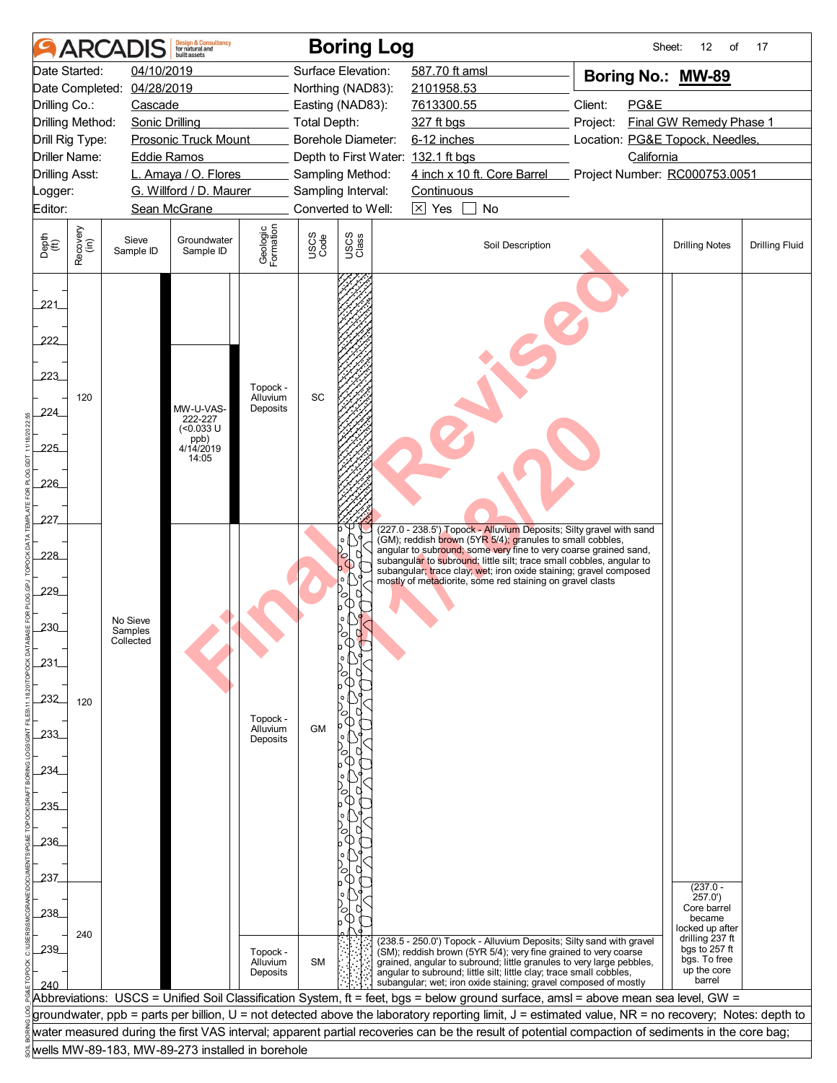|                                                                                       |                  | <b>ARCADIS</b>             | <b>Design &amp; Consultancy</b><br>for natural and<br>huilt assets |                                  |                     | <b>Boring Log</b>                                      |                   |                                                                                                                                                     |                                               | Sheet: | 12<br>of                         | 17                    |
|---------------------------------------------------------------------------------------|------------------|----------------------------|--------------------------------------------------------------------|----------------------------------|---------------------|--------------------------------------------------------|-------------------|-----------------------------------------------------------------------------------------------------------------------------------------------------|-----------------------------------------------|--------|----------------------------------|-----------------------|
|                                                                                       | Date Started:    | 04/10/2019                 |                                                                    |                                  |                     | Surface Elevation:                                     | 587.70 ft amsl    |                                                                                                                                                     |                                               |        | Boring No.: MW-89                |                       |
|                                                                                       |                  | Date Completed: 04/28/2019 |                                                                    |                                  |                     | Northing (NAD83):                                      | 2101958.53        |                                                                                                                                                     |                                               |        |                                  |                       |
| Drilling Co.:                                                                         |                  | Cascade                    |                                                                    |                                  |                     | Easting (NAD83):                                       | 7613300.55        |                                                                                                                                                     | Client:                                       | PG&E   |                                  |                       |
| Drilling Method:                                                                      |                  | <b>Sonic Drilling</b>      |                                                                    |                                  | <b>Total Depth:</b> |                                                        | 327 ft bgs        |                                                                                                                                                     | Final GW Remedy Phase 1<br>Project:           |        |                                  |                       |
| Drill Rig Type:<br><b>Prosonic Truck Mount</b><br>Driller Name:<br><b>Eddie Ramos</b> |                  |                            |                                                                    |                                  |                     | Borehole Diameter:                                     | 6-12 inches       |                                                                                                                                                     | Location: PG&E Topock, Needles,<br>California |        |                                  |                       |
| <b>Drilling Asst:</b>                                                                 |                  |                            | L. Amaya / O. Flores                                               |                                  |                     | Depth to First Water: 132.1 ft bgs<br>Sampling Method: |                   | 4 inch x 10 ft. Core Barrel                                                                                                                         |                                               |        | Project Number: RC000753.0051    |                       |
| _ogger:                                                                               |                  |                            | G. Willford / D. Maurer                                            |                                  |                     | Sampling Interval:                                     | <b>Continuous</b> |                                                                                                                                                     |                                               |        |                                  |                       |
| Editor:                                                                               |                  |                            | Sean McGrane                                                       |                                  |                     | Converted to Well:                                     | $\boxtimes$ Yes   | No<br>$\mathbf{I}$                                                                                                                                  |                                               |        |                                  |                       |
|                                                                                       |                  |                            |                                                                    |                                  |                     |                                                        |                   |                                                                                                                                                     |                                               |        |                                  |                       |
| Depth<br>$\widetilde{f(t)}$                                                           | Recovery<br>(in) | Sieve<br>Sample ID         | Groundwater<br>Sample ID                                           | Geologic<br>Formation            | USCS<br>Code        | USCS<br>Class                                          |                   | Soil Description                                                                                                                                    |                                               |        | <b>Drilling Notes</b>            | <b>Drilling Fluid</b> |
| 221<br>222<br>223<br>224                                                              | 120              |                            | MW-U-VAS-                                                          | Topock -<br>Alluvium<br>Deposits | SC                  |                                                        |                   |                                                                                                                                                     |                                               |        |                                  |                       |
|                                                                                       |                  |                            | 222-227<br>$(<0.033$ U                                             |                                  |                     |                                                        |                   |                                                                                                                                                     |                                               |        |                                  |                       |
| 225                                                                                   |                  |                            | ppb)<br>4/14/2019                                                  |                                  |                     |                                                        |                   |                                                                                                                                                     |                                               |        |                                  |                       |
|                                                                                       |                  |                            | 14:05                                                              |                                  |                     |                                                        |                   |                                                                                                                                                     |                                               |        |                                  |                       |
| 226                                                                                   |                  |                            |                                                                    |                                  |                     |                                                        |                   |                                                                                                                                                     |                                               |        |                                  |                       |
|                                                                                       |                  |                            |                                                                    |                                  |                     |                                                        |                   |                                                                                                                                                     |                                               |        |                                  |                       |
| 227                                                                                   |                  |                            |                                                                    |                                  |                     |                                                        |                   | (227.0 - 238.5') Topock - Alluvium Deposits; Silty gravel with sand                                                                                 |                                               |        |                                  |                       |
|                                                                                       |                  |                            |                                                                    |                                  |                     |                                                        |                   | (GM); reddish brown (5YR 5/4); granules to small cobbles,<br>angular to subround; some very fine to very coarse grained sand,                       |                                               |        |                                  |                       |
| 228                                                                                   |                  |                            |                                                                    |                                  |                     |                                                        |                   | subangular to subround; little silt; trace small cobbles, angular to<br>subangular; trace clay; wet; iron oxide staining; gravel composed           |                                               |        |                                  |                       |
| 229                                                                                   |                  |                            |                                                                    |                                  |                     |                                                        |                   | mostly of metadiorite, some red staining on gravel clasts                                                                                           |                                               |        |                                  |                       |
|                                                                                       |                  |                            |                                                                    |                                  |                     | О<br>Œ                                                 |                   |                                                                                                                                                     |                                               |        |                                  |                       |
| 230                                                                                   |                  | No Sieve<br>Samples        |                                                                    |                                  |                     |                                                        |                   |                                                                                                                                                     |                                               |        |                                  |                       |
|                                                                                       |                  | Collected                  |                                                                    |                                  |                     |                                                        |                   |                                                                                                                                                     |                                               |        |                                  |                       |
| 231                                                                                   |                  |                            |                                                                    |                                  |                     |                                                        |                   |                                                                                                                                                     |                                               |        |                                  |                       |
|                                                                                       |                  |                            |                                                                    |                                  |                     |                                                        |                   |                                                                                                                                                     |                                               |        |                                  |                       |
| 232                                                                                   | 120              |                            |                                                                    |                                  |                     |                                                        |                   |                                                                                                                                                     |                                               |        |                                  |                       |
|                                                                                       |                  |                            |                                                                    | Topock -<br>Alluvium             | GM                  |                                                        |                   |                                                                                                                                                     |                                               |        |                                  |                       |
| 233                                                                                   |                  |                            |                                                                    | Deposits                         |                     |                                                        |                   |                                                                                                                                                     |                                               |        |                                  |                       |
| 234                                                                                   |                  |                            |                                                                    |                                  |                     |                                                        |                   |                                                                                                                                                     |                                               |        |                                  |                       |
|                                                                                       |                  |                            |                                                                    |                                  |                     | C                                                      |                   |                                                                                                                                                     |                                               |        |                                  |                       |
| 235                                                                                   |                  |                            |                                                                    |                                  |                     |                                                        |                   |                                                                                                                                                     |                                               |        |                                  |                       |
|                                                                                       |                  |                            |                                                                    |                                  |                     |                                                        |                   |                                                                                                                                                     |                                               |        |                                  |                       |
| .236                                                                                  |                  |                            |                                                                    |                                  |                     |                                                        |                   |                                                                                                                                                     |                                               |        |                                  |                       |
|                                                                                       |                  |                            |                                                                    |                                  |                     | C                                                      |                   |                                                                                                                                                     |                                               |        |                                  |                       |
| 237                                                                                   |                  |                            |                                                                    |                                  |                     |                                                        |                   |                                                                                                                                                     |                                               |        | $(237.0 -$                       |                       |
|                                                                                       |                  |                            |                                                                    |                                  |                     | $\circ$                                                |                   |                                                                                                                                                     |                                               |        | 257.0'<br>Core barrel            |                       |
| 238                                                                                   |                  |                            |                                                                    |                                  |                     |                                                        |                   |                                                                                                                                                     |                                               |        | became<br>locked up after        |                       |
| 239                                                                                   | 240              |                            |                                                                    |                                  |                     |                                                        |                   | (238.5 - 250.0') Topock - Alluvium Deposits; Silty sand with gravel                                                                                 |                                               |        | drilling 237 ft<br>bgs to 257 ft |                       |
|                                                                                       |                  |                            |                                                                    | Topock -<br>Alluvium             | <b>SM</b>           |                                                        |                   | (SM); reddish brown (5YR 5/4); very fine grained to very coarse<br>grained, angular to subround; little granules to very large pebbles,             |                                               |        | bgs. To free<br>up the core      |                       |
| 240                                                                                   |                  |                            |                                                                    | Deposits                         |                     |                                                        |                   | angular to subround; little silt; little clay; trace small cobbles,<br>subangular; wet; iron oxide staining; gravel composed of mostly              |                                               |        | barrel                           |                       |
|                                                                                       |                  |                            |                                                                    |                                  |                     |                                                        |                   | Abbreviations:  USCS = Unified Soil Classification System, ft = feet, bgs = below ground surface, amsl = above mean sea level, GW =                 |                                               |        |                                  |                       |
|                                                                                       |                  |                            |                                                                    |                                  |                     |                                                        |                   | groundwater, ppb = parts per billion, U = not detected above the laboratory reporting limit, J = estimated value, NR = no recovery; Notes: depth to |                                               |        |                                  |                       |
|                                                                                       |                  |                            |                                                                    |                                  |                     |                                                        |                   | water measured during the first VAS interval; apparent partial recoveries can be the result of potential compaction of sediments in the core bag;   |                                               |        |                                  |                       |
|                                                                                       |                  |                            | wells MW-89-183, MW-89-273 installed in borehole                   |                                  |                     |                                                        |                   |                                                                                                                                                     |                                               |        |                                  |                       |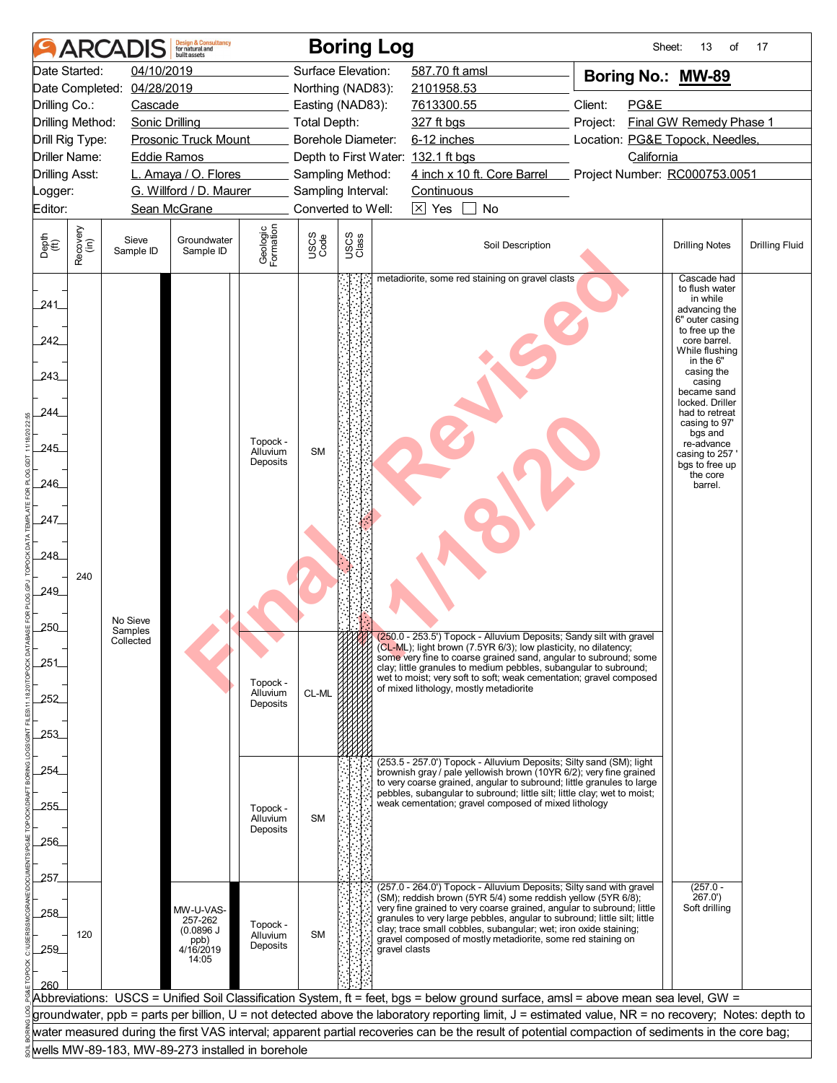|                                                                                      |                  | <b>ARCADIS</b>                   | <b>Design &amp; Consultancy</b><br>for natural and               |                                                          |                    | <b>Boring Log</b>                      |                 |                                                                                                                                                                                                                                                                                                                                                                                                                                                        |          | Sheet:     | 13<br>of                                                                                                                                                                                                                                                                                                                       | 17                    |
|--------------------------------------------------------------------------------------|------------------|----------------------------------|------------------------------------------------------------------|----------------------------------------------------------|--------------------|----------------------------------------|-----------------|--------------------------------------------------------------------------------------------------------------------------------------------------------------------------------------------------------------------------------------------------------------------------------------------------------------------------------------------------------------------------------------------------------------------------------------------------------|----------|------------|--------------------------------------------------------------------------------------------------------------------------------------------------------------------------------------------------------------------------------------------------------------------------------------------------------------------------------|-----------------------|
|                                                                                      | Date Started:    | 04/10/2019                       |                                                                  |                                                          |                    | Surface Elevation:                     | 587.70 ft amsl  |                                                                                                                                                                                                                                                                                                                                                                                                                                                        |          |            | Boring No.: MW-89                                                                                                                                                                                                                                                                                                              |                       |
|                                                                                      |                  | Date Completed: 04/28/2019       |                                                                  |                                                          |                    | Northing (NAD83):                      | 2101958.53      |                                                                                                                                                                                                                                                                                                                                                                                                                                                        |          |            |                                                                                                                                                                                                                                                                                                                                |                       |
| Drilling Co.:                                                                        |                  | Cascade                          |                                                                  |                                                          |                    | Easting (NAD83):                       | 7613300.55      |                                                                                                                                                                                                                                                                                                                                                                                                                                                        | Client:  | PG&E       |                                                                                                                                                                                                                                                                                                                                |                       |
| Drilling Method:                                                                     |                  | <b>Sonic Drilling</b>            |                                                                  |                                                          | Total Depth:       |                                        | 327 ft bgs      |                                                                                                                                                                                                                                                                                                                                                                                                                                                        | Project: |            | Final GW Remedy Phase 1                                                                                                                                                                                                                                                                                                        |                       |
| Drill Rig Type:<br><b>Prosonic Truck Mount</b><br>Driller Name:                      |                  |                                  |                                                                  |                                                          |                    | Borehole Diameter:                     |                 | 6-12 inches<br>Location: PG&E Topock, Needles,                                                                                                                                                                                                                                                                                                                                                                                                         |          |            |                                                                                                                                                                                                                                                                                                                                |                       |
| <b>Drilling Asst:</b>                                                                |                  | <b>Eddie Ramos</b>               |                                                                  |                                                          |                    | Depth to First Water: 132.1 ft bgs     |                 | 4 inch x 10 ft. Core Barrel                                                                                                                                                                                                                                                                                                                                                                                                                            |          | California |                                                                                                                                                                                                                                                                                                                                |                       |
| _ogger:                                                                              |                  |                                  | L. Amaya / O. Flores<br>G. Willford / D. Maurer                  |                                                          |                    | Sampling Method:<br>Sampling Interval: | Continuous      |                                                                                                                                                                                                                                                                                                                                                                                                                                                        |          |            | Project Number: RC000753.0051                                                                                                                                                                                                                                                                                                  |                       |
| Editor:                                                                              |                  |                                  | Sean McGrane                                                     |                                                          |                    | Converted to Well:                     | $\boxtimes$ Yes | No                                                                                                                                                                                                                                                                                                                                                                                                                                                     |          |            |                                                                                                                                                                                                                                                                                                                                |                       |
|                                                                                      |                  |                                  |                                                                  |                                                          |                    |                                        |                 |                                                                                                                                                                                                                                                                                                                                                                                                                                                        |          |            |                                                                                                                                                                                                                                                                                                                                |                       |
| Depth<br>(ft)                                                                        | Recovery<br>(in) | Sieve<br>Sample ID               | Groundwater<br>Sample ID                                         | Geologic<br>Formation                                    | USCS<br>Code       | USCS<br>Class                          |                 | Soil Description                                                                                                                                                                                                                                                                                                                                                                                                                                       |          |            | <b>Drilling Notes</b>                                                                                                                                                                                                                                                                                                          | <b>Drilling Fluid</b> |
| 241<br>242<br>243<br>244<br>245<br>$-246$<br>247<br>.248<br>249<br>250<br>251<br>252 | 240              | No Sieve<br>Samples<br>Collected |                                                                  | Topock -<br>Alluvium<br>Deposits<br>Topock -<br>Alluvium | <b>SM</b><br>CL-ML |                                        |                 | metadiorite, some red staining on gravel clasts<br>2009 (250.0 - 253.5') Topock - Alluvium Deposits; Sandy silt with gravel<br>(CL-ML); light brown (7.5YR 6/3); low plasticity, no dilatency;<br>some very fine to coarse grained sand, angular to subround; some<br>clay; little granules to medium pebbles, subangular to subround;<br>wet to moist; very soft to soft; weak cementation; gravel composed<br>of mixed lithology, mostly metadiorite |          |            | Cascade had<br>to flush water<br>in while<br>advancing the<br>6" outer casing<br>to free up the<br>core barrel.<br>While flushing<br>in the 6"<br>casing the<br>casing<br>became sand<br>locked. Driller<br>had to retreat<br>casing to 97'<br>bgs and<br>re-advance<br>casing to 257<br>bgs to free up<br>the core<br>barrel. |                       |
| 253<br>254<br>255                                                                    |                  |                                  |                                                                  | Deposits<br>Topock -<br>Alluvium<br>Deposits             | <b>SM</b>          |                                        |                 | (253.5 - 257.0') Topock - Alluvium Deposits; Silty sand (SM); light<br>brownish gray / pale yellowish brown (10YR 6/2); very fine grained<br>to very coarse grained, angular to subround; little granules to large<br>pebbles, subangular to subround; little silt; little clay; wet to moist;<br>weak cementation; gravel composed of mixed lithology                                                                                                 |          |            |                                                                                                                                                                                                                                                                                                                                |                       |
| 256                                                                                  |                  |                                  |                                                                  |                                                          |                    |                                        |                 |                                                                                                                                                                                                                                                                                                                                                                                                                                                        |          |            |                                                                                                                                                                                                                                                                                                                                |                       |
|                                                                                      |                  |                                  |                                                                  |                                                          |                    |                                        |                 |                                                                                                                                                                                                                                                                                                                                                                                                                                                        |          |            |                                                                                                                                                                                                                                                                                                                                |                       |
| 257                                                                                  |                  |                                  |                                                                  |                                                          |                    |                                        |                 | (257.0 - 264.0') Topock - Alluvium Deposits; Silty sand with gravel                                                                                                                                                                                                                                                                                                                                                                                    |          |            | $(257.0 -$                                                                                                                                                                                                                                                                                                                     |                       |
| 258<br>259                                                                           | 120              |                                  | MW-U-VAS-<br>257-262<br>(0.0896 J)<br>ppb)<br>4/16/2019<br>14:05 | Topock -<br>Alluvium<br>Deposits                         | <b>SM</b>          | gravel clasts                          |                 | (SM); reddish brown (5YR 5/4) some reddish yellow (5YR 6/8);<br>very fine grained to very coarse grained, angular to subround; little<br>granules to very large pebbles, angular to subround; little silt; little<br>clay; trace small cobbles, subangular; wet; iron oxide staining;<br>gravel composed of mostly metadiorite, some red staining on                                                                                                   |          |            | 267.0'<br>Soft drilling                                                                                                                                                                                                                                                                                                        |                       |
| 260                                                                                  |                  |                                  |                                                                  |                                                          |                    |                                        |                 |                                                                                                                                                                                                                                                                                                                                                                                                                                                        |          |            |                                                                                                                                                                                                                                                                                                                                |                       |
|                                                                                      |                  |                                  |                                                                  |                                                          |                    |                                        |                 | Abbreviations: USCS = Unified Soil Classification System, ft = feet, bgs = below ground surface, amsl = above mean sea level, GW =                                                                                                                                                                                                                                                                                                                     |          |            |                                                                                                                                                                                                                                                                                                                                |                       |
|                                                                                      |                  |                                  |                                                                  |                                                          |                    |                                        |                 | groundwater, ppb = parts per billion, U = not detected above the laboratory reporting limit, J = estimated value, NR = no recovery; Notes: depth to                                                                                                                                                                                                                                                                                                    |          |            |                                                                                                                                                                                                                                                                                                                                |                       |
|                                                                                      |                  |                                  |                                                                  |                                                          |                    |                                        |                 | water measured during the first VAS interval; apparent partial recoveries can be the result of potential compaction of sediments in the core bag;                                                                                                                                                                                                                                                                                                      |          |            |                                                                                                                                                                                                                                                                                                                                |                       |
|                                                                                      |                  |                                  | wells MW-89-183, MW-89-273 installed in borehole                 |                                                          |                    |                                        |                 |                                                                                                                                                                                                                                                                                                                                                                                                                                                        |          |            |                                                                                                                                                                                                                                                                                                                                |                       |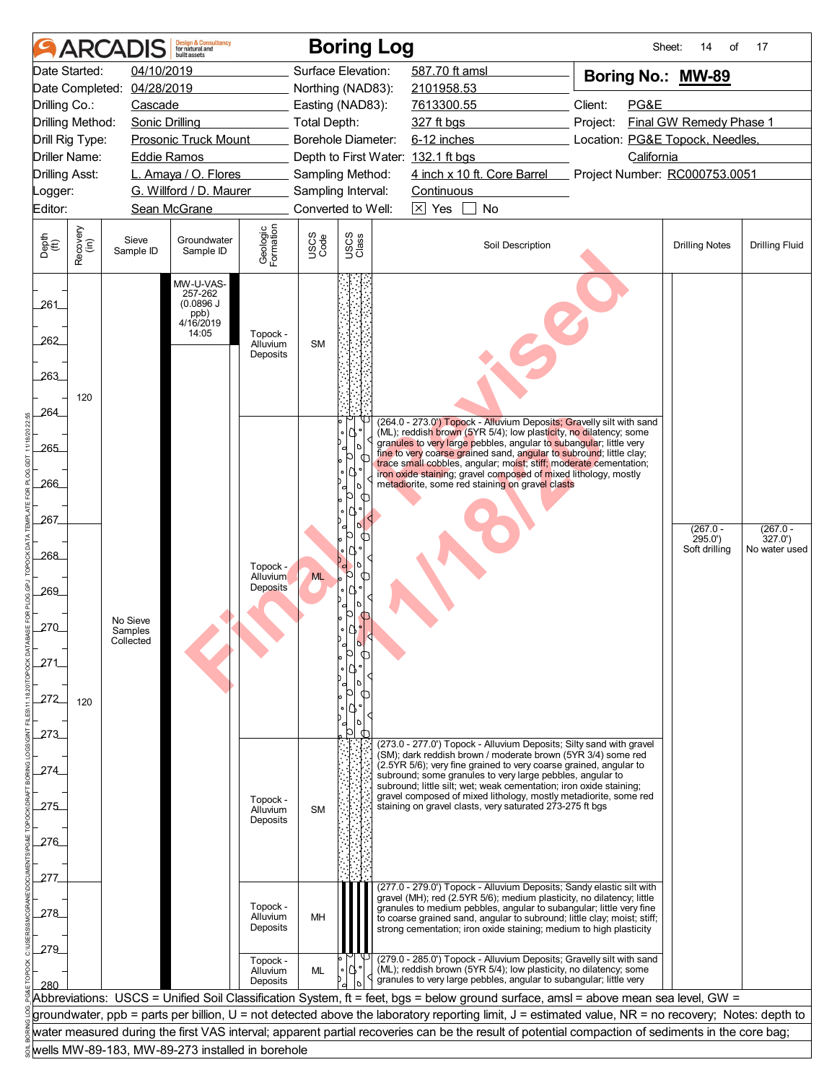|                          |                                                | <b>ARCADIS</b>                                                                 | <b>Design &amp; Consultancy</b><br>for natural and<br>built assets |                                  |                     | <b>Boring Log</b>                  |                                                |                                                                                                                                                                                                                 |                               | Sheet:<br>14<br>of               | 17                      |  |  |                                                                                                                                                                                                                                                                                               |  |  |  |
|--------------------------|------------------------------------------------|--------------------------------------------------------------------------------|--------------------------------------------------------------------|----------------------------------|---------------------|------------------------------------|------------------------------------------------|-----------------------------------------------------------------------------------------------------------------------------------------------------------------------------------------------------------------|-------------------------------|----------------------------------|-------------------------|--|--|-----------------------------------------------------------------------------------------------------------------------------------------------------------------------------------------------------------------------------------------------------------------------------------------------|--|--|--|
|                          | Date Started:                                  | 04/10/2019                                                                     |                                                                    |                                  |                     | Surface Elevation:                 | 587.70 ft amsl                                 |                                                                                                                                                                                                                 | Boring No.: MW-89             |                                  |                         |  |  |                                                                                                                                                                                                                                                                                               |  |  |  |
|                          |                                                | Date Completed: 04/28/2019                                                     |                                                                    |                                  |                     | Northing (NAD83):                  | 2101958.53                                     |                                                                                                                                                                                                                 |                               |                                  |                         |  |  |                                                                                                                                                                                                                                                                                               |  |  |  |
| Drilling Co.:            |                                                | Cascade                                                                        |                                                                    |                                  |                     | Easting (NAD83):                   | 7613300.55                                     |                                                                                                                                                                                                                 | Client:<br>PG&E               |                                  |                         |  |  |                                                                                                                                                                                                                                                                                               |  |  |  |
|                          | Drilling Method:                               | <b>Sonic Drilling</b>                                                          |                                                                    |                                  | <b>Total Depth:</b> |                                    | 327 ft bgs                                     | Project:                                                                                                                                                                                                        |                               |                                  | Final GW Remedy Phase 1 |  |  |                                                                                                                                                                                                                                                                                               |  |  |  |
|                          | Drill Rig Type:<br><b>Prosonic Truck Mount</b> |                                                                                |                                                                    |                                  |                     | Borehole Diameter:                 | 6-12 inches<br>Location: PG&E Topock, Needles, |                                                                                                                                                                                                                 |                               |                                  |                         |  |  |                                                                                                                                                                                                                                                                                               |  |  |  |
|                          | Driller Name:<br><b>Eddie Ramos</b>            |                                                                                |                                                                    |                                  |                     | Depth to First Water: 132.1 ft bgs |                                                |                                                                                                                                                                                                                 | California                    |                                  |                         |  |  |                                                                                                                                                                                                                                                                                               |  |  |  |
| <b>Drilling Asst:</b>    |                                                |                                                                                | L. Amaya / O. Flores                                               |                                  |                     | Sampling Method:                   |                                                | 4 inch x 10 ft. Core Barrel                                                                                                                                                                                     | Project Number: RC000753.0051 |                                  |                         |  |  |                                                                                                                                                                                                                                                                                               |  |  |  |
| _ogger:                  |                                                |                                                                                | G. Willford / D. Maurer                                            |                                  |                     | Sampling Interval:                 | Continuous                                     |                                                                                                                                                                                                                 |                               |                                  |                         |  |  |                                                                                                                                                                                                                                                                                               |  |  |  |
| Editor:                  |                                                |                                                                                | Sean McGrane                                                       |                                  |                     | Converted to Well:                 | $\boxtimes$ Yes                                | No                                                                                                                                                                                                              |                               |                                  |                         |  |  |                                                                                                                                                                                                                                                                                               |  |  |  |
| Depth<br>(ft)            | Recovery<br>(in)                               | Sieve<br>Sample ID                                                             | Groundwater<br>Sample ID                                           | Geologic<br>Formation            | USCS<br>Code        | USCS<br>Class                      |                                                | Soil Description                                                                                                                                                                                                |                               | <b>Drilling Notes</b>            | <b>Drilling Fluid</b>   |  |  |                                                                                                                                                                                                                                                                                               |  |  |  |
| 261<br>262<br>263<br>264 | 120                                            | MW-U-VAS-<br>257-262<br>(0.0896 J)<br>$\binom{\text{ppb}}{4/16/2019}$<br>14:05 |                                                                    | Topock -<br>Alluvium<br>Deposits | <b>SM</b>           |                                    |                                                |                                                                                                                                                                                                                 |                               |                                  |                         |  |  |                                                                                                                                                                                                                                                                                               |  |  |  |
|                          |                                                |                                                                                |                                                                    |                                  |                     |                                    |                                                | (264.0 - 273.0") Topock - Alluvium Deposits; Gravelly silt with sand<br>(ML); reddish brown (5YR 5/4); low plasticity, no dilatency; some                                                                       |                               |                                  |                         |  |  |                                                                                                                                                                                                                                                                                               |  |  |  |
| 265                      |                                                |                                                                                |                                                                    |                                  |                     | D<br>b                             |                                                | granules to very large pebbles, angular to subangular; little very<br>fine to very coarse grained sand, angular to subround; little clay;                                                                       |                               |                                  |                         |  |  |                                                                                                                                                                                                                                                                                               |  |  |  |
|                          |                                                |                                                                                |                                                                    |                                  |                     |                                    |                                                | trace small cobbles, angular; moist; stiff; moderate cementation;<br>iron oxide staining; gravel composed of mixed lithology, mostly                                                                            |                               |                                  |                         |  |  |                                                                                                                                                                                                                                                                                               |  |  |  |
| 266                      |                                                |                                                                                |                                                                    |                                  |                     |                                    |                                                | metadiorite, some red staining on gravel clasts                                                                                                                                                                 |                               |                                  |                         |  |  |                                                                                                                                                                                                                                                                                               |  |  |  |
|                          |                                                |                                                                                |                                                                    |                                  |                     | Ю                                  |                                                |                                                                                                                                                                                                                 |                               |                                  |                         |  |  |                                                                                                                                                                                                                                                                                               |  |  |  |
| 267.                     |                                                |                                                                                |                                                                    |                                  |                     | $\phi$                             |                                                |                                                                                                                                                                                                                 |                               | $(267.0 -$                       | $(267.0 -$              |  |  |                                                                                                                                                                                                                                                                                               |  |  |  |
| 268                      |                                                |                                                                                |                                                                    | Topock -                         |                     | D                                  |                                                |                                                                                                                                                                                                                 |                               | 295.0'<br>Soft drilling          | 327.0'<br>No water used |  |  |                                                                                                                                                                                                                                                                                               |  |  |  |
|                          |                                                |                                                                                |                                                                    | Alluvium<br><b>Deposits</b>      | <b>ML</b>           | <sup>9</sup> 0<br>←                |                                                |                                                                                                                                                                                                                 |                               |                                  |                         |  |  |                                                                                                                                                                                                                                                                                               |  |  |  |
| 269                      |                                                |                                                                                |                                                                    |                                  |                     |                                    |                                                |                                                                                                                                                                                                                 |                               |                                  |                         |  |  |                                                                                                                                                                                                                                                                                               |  |  |  |
|                          |                                                | No Sieve                                                                       |                                                                    |                                  |                     |                                    |                                                |                                                                                                                                                                                                                 |                               |                                  |                         |  |  |                                                                                                                                                                                                                                                                                               |  |  |  |
| 270                      |                                                | Samples<br>Collected                                                           |                                                                    |                                  |                     |                                    |                                                |                                                                                                                                                                                                                 |                               |                                  |                         |  |  |                                                                                                                                                                                                                                                                                               |  |  |  |
| 271                      |                                                |                                                                                |                                                                    |                                  |                     |                                    |                                                |                                                                                                                                                                                                                 |                               |                                  |                         |  |  |                                                                                                                                                                                                                                                                                               |  |  |  |
|                          |                                                |                                                                                |                                                                    |                                  |                     |                                    |                                                |                                                                                                                                                                                                                 |                               |                                  |                         |  |  |                                                                                                                                                                                                                                                                                               |  |  |  |
| 272                      |                                                |                                                                                |                                                                    |                                  |                     |                                    |                                                |                                                                                                                                                                                                                 |                               |                                  |                         |  |  |                                                                                                                                                                                                                                                                                               |  |  |  |
|                          | 120                                            |                                                                                |                                                                    |                                  |                     |                                    |                                                |                                                                                                                                                                                                                 |                               |                                  |                         |  |  |                                                                                                                                                                                                                                                                                               |  |  |  |
| 273                      |                                                |                                                                                |                                                                    |                                  |                     | $\phi$                             |                                                |                                                                                                                                                                                                                 |                               |                                  |                         |  |  |                                                                                                                                                                                                                                                                                               |  |  |  |
|                          |                                                |                                                                                |                                                                    |                                  |                     |                                    |                                                | (273.0 - 277.0') Topock - Alluvium Deposits; Silty sand with gravel<br>(SM); dark reddish brown / moderate brown (5YR 3/4) some red                                                                             |                               |                                  |                         |  |  |                                                                                                                                                                                                                                                                                               |  |  |  |
| 274                      |                                                |                                                                                |                                                                    |                                  |                     |                                    |                                                | (2.5YR 5/6); very fine grained to very coarse grained, angular to<br>subround; some granules to very large pebbles, angular to                                                                                  |                               |                                  |                         |  |  |                                                                                                                                                                                                                                                                                               |  |  |  |
|                          |                                                |                                                                                |                                                                    |                                  |                     |                                    |                                                | subround; little silt; wet; weak cementation; iron oxide staining;                                                                                                                                              |                               |                                  |                         |  |  |                                                                                                                                                                                                                                                                                               |  |  |  |
| 275                      |                                                |                                                                                |                                                                    | Topock -<br>Alluvium             | <b>SM</b>           |                                    |                                                | gravel composed of mixed lithology, mostly metadiorite, some red<br>staining on gravel clasts, very saturated 273-275 ft bgs                                                                                    |                               |                                  |                         |  |  |                                                                                                                                                                                                                                                                                               |  |  |  |
|                          |                                                |                                                                                |                                                                    | Deposits                         |                     |                                    |                                                |                                                                                                                                                                                                                 |                               |                                  |                         |  |  |                                                                                                                                                                                                                                                                                               |  |  |  |
| .276                     |                                                |                                                                                |                                                                    |                                  |                     |                                    |                                                |                                                                                                                                                                                                                 |                               |                                  |                         |  |  |                                                                                                                                                                                                                                                                                               |  |  |  |
|                          |                                                |                                                                                |                                                                    |                                  |                     |                                    |                                                |                                                                                                                                                                                                                 |                               |                                  |                         |  |  |                                                                                                                                                                                                                                                                                               |  |  |  |
| 277                      |                                                |                                                                                |                                                                    |                                  |                     |                                    |                                                | (277.0 - 279.0') Topock - Alluvium Deposits; Sandy elastic silt with                                                                                                                                            |                               |                                  |                         |  |  |                                                                                                                                                                                                                                                                                               |  |  |  |
| 278                      |                                                |                                                                                |                                                                    |                                  |                     |                                    |                                                |                                                                                                                                                                                                                 |                               | Topock -<br>Alluvium<br>Deposits | MH                      |  |  | gravel (MH); red (2.5YR 5/6); medium plasticity, no dilatency; little<br>granules to medium pebbles, angular to subangular; little very fine<br>to coarse grained sand, angular to subround; little clay; moist; stiff;<br>strong cementation; iron oxide staining; medium to high plasticity |  |  |  |
| 279<br>280               |                                                |                                                                                |                                                                    | Topock -<br>Alluvium<br>Deposits | ML                  |                                    |                                                | (279.0 - 285.0') Topock - Alluvium Deposits; Gravelly silt with sand<br>(ML); reddish brown (5YR 5/4); low plasticity, no dilatency; some<br>granules to very large pebbles, angular to subangular; little very |                               |                                  |                         |  |  |                                                                                                                                                                                                                                                                                               |  |  |  |
|                          |                                                |                                                                                |                                                                    |                                  |                     |                                    |                                                | Abbreviations: USCS = Unified Soil Classification System, ft = feet, bgs = below ground surface, amsl = above mean sea level, GW =                                                                              |                               |                                  |                         |  |  |                                                                                                                                                                                                                                                                                               |  |  |  |
|                          |                                                |                                                                                |                                                                    |                                  |                     |                                    |                                                | groundwater, ppb = parts per billion, U = not detected above the laboratory reporting limit, J = estimated value, NR = no recovery; Notes: depth to                                                             |                               |                                  |                         |  |  |                                                                                                                                                                                                                                                                                               |  |  |  |
|                          |                                                |                                                                                |                                                                    |                                  |                     |                                    |                                                | water measured during the first VAS interval; apparent partial recoveries can be the result of potential compaction of sediments in the core bag;                                                               |                               |                                  |                         |  |  |                                                                                                                                                                                                                                                                                               |  |  |  |
|                          |                                                |                                                                                | wells MW-89-183, MW-89-273 installed in borehole                   |                                  |                     |                                    |                                                |                                                                                                                                                                                                                 |                               |                                  |                         |  |  |                                                                                                                                                                                                                                                                                               |  |  |  |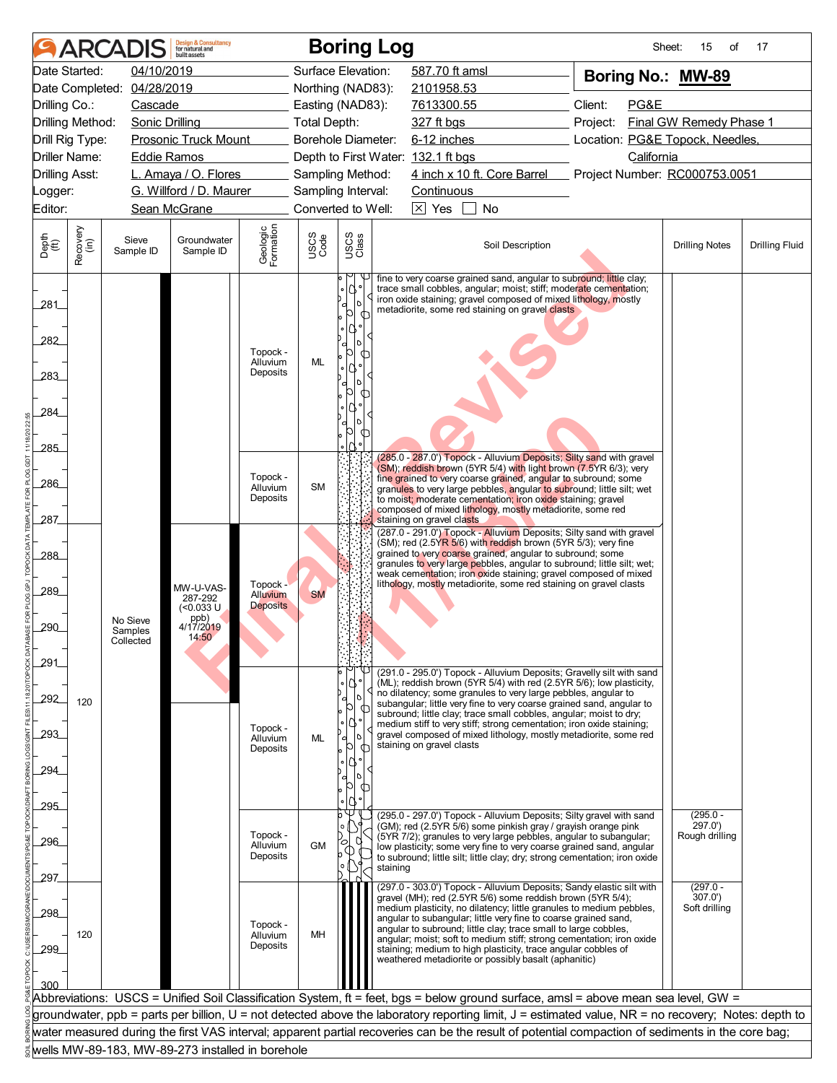| 04/10/2019<br>Surface Elevation:<br>587.70 ft amsl<br>Date Started:<br>Boring No.: MW-89<br>Date Completed: 04/28/2019<br>Northing (NAD83):<br>2101958.53<br>Client:<br>PG&E<br>Drilling Co.:<br>Cascade<br>Easting (NAD83):<br>7613300.55<br>Final GW Remedy Phase 1<br>Drilling Method:<br><b>Sonic Drilling</b><br><b>Total Depth:</b><br>327 ft bgs<br>Project:<br>Borehole Diameter:<br>6-12 inches<br>Location: PG&E Topock, Needles,<br>Drill Rig Type:<br><b>Prosonic Truck Mount</b><br>Driller Name:<br><b>Eddie Ramos</b><br>Depth to First Water: 132.1 ft bgs<br>California<br>4 inch x 10 ft. Core Barrel Project Number: RC000753.0051<br><b>Drilling Asst:</b><br>L. Amaya / O. Flores<br>Sampling Method:<br>G. Willford / D. Maurer<br>Sampling Interval:<br>Continuous<br>_ogger:<br>$\boxtimes$ Yes<br>Editor:<br>Sean McGrane<br>Converted to Well:<br>No<br>Geologic<br>Formation<br>Recovery<br>(in)<br>USCS<br>Class<br>USCS<br>Code<br>Depth<br>$\widetilde{f(t)}$<br>Sieve<br>Groundwater<br>Soil Description<br><b>Drilling Notes</b><br><b>Drilling Fluid</b><br>Sample ID<br>Sample ID<br>fine to very coarse grained sand, angular to subround; little clay;<br>trace small cobbles, angular; moist; stiff; moderate cementation;<br>iron oxide staining; gravel composed of mixed lithology, mostly<br>281<br>D<br>metadiorite, some red staining on gravel clasts<br><b>O</b><br>282<br>Topock -<br>Ю<br>ML<br>Alluvium<br>Deposits<br>283<br>284<br><b>O</b><br>285<br>(285.0 - 287.0') Topock - Alluvium Deposits; Silty sand with gravel<br>(SM); reddish brown (5YR 5/4) with light brown (7.5YR 6/3); very<br>Topock -<br>fine grained to very coarse grained, angular to subround; some<br>286<br><b>SM</b><br>Alluvium<br>granules to very large pebbles, angular to subround; little silt; wet<br>Deposits<br>to moist; moderate cementation; iron oxide staining; gravel<br>composed of mixed lithology, mostly metadiorite, some red<br>287<br>staining on gravel clasts<br>(287.0 - 291.0') Topock - Alluvium Deposits; Silty sand with gravel<br>(SM); red (2.5Y <mark>R 5/</mark> 6) with reddish brown (5YR 5/3); very fine<br>grained to very coarse grained, angular to subround; some<br>288<br>granules to very large pebbles, angular to subround; little silt; wet;<br>weak cementation; iron oxide staining; gravel composed of mixed<br>lithology, mostly metadiorite, some red staining on gravel clasts<br>Topock -<br>MW-U-VAS-<br>289<br><b>Alluvium</b><br><b>SM</b><br>287-292<br><b>Deposits</b><br>(<0.033 U<br>ppb)<br>No Sieve<br>290<br>4/17/2019<br>Samples<br>14:50<br>Collected<br>291<br>(291.0 - 295.0') Topock - Alluvium Deposits; Gravelly silt with sand<br>(ML); reddish brown (5YR 5/4) with red (2.5YR 5/6); low plasticity,<br>no dilatency; some granules to very large pebbles, angular to<br>292<br>120<br>subangular; little very fine to very coarse grained sand, angular to<br>b<br>subround; little clay; trace small cobbles, angular; moist to dry;<br>medium stiff to very stiff; strong cementation; iron oxide staining;<br>Topock -<br>293<br>gravel composed of mixed lithology, mostly metadiorite, some red<br>ML<br>σ<br>Alluvium<br>staining on gravel clasts<br>p<br>Deposits<br>294<br>þ<br>295<br>᠊ᡂ<br>$(295.0 -$<br>(295.0 - 297.0') Topock - Alluvium Deposits; Silty gravel with sand<br>(GM); red (2.5YR 5/6) some pinkish gray / grayish orange pink<br>297.0')<br>$\circ$<br>Topock -<br>(5YR 7/2); granules to very large pebbles, angular to subangular;<br>Rough drilling<br>U<br>296<br>∞<br><b>GM</b><br>Alluvium<br>low plasticity; some very fine to very coarse grained sand, angular<br>➀<br>Deposits<br>to subround; little silt; little clay; dry; strong cementation; iron oxide<br>staining<br>297.<br>$(297.0 -$<br>(297.0 - 303.0') Topock - Alluvium Deposits; Sandy elastic silt with<br>gravel (MH); red (2.5YR 5/6) some reddish brown (5YR 5/4);<br>307.0'<br>medium plasticity, no dilatency; little granules to medium pebbles,<br>Soft drilling<br>298<br>angular to subangular; little very fine to coarse grained sand,<br>Topock -<br>angular to subround; little clay; trace small to large cobbles,<br>120<br>MH<br>Alluvium<br>angular; moist; soft to medium stiff; strong cementation; iron oxide<br>Deposits<br>299<br>staining; medium to high plasticity, trace angular cobbles of<br>weathered metadiorite or possibly basalt (aphanitic)<br>300<br>Abbreviations: USCS = Unified Soil Classification System, ft = feet, bgs = below ground surface, amsl = above mean sea level, GW =<br>groundwater, ppb = parts per billion, U = not detected above the laboratory reporting limit, J = estimated value, NR = no recovery; Notes: depth to<br>water measured during the first VAS interval; apparent partial recoveries can be the result of potential compaction of sediments in the core bag;<br>wells MW-89-183, MW-89-273 installed in borehole |  | <b>ARCADIS</b> | <b>Design &amp; Consultancy</b><br>for natural and<br>huilt assets |  |  | <b>Boring Log</b> |  |  |  | Sheet: | 15<br>of | 17 |  |
|------------------------------------------------------------------------------------------------------------------------------------------------------------------------------------------------------------------------------------------------------------------------------------------------------------------------------------------------------------------------------------------------------------------------------------------------------------------------------------------------------------------------------------------------------------------------------------------------------------------------------------------------------------------------------------------------------------------------------------------------------------------------------------------------------------------------------------------------------------------------------------------------------------------------------------------------------------------------------------------------------------------------------------------------------------------------------------------------------------------------------------------------------------------------------------------------------------------------------------------------------------------------------------------------------------------------------------------------------------------------------------------------------------------------------------------------------------------------------------------------------------------------------------------------------------------------------------------------------------------------------------------------------------------------------------------------------------------------------------------------------------------------------------------------------------------------------------------------------------------------------------------------------------------------------------------------------------------------------------------------------------------------------------------------------------------------------------------------------------------------------------------------------------------------------------------------------------------------------------------------------------------------------------------------------------------------------------------------------------------------------------------------------------------------------------------------------------------------------------------------------------------------------------------------------------------------------------------------------------------------------------------------------------------------------------------------------------------------------------------------------------------------------------------------------------------------------------------------------------------------------------------------------------------------------------------------------------------------------------------------------------------------------------------------------------------------------------------------------------------------------------------------------------------------------------------------------------------------------------------------------------------------------------------------------------------------------------------------------------------------------------------------------------------------------------------------------------------------------------------------------------------------------------------------------------------------------------------------------------------------------------------------------------------------------------------------------------------------------------------------------------------------------------------------------------------------------------------------------------------------------------------------------------------------------------------------------------------------------------------------------------------------------------------------------------------------------------------------------------------------------------------------------------------------------------------------------------------------------------------------------------------------------------------------------------------------------------------------------------------------------------------------------------------------------------------------------------------------------------------------------------------------------------------------------------------------------------------------------------------------------------------------------------------------------------------------------------------------------------------------------------------------------------------------------------------------------------------------------------------------------------------------------------------------------------------------------------------------------------------------------|--|----------------|--------------------------------------------------------------------|--|--|-------------------|--|--|--|--------|----------|----|--|
|                                                                                                                                                                                                                                                                                                                                                                                                                                                                                                                                                                                                                                                                                                                                                                                                                                                                                                                                                                                                                                                                                                                                                                                                                                                                                                                                                                                                                                                                                                                                                                                                                                                                                                                                                                                                                                                                                                                                                                                                                                                                                                                                                                                                                                                                                                                                                                                                                                                                                                                                                                                                                                                                                                                                                                                                                                                                                                                                                                                                                                                                                                                                                                                                                                                                                                                                                                                                                                                                                                                                                                                                                                                                                                                                                                                                                                                                                                                                                                                                                                                                                                                                                                                                                                                                                                                                                                                                                                                                                                                                                                                                                                                                                                                                                                                                                                                                                                                                                                                                      |  |                |                                                                    |  |  |                   |  |  |  |        |          |    |  |
|                                                                                                                                                                                                                                                                                                                                                                                                                                                                                                                                                                                                                                                                                                                                                                                                                                                                                                                                                                                                                                                                                                                                                                                                                                                                                                                                                                                                                                                                                                                                                                                                                                                                                                                                                                                                                                                                                                                                                                                                                                                                                                                                                                                                                                                                                                                                                                                                                                                                                                                                                                                                                                                                                                                                                                                                                                                                                                                                                                                                                                                                                                                                                                                                                                                                                                                                                                                                                                                                                                                                                                                                                                                                                                                                                                                                                                                                                                                                                                                                                                                                                                                                                                                                                                                                                                                                                                                                                                                                                                                                                                                                                                                                                                                                                                                                                                                                                                                                                                                                      |  |                |                                                                    |  |  |                   |  |  |  |        |          |    |  |
|                                                                                                                                                                                                                                                                                                                                                                                                                                                                                                                                                                                                                                                                                                                                                                                                                                                                                                                                                                                                                                                                                                                                                                                                                                                                                                                                                                                                                                                                                                                                                                                                                                                                                                                                                                                                                                                                                                                                                                                                                                                                                                                                                                                                                                                                                                                                                                                                                                                                                                                                                                                                                                                                                                                                                                                                                                                                                                                                                                                                                                                                                                                                                                                                                                                                                                                                                                                                                                                                                                                                                                                                                                                                                                                                                                                                                                                                                                                                                                                                                                                                                                                                                                                                                                                                                                                                                                                                                                                                                                                                                                                                                                                                                                                                                                                                                                                                                                                                                                                                      |  |                |                                                                    |  |  |                   |  |  |  |        |          |    |  |
|                                                                                                                                                                                                                                                                                                                                                                                                                                                                                                                                                                                                                                                                                                                                                                                                                                                                                                                                                                                                                                                                                                                                                                                                                                                                                                                                                                                                                                                                                                                                                                                                                                                                                                                                                                                                                                                                                                                                                                                                                                                                                                                                                                                                                                                                                                                                                                                                                                                                                                                                                                                                                                                                                                                                                                                                                                                                                                                                                                                                                                                                                                                                                                                                                                                                                                                                                                                                                                                                                                                                                                                                                                                                                                                                                                                                                                                                                                                                                                                                                                                                                                                                                                                                                                                                                                                                                                                                                                                                                                                                                                                                                                                                                                                                                                                                                                                                                                                                                                                                      |  |                |                                                                    |  |  |                   |  |  |  |        |          |    |  |
|                                                                                                                                                                                                                                                                                                                                                                                                                                                                                                                                                                                                                                                                                                                                                                                                                                                                                                                                                                                                                                                                                                                                                                                                                                                                                                                                                                                                                                                                                                                                                                                                                                                                                                                                                                                                                                                                                                                                                                                                                                                                                                                                                                                                                                                                                                                                                                                                                                                                                                                                                                                                                                                                                                                                                                                                                                                                                                                                                                                                                                                                                                                                                                                                                                                                                                                                                                                                                                                                                                                                                                                                                                                                                                                                                                                                                                                                                                                                                                                                                                                                                                                                                                                                                                                                                                                                                                                                                                                                                                                                                                                                                                                                                                                                                                                                                                                                                                                                                                                                      |  |                |                                                                    |  |  |                   |  |  |  |        |          |    |  |
|                                                                                                                                                                                                                                                                                                                                                                                                                                                                                                                                                                                                                                                                                                                                                                                                                                                                                                                                                                                                                                                                                                                                                                                                                                                                                                                                                                                                                                                                                                                                                                                                                                                                                                                                                                                                                                                                                                                                                                                                                                                                                                                                                                                                                                                                                                                                                                                                                                                                                                                                                                                                                                                                                                                                                                                                                                                                                                                                                                                                                                                                                                                                                                                                                                                                                                                                                                                                                                                                                                                                                                                                                                                                                                                                                                                                                                                                                                                                                                                                                                                                                                                                                                                                                                                                                                                                                                                                                                                                                                                                                                                                                                                                                                                                                                                                                                                                                                                                                                                                      |  |                |                                                                    |  |  |                   |  |  |  |        |          |    |  |
|                                                                                                                                                                                                                                                                                                                                                                                                                                                                                                                                                                                                                                                                                                                                                                                                                                                                                                                                                                                                                                                                                                                                                                                                                                                                                                                                                                                                                                                                                                                                                                                                                                                                                                                                                                                                                                                                                                                                                                                                                                                                                                                                                                                                                                                                                                                                                                                                                                                                                                                                                                                                                                                                                                                                                                                                                                                                                                                                                                                                                                                                                                                                                                                                                                                                                                                                                                                                                                                                                                                                                                                                                                                                                                                                                                                                                                                                                                                                                                                                                                                                                                                                                                                                                                                                                                                                                                                                                                                                                                                                                                                                                                                                                                                                                                                                                                                                                                                                                                                                      |  |                |                                                                    |  |  |                   |  |  |  |        |          |    |  |
|                                                                                                                                                                                                                                                                                                                                                                                                                                                                                                                                                                                                                                                                                                                                                                                                                                                                                                                                                                                                                                                                                                                                                                                                                                                                                                                                                                                                                                                                                                                                                                                                                                                                                                                                                                                                                                                                                                                                                                                                                                                                                                                                                                                                                                                                                                                                                                                                                                                                                                                                                                                                                                                                                                                                                                                                                                                                                                                                                                                                                                                                                                                                                                                                                                                                                                                                                                                                                                                                                                                                                                                                                                                                                                                                                                                                                                                                                                                                                                                                                                                                                                                                                                                                                                                                                                                                                                                                                                                                                                                                                                                                                                                                                                                                                                                                                                                                                                                                                                                                      |  |                |                                                                    |  |  |                   |  |  |  |        |          |    |  |
|                                                                                                                                                                                                                                                                                                                                                                                                                                                                                                                                                                                                                                                                                                                                                                                                                                                                                                                                                                                                                                                                                                                                                                                                                                                                                                                                                                                                                                                                                                                                                                                                                                                                                                                                                                                                                                                                                                                                                                                                                                                                                                                                                                                                                                                                                                                                                                                                                                                                                                                                                                                                                                                                                                                                                                                                                                                                                                                                                                                                                                                                                                                                                                                                                                                                                                                                                                                                                                                                                                                                                                                                                                                                                                                                                                                                                                                                                                                                                                                                                                                                                                                                                                                                                                                                                                                                                                                                                                                                                                                                                                                                                                                                                                                                                                                                                                                                                                                                                                                                      |  |                |                                                                    |  |  |                   |  |  |  |        |          |    |  |
|                                                                                                                                                                                                                                                                                                                                                                                                                                                                                                                                                                                                                                                                                                                                                                                                                                                                                                                                                                                                                                                                                                                                                                                                                                                                                                                                                                                                                                                                                                                                                                                                                                                                                                                                                                                                                                                                                                                                                                                                                                                                                                                                                                                                                                                                                                                                                                                                                                                                                                                                                                                                                                                                                                                                                                                                                                                                                                                                                                                                                                                                                                                                                                                                                                                                                                                                                                                                                                                                                                                                                                                                                                                                                                                                                                                                                                                                                                                                                                                                                                                                                                                                                                                                                                                                                                                                                                                                                                                                                                                                                                                                                                                                                                                                                                                                                                                                                                                                                                                                      |  |                |                                                                    |  |  |                   |  |  |  |        |          |    |  |
|                                                                                                                                                                                                                                                                                                                                                                                                                                                                                                                                                                                                                                                                                                                                                                                                                                                                                                                                                                                                                                                                                                                                                                                                                                                                                                                                                                                                                                                                                                                                                                                                                                                                                                                                                                                                                                                                                                                                                                                                                                                                                                                                                                                                                                                                                                                                                                                                                                                                                                                                                                                                                                                                                                                                                                                                                                                                                                                                                                                                                                                                                                                                                                                                                                                                                                                                                                                                                                                                                                                                                                                                                                                                                                                                                                                                                                                                                                                                                                                                                                                                                                                                                                                                                                                                                                                                                                                                                                                                                                                                                                                                                                                                                                                                                                                                                                                                                                                                                                                                      |  |                |                                                                    |  |  |                   |  |  |  |        |          |    |  |
|                                                                                                                                                                                                                                                                                                                                                                                                                                                                                                                                                                                                                                                                                                                                                                                                                                                                                                                                                                                                                                                                                                                                                                                                                                                                                                                                                                                                                                                                                                                                                                                                                                                                                                                                                                                                                                                                                                                                                                                                                                                                                                                                                                                                                                                                                                                                                                                                                                                                                                                                                                                                                                                                                                                                                                                                                                                                                                                                                                                                                                                                                                                                                                                                                                                                                                                                                                                                                                                                                                                                                                                                                                                                                                                                                                                                                                                                                                                                                                                                                                                                                                                                                                                                                                                                                                                                                                                                                                                                                                                                                                                                                                                                                                                                                                                                                                                                                                                                                                                                      |  |                |                                                                    |  |  |                   |  |  |  |        |          |    |  |
|                                                                                                                                                                                                                                                                                                                                                                                                                                                                                                                                                                                                                                                                                                                                                                                                                                                                                                                                                                                                                                                                                                                                                                                                                                                                                                                                                                                                                                                                                                                                                                                                                                                                                                                                                                                                                                                                                                                                                                                                                                                                                                                                                                                                                                                                                                                                                                                                                                                                                                                                                                                                                                                                                                                                                                                                                                                                                                                                                                                                                                                                                                                                                                                                                                                                                                                                                                                                                                                                                                                                                                                                                                                                                                                                                                                                                                                                                                                                                                                                                                                                                                                                                                                                                                                                                                                                                                                                                                                                                                                                                                                                                                                                                                                                                                                                                                                                                                                                                                                                      |  |                |                                                                    |  |  |                   |  |  |  |        |          |    |  |
|                                                                                                                                                                                                                                                                                                                                                                                                                                                                                                                                                                                                                                                                                                                                                                                                                                                                                                                                                                                                                                                                                                                                                                                                                                                                                                                                                                                                                                                                                                                                                                                                                                                                                                                                                                                                                                                                                                                                                                                                                                                                                                                                                                                                                                                                                                                                                                                                                                                                                                                                                                                                                                                                                                                                                                                                                                                                                                                                                                                                                                                                                                                                                                                                                                                                                                                                                                                                                                                                                                                                                                                                                                                                                                                                                                                                                                                                                                                                                                                                                                                                                                                                                                                                                                                                                                                                                                                                                                                                                                                                                                                                                                                                                                                                                                                                                                                                                                                                                                                                      |  |                |                                                                    |  |  |                   |  |  |  |        |          |    |  |
|                                                                                                                                                                                                                                                                                                                                                                                                                                                                                                                                                                                                                                                                                                                                                                                                                                                                                                                                                                                                                                                                                                                                                                                                                                                                                                                                                                                                                                                                                                                                                                                                                                                                                                                                                                                                                                                                                                                                                                                                                                                                                                                                                                                                                                                                                                                                                                                                                                                                                                                                                                                                                                                                                                                                                                                                                                                                                                                                                                                                                                                                                                                                                                                                                                                                                                                                                                                                                                                                                                                                                                                                                                                                                                                                                                                                                                                                                                                                                                                                                                                                                                                                                                                                                                                                                                                                                                                                                                                                                                                                                                                                                                                                                                                                                                                                                                                                                                                                                                                                      |  |                |                                                                    |  |  |                   |  |  |  |        |          |    |  |
|                                                                                                                                                                                                                                                                                                                                                                                                                                                                                                                                                                                                                                                                                                                                                                                                                                                                                                                                                                                                                                                                                                                                                                                                                                                                                                                                                                                                                                                                                                                                                                                                                                                                                                                                                                                                                                                                                                                                                                                                                                                                                                                                                                                                                                                                                                                                                                                                                                                                                                                                                                                                                                                                                                                                                                                                                                                                                                                                                                                                                                                                                                                                                                                                                                                                                                                                                                                                                                                                                                                                                                                                                                                                                                                                                                                                                                                                                                                                                                                                                                                                                                                                                                                                                                                                                                                                                                                                                                                                                                                                                                                                                                                                                                                                                                                                                                                                                                                                                                                                      |  |                |                                                                    |  |  |                   |  |  |  |        |          |    |  |
|                                                                                                                                                                                                                                                                                                                                                                                                                                                                                                                                                                                                                                                                                                                                                                                                                                                                                                                                                                                                                                                                                                                                                                                                                                                                                                                                                                                                                                                                                                                                                                                                                                                                                                                                                                                                                                                                                                                                                                                                                                                                                                                                                                                                                                                                                                                                                                                                                                                                                                                                                                                                                                                                                                                                                                                                                                                                                                                                                                                                                                                                                                                                                                                                                                                                                                                                                                                                                                                                                                                                                                                                                                                                                                                                                                                                                                                                                                                                                                                                                                                                                                                                                                                                                                                                                                                                                                                                                                                                                                                                                                                                                                                                                                                                                                                                                                                                                                                                                                                                      |  |                |                                                                    |  |  |                   |  |  |  |        |          |    |  |
|                                                                                                                                                                                                                                                                                                                                                                                                                                                                                                                                                                                                                                                                                                                                                                                                                                                                                                                                                                                                                                                                                                                                                                                                                                                                                                                                                                                                                                                                                                                                                                                                                                                                                                                                                                                                                                                                                                                                                                                                                                                                                                                                                                                                                                                                                                                                                                                                                                                                                                                                                                                                                                                                                                                                                                                                                                                                                                                                                                                                                                                                                                                                                                                                                                                                                                                                                                                                                                                                                                                                                                                                                                                                                                                                                                                                                                                                                                                                                                                                                                                                                                                                                                                                                                                                                                                                                                                                                                                                                                                                                                                                                                                                                                                                                                                                                                                                                                                                                                                                      |  |                |                                                                    |  |  |                   |  |  |  |        |          |    |  |
|                                                                                                                                                                                                                                                                                                                                                                                                                                                                                                                                                                                                                                                                                                                                                                                                                                                                                                                                                                                                                                                                                                                                                                                                                                                                                                                                                                                                                                                                                                                                                                                                                                                                                                                                                                                                                                                                                                                                                                                                                                                                                                                                                                                                                                                                                                                                                                                                                                                                                                                                                                                                                                                                                                                                                                                                                                                                                                                                                                                                                                                                                                                                                                                                                                                                                                                                                                                                                                                                                                                                                                                                                                                                                                                                                                                                                                                                                                                                                                                                                                                                                                                                                                                                                                                                                                                                                                                                                                                                                                                                                                                                                                                                                                                                                                                                                                                                                                                                                                                                      |  |                |                                                                    |  |  |                   |  |  |  |        |          |    |  |
|                                                                                                                                                                                                                                                                                                                                                                                                                                                                                                                                                                                                                                                                                                                                                                                                                                                                                                                                                                                                                                                                                                                                                                                                                                                                                                                                                                                                                                                                                                                                                                                                                                                                                                                                                                                                                                                                                                                                                                                                                                                                                                                                                                                                                                                                                                                                                                                                                                                                                                                                                                                                                                                                                                                                                                                                                                                                                                                                                                                                                                                                                                                                                                                                                                                                                                                                                                                                                                                                                                                                                                                                                                                                                                                                                                                                                                                                                                                                                                                                                                                                                                                                                                                                                                                                                                                                                                                                                                                                                                                                                                                                                                                                                                                                                                                                                                                                                                                                                                                                      |  |                |                                                                    |  |  |                   |  |  |  |        |          |    |  |
|                                                                                                                                                                                                                                                                                                                                                                                                                                                                                                                                                                                                                                                                                                                                                                                                                                                                                                                                                                                                                                                                                                                                                                                                                                                                                                                                                                                                                                                                                                                                                                                                                                                                                                                                                                                                                                                                                                                                                                                                                                                                                                                                                                                                                                                                                                                                                                                                                                                                                                                                                                                                                                                                                                                                                                                                                                                                                                                                                                                                                                                                                                                                                                                                                                                                                                                                                                                                                                                                                                                                                                                                                                                                                                                                                                                                                                                                                                                                                                                                                                                                                                                                                                                                                                                                                                                                                                                                                                                                                                                                                                                                                                                                                                                                                                                                                                                                                                                                                                                                      |  |                |                                                                    |  |  |                   |  |  |  |        |          |    |  |
|                                                                                                                                                                                                                                                                                                                                                                                                                                                                                                                                                                                                                                                                                                                                                                                                                                                                                                                                                                                                                                                                                                                                                                                                                                                                                                                                                                                                                                                                                                                                                                                                                                                                                                                                                                                                                                                                                                                                                                                                                                                                                                                                                                                                                                                                                                                                                                                                                                                                                                                                                                                                                                                                                                                                                                                                                                                                                                                                                                                                                                                                                                                                                                                                                                                                                                                                                                                                                                                                                                                                                                                                                                                                                                                                                                                                                                                                                                                                                                                                                                                                                                                                                                                                                                                                                                                                                                                                                                                                                                                                                                                                                                                                                                                                                                                                                                                                                                                                                                                                      |  |                |                                                                    |  |  |                   |  |  |  |        |          |    |  |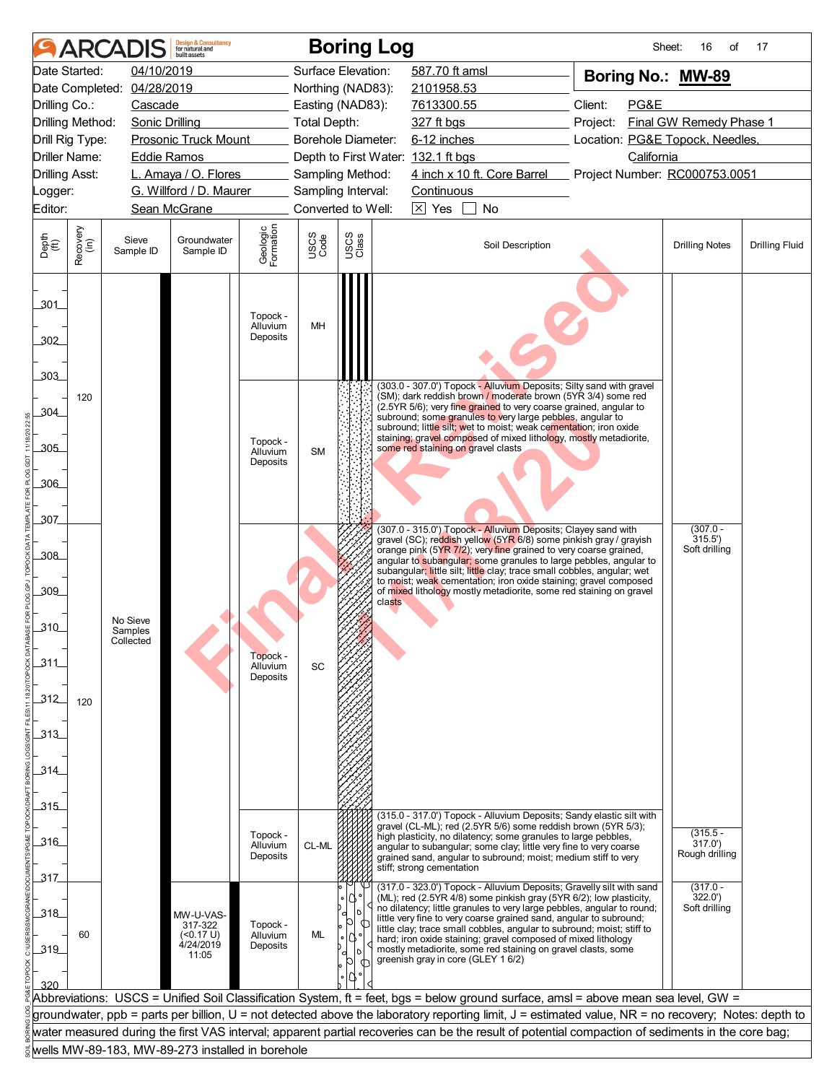|                                                |                  | <b>ARCADIS</b>                   | <b>Design &amp; Consultancy</b><br>for natural and<br>huilt assets |                                  |                     | <b>Boring Log</b>  |                                                                                                                                                                                                                                                                                                                                                                                                                                                                                                                                             | Sheet:                                         | 16<br>of                              | 17                    |
|------------------------------------------------|------------------|----------------------------------|--------------------------------------------------------------------|----------------------------------|---------------------|--------------------|---------------------------------------------------------------------------------------------------------------------------------------------------------------------------------------------------------------------------------------------------------------------------------------------------------------------------------------------------------------------------------------------------------------------------------------------------------------------------------------------------------------------------------------------|------------------------------------------------|---------------------------------------|-----------------------|
|                                                | Date Started:    | 04/10/2019                       |                                                                    |                                  |                     | Surface Elevation: | 587.70 ft amsl                                                                                                                                                                                                                                                                                                                                                                                                                                                                                                                              | Boring No.: MW-89                              |                                       |                       |
|                                                |                  | Date Completed: 04/28/2019       |                                                                    |                                  |                     | Northing (NAD83):  | 2101958.53                                                                                                                                                                                                                                                                                                                                                                                                                                                                                                                                  |                                                |                                       |                       |
| Drilling Co.:                                  |                  | Cascade                          |                                                                    |                                  |                     | Easting (NAD83):   | 7613300.55                                                                                                                                                                                                                                                                                                                                                                                                                                                                                                                                  | Client:<br>PG&E                                |                                       |                       |
| Drilling Method:                               |                  | <b>Sonic Drilling</b>            |                                                                    |                                  | <b>Total Depth:</b> |                    | 327 ft bgs                                                                                                                                                                                                                                                                                                                                                                                                                                                                                                                                  | Final GW Remedy Phase 1<br>Project:            |                                       |                       |
| <b>Prosonic Truck Mount</b><br>Drill Rig Type: |                  |                                  |                                                                    |                                  |                     | Borehole Diameter: |                                                                                                                                                                                                                                                                                                                                                                                                                                                                                                                                             | 6-12 inches<br>Location: PG&E Topock, Needles, |                                       |                       |
| <b>Driller Name:</b>                           |                  | <b>Eddie Ramos</b>               |                                                                    |                                  |                     |                    | Depth to First Water: 132.1 ft bgs                                                                                                                                                                                                                                                                                                                                                                                                                                                                                                          | California                                     |                                       |                       |
| <b>Drilling Asst:</b>                          |                  |                                  | L. Amaya / O. Flores                                               |                                  |                     | Sampling Method:   | 4 inch x 10 ft. Core Barrel Project Number: RC000753.0051                                                                                                                                                                                                                                                                                                                                                                                                                                                                                   |                                                |                                       |                       |
| _ogger:                                        |                  |                                  | G. Willford / D. Maurer                                            |                                  |                     | Sampling Interval: | Continuous                                                                                                                                                                                                                                                                                                                                                                                                                                                                                                                                  |                                                |                                       |                       |
| Editor:                                        |                  |                                  | Sean McGrane                                                       |                                  |                     | Converted to Well: | $\boxtimes$ Yes<br>No                                                                                                                                                                                                                                                                                                                                                                                                                                                                                                                       |                                                |                                       |                       |
| Depth<br>$\widetilde{f(t)}$                    | Recovery<br>(in) | Sieve<br>Sample ID               | Groundwater<br>Sample ID                                           | Geologic<br>Formation            | USCS<br>Code        | USCS<br>Class      | Soil Description                                                                                                                                                                                                                                                                                                                                                                                                                                                                                                                            |                                                | <b>Drilling Notes</b>                 | <b>Drilling Fluid</b> |
| 301<br>302<br>.303                             |                  |                                  |                                                                    | Topock -<br>Alluvium<br>Deposits | MH                  |                    |                                                                                                                                                                                                                                                                                                                                                                                                                                                                                                                                             |                                                |                                       |                       |
| 304<br>305                                     | 120              |                                  |                                                                    | Topock -<br>Alluvium<br>Deposits | <b>SM</b>           |                    | (303.0 - 307.0') Topock - Alluvium Deposits; Silty sand with gravel<br>(SM); dark reddish brown / moderate brown (5YR 3/4) some red<br>(2.5YR 5/6); very fine grained to very coarse grained, angular to<br>subround; some granules to very large pebbles, angular to<br>subround; little silt; wet to moist; weak cementation; iron oxide<br>staining; gravel composed of mixed lithology, mostly metadiorite,<br>some red staining on gravel clasts                                                                                       |                                                |                                       |                       |
| 306<br>307                                     |                  |                                  |                                                                    |                                  |                     |                    | (307.0 - 315.0') Topock - Alluvium Deposits; Clayey sand with                                                                                                                                                                                                                                                                                                                                                                                                                                                                               |                                                | $(307.0 -$                            |                       |
| .308<br>.309                                   |                  |                                  |                                                                    |                                  |                     |                    | gravel (SC); reddish yellow (5YR 6/8) some pinkish gray / grayish<br>orange pink (5YR 7/2); very fine grained to very coarse grained,<br>angular to subangular; some granules to large pebbles, angular to<br>subangular; little silt; little clay; trace small cobbles, angular; wet<br>to moist; weak cementation; iron oxide staining; gravel composed<br>of mixed lithology mostly metadiorite, some red staining on gravel<br>clasts                                                                                                   |                                                | 315.5'<br>Soft drilling               |                       |
| 310<br>311                                     |                  | No Sieve<br>Samples<br>Collected |                                                                    | Topock -<br>Alluvium<br>Deposits | SC                  |                    |                                                                                                                                                                                                                                                                                                                                                                                                                                                                                                                                             |                                                |                                       |                       |
| 312                                            | 120              |                                  |                                                                    |                                  |                     |                    |                                                                                                                                                                                                                                                                                                                                                                                                                                                                                                                                             |                                                |                                       |                       |
| 313<br>314                                     |                  |                                  |                                                                    |                                  |                     |                    |                                                                                                                                                                                                                                                                                                                                                                                                                                                                                                                                             |                                                |                                       |                       |
| 315                                            |                  |                                  |                                                                    |                                  |                     |                    |                                                                                                                                                                                                                                                                                                                                                                                                                                                                                                                                             |                                                |                                       |                       |
|                                                |                  |                                  |                                                                    |                                  |                     |                    | (315.0 - 317.0') Topock - Alluvium Deposits; Sandy elastic silt with<br>gravel (CL-ML); red (2.5YR 5/6) some reddish brown (5YR 5/3);                                                                                                                                                                                                                                                                                                                                                                                                       |                                                |                                       |                       |
| ـ316                                           |                  |                                  |                                                                    | Topock -<br>Alluvium             | CL-ML               |                    | high plasticity, no dilatency; some granules to large pebbles,                                                                                                                                                                                                                                                                                                                                                                                                                                                                              |                                                | $(315.5 -$<br>317.0'                  |                       |
|                                                |                  |                                  |                                                                    | Deposits                         |                     |                    | angular to subangular; some clay; little very fine to very coarse<br>grained sand, angular to subround; moist; medium stiff to very                                                                                                                                                                                                                                                                                                                                                                                                         |                                                | Rough drilling                        |                       |
| 317                                            |                  |                                  |                                                                    |                                  |                     |                    | stiff; strong cementation                                                                                                                                                                                                                                                                                                                                                                                                                                                                                                                   |                                                |                                       |                       |
| 318<br>319                                     | 60               |                                  | MW-U-VAS-<br>317-322<br>(<0.17 U)<br>4/24/2019<br>11:05            | Topock -<br>Alluvium<br>Deposits | ML                  |                    | (317.0 - 323.0') Topock - Alluvium Deposits; Gravelly silt with sand<br>(ML); red (2.5YR 4/8) some pinkish gray (5YR 6/2); low plasticity,<br>no dilatency; little granules to very large pebbles, angular to round;<br>little very fine to very coarse grained sand, angular to subround;<br>little clay; trace small cobbles, angular to subround; moist; stiff to<br>hard; iron oxide staining; gravel composed of mixed lithology<br>mostly metadiorite, some red staining on gravel clasts, some<br>greenish gray in core (GLEY 1 6/2) |                                                | $(317.0 -$<br>322.0'<br>Soft drilling |                       |
| 320                                            |                  |                                  |                                                                    |                                  |                     |                    |                                                                                                                                                                                                                                                                                                                                                                                                                                                                                                                                             |                                                |                                       |                       |
|                                                |                  |                                  |                                                                    |                                  |                     |                    | Abbreviations: USCS = Unified Soil Classification System, ft = feet, bgs = below ground surface, amsl = above mean sea level, GW =<br>groundwater, ppb = parts per billion, U = not detected above the laboratory reporting limit, J = estimated value, NR = no recovery; Notes: depth to                                                                                                                                                                                                                                                   |                                                |                                       |                       |
|                                                |                  |                                  |                                                                    |                                  |                     |                    | water measured during the first VAS interval; apparent partial recoveries can be the result of potential compaction of sediments in the core bag;                                                                                                                                                                                                                                                                                                                                                                                           |                                                |                                       |                       |
|                                                |                  |                                  | wells MW-89-183, MW-89-273 installed in borehole                   |                                  |                     |                    |                                                                                                                                                                                                                                                                                                                                                                                                                                                                                                                                             |                                                |                                       |                       |
|                                                |                  |                                  |                                                                    |                                  |                     |                    |                                                                                                                                                                                                                                                                                                                                                                                                                                                                                                                                             |                                                |                                       |                       |